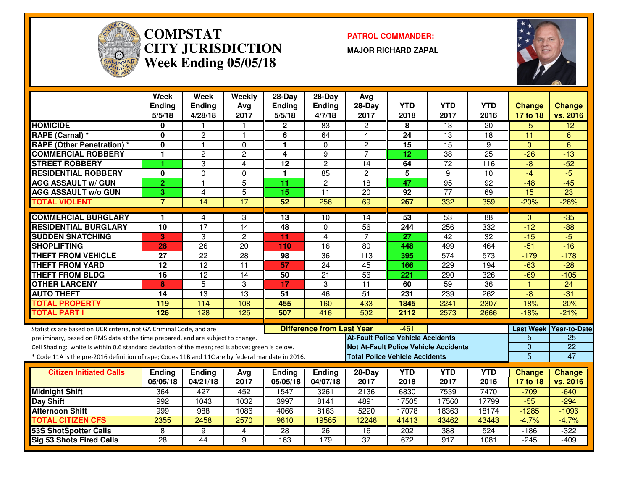

#### **COMPSTAT PATROL COMMANDER: CITY JURISDICTIONWeek Ending 05/05/18**

**MAJOR RICHARD ZAPAL**



|                                                                                                  | Week<br><b>Ending</b><br>5/5/18 | Week<br>Ending<br>4/28/18 | Weekly<br>Avg<br>2017 | $28-Day$<br><b>Ending</b><br>5/5/18 | $28-Dav$<br><b>Ending</b><br>4/7/18 | Avg<br>28-Day<br>2017                    | <b>YTD</b><br>2018 | <b>YTD</b><br>2017                           | <b>YTD</b><br>2016 | <b>Change</b><br>17 to 18 | <b>Change</b><br>vs. 2016 |
|--------------------------------------------------------------------------------------------------|---------------------------------|---------------------------|-----------------------|-------------------------------------|-------------------------------------|------------------------------------------|--------------------|----------------------------------------------|--------------------|---------------------------|---------------------------|
| <b>HOMICIDE</b>                                                                                  | 0                               |                           | 1                     | 2                                   | 83                                  | $\overline{2}$                           | 8                  | $\overline{13}$                              | 20                 | -5                        | $-12$                     |
| <b>RAPE (Carnal) *</b>                                                                           | $\bf{0}$                        | $\overline{2}$            | $\mathbf{1}$          | 6                                   | 64                                  | 4                                        | 24                 | $\overline{13}$                              | 18                 | $\overline{11}$           | 6                         |
| <b>RAPE (Other Penetration) *</b>                                                                | $\bf{0}$                        | $\mathbf{1}$              | $\Omega$              | $\blacksquare$                      | $\Omega$                            | $\overline{2}$                           | $\overline{15}$    | $\overline{15}$                              | 9                  | $\Omega$                  | 6                         |
| <b>COMMERCIAL ROBBERY</b>                                                                        | $\mathbf{1}$                    | $\overline{2}$            | $\overline{c}$        | 4                                   | 9                                   | $\overline{7}$                           | 12                 | $\overline{38}$                              | $\overline{25}$    | $-26$                     | $-13$                     |
| <b>STREET ROBBERY</b>                                                                            | 1                               | 3                         | 4                     | 12                                  | $\overline{c}$                      | 14                                       | 64                 | $\overline{72}$                              | 116                | $-8$                      | $-52$                     |
| <b>RESIDENTIAL ROBBERY</b>                                                                       | 0                               | $\Omega$                  | $\mathbf{0}$          | 1                                   | 85                                  | $\overline{c}$                           | 5                  | 9                                            | 10                 | $-4$                      | $-5$                      |
| <b>AGG ASSAULT w/ GUN</b>                                                                        | $\overline{2}$                  | $\mathbf{1}$              | $\overline{5}$        | 11                                  | $\overline{c}$                      | 18                                       | 47                 | $\overline{95}$                              | 92                 | $-48$                     | $-45$                     |
| <b>AGG ASSAULT w/o GUN</b>                                                                       | 3                               | 4                         | 5                     | 15                                  | 11                                  | 20                                       | 92                 | $\overline{77}$                              | 69                 | $\overline{15}$           | $\overline{23}$           |
| <b>TOTAL VIOLENT</b>                                                                             | $\overline{7}$                  | 14                        | 17                    | 52                                  | 256                                 | 69                                       | 267                | 332                                          | 359                | $-20%$                    | $-26%$                    |
| <b>COMMERCIAL BURGLARY</b>                                                                       | $\mathbf 1$                     | 4                         | 3                     | 13                                  | 10                                  | 14                                       | 53                 | 53                                           | 88                 | $\Omega$                  | $-35$                     |
| <b>RESIDENTIAL BURGLARY</b>                                                                      | 10                              | $\overline{17}$           | 14                    | 48                                  | $\Omega$                            | $\overline{56}$                          | $\overline{244}$   | 256                                          | 332                | $-12$                     | $-\overline{88}$          |
| <b>SUDDEN SNATCHING</b>                                                                          | 3                               | 3                         | $\overline{c}$        | 11                                  | $\overline{4}$                      | $\overline{7}$                           | 27                 | $\overline{42}$                              | 32                 | $-15$                     | $-5$                      |
| <b>SHOPLIFTING</b>                                                                               | 28                              | 26                        | $\overline{20}$       | 110                                 | $\overline{16}$                     | $\overline{80}$                          | 448                | 499                                          | 464                | $-51$                     | $-16$                     |
| <b>THEFT FROM VEHICLE</b>                                                                        | 27                              | $\overline{22}$           | $\overline{28}$       | 98                                  | $\overline{36}$                     | $\overline{113}$                         | 395                | $\overline{574}$                             | $\overline{573}$   | $-179$                    | $-178$                    |
| <b>THEFT FROM YARD</b>                                                                           | $\overline{12}$                 | $\overline{12}$           | $\overline{11}$       | 57                                  | $\overline{24}$                     | 45                                       | 166                | 229                                          | 194                | $-63$                     | $-28$                     |
| <b>THEFT FROM BLDG</b>                                                                           | $\overline{16}$                 | $\overline{12}$           | $\overline{14}$       | 50                                  | $\overline{21}$                     | 56                                       | 221                | 290                                          | 326                | $-69$                     | $-105$                    |
| <b>OTHER LARCENY</b>                                                                             | 8                               | $\overline{5}$            | 3                     | 17                                  | 3                                   | $\overline{11}$                          | 60                 | 59                                           | $\overline{36}$    | $\overline{1}$            | $\overline{24}$           |
| <b>AUTO THEFT</b>                                                                                | 14                              | $\overline{13}$           | 13                    | $\overline{51}$                     | $\overline{46}$                     | $\overline{51}$                          | 231                | 239                                          | 262                | -8                        | $-31$                     |
| <b>TOTAL PROPERTY</b>                                                                            | 119                             | 114                       | 108                   | 455                                 | 160                                 | 433                                      | 1845               | 2241                                         | 2307               | $-18%$                    | $-20%$                    |
| <b>TOTAL PART I</b>                                                                              | 126                             | 128                       | 125                   | 507                                 | 416                                 | 502                                      | 2112               | 2573                                         | 2666               | $-18%$                    | $-21%$                    |
| Statistics are based on UCR criteria, not GA Criminal Code, and are                              |                                 |                           |                       |                                     | <b>Difference from Last Year</b>    |                                          | -461               |                                              |                    | <b>Last Week</b>          | <b>Year-to-Date</b>       |
| preliminary, based on RMS data at the time prepared, and are subject to change.                  |                                 |                           |                       |                                     |                                     | <b>At-Fault Police Vehicle Accidents</b> |                    |                                              |                    | 5                         | $\overline{25}$           |
| Cell Shading: white is within 0.6 standard deviation of the mean; red is above; green is below.  |                                 |                           |                       |                                     |                                     |                                          |                    | <b>Not At-Fault Police Vehicle Accidents</b> |                    | $\Omega$                  | $\overline{22}$           |
| * Code 11A is the pre-2016 definition of rape; Codes 11B and 11C are by federal mandate in 2016. |                                 |                           |                       |                                     |                                     | <b>Total Police Vehicle Accidents</b>    |                    |                                              |                    | $\overline{5}$            | 47                        |
| <b>Citizen Initiated Calls</b>                                                                   | <b>Ending</b>                   | <b>Ending</b>             | Avg                   | <b>Ending</b>                       | Ending                              | 28-Day                                   | <b>YTD</b>         | <b>YTD</b>                                   | <b>YTD</b>         | <b>Change</b>             | <b>Change</b>             |
|                                                                                                  | 05/05/18                        | 04/21/18                  | 2017                  | 05/05/18                            | 04/07/18                            | 2017                                     | 2018               | 2017                                         | 2016               | 17 to 18                  | vs. 2016                  |
| <b>Midnight Shift</b>                                                                            | 364                             | 427                       | 452                   | 1547                                | 3261                                | 2136                                     | 6830               | 7539                                         | 7470               | $-709$                    | $-640$                    |
| Day Shift                                                                                        | 992                             | 1043                      | 1032                  | 3997                                | 8141                                | 4891                                     | 17505              | 17560                                        | 17799              | $-55$                     | $-294$                    |
| <b>Afternoon Shift</b>                                                                           | 999                             | 988                       | 1086                  | 4066                                | 8163                                | 5220                                     | 17078              | 18363                                        | 18174              | $-1285$                   | $-1096$                   |
| <b>TOTAL CITIZEN CFS</b>                                                                         | 2355                            | 2458                      | 2570                  | 9610                                | 19565                               | 12246                                    | 41413              | 43462                                        | 43443              | $-4.7%$                   | $-4.7%$                   |
| <b>53S ShotSpotter Calls</b>                                                                     | 8                               | 9                         | 4                     | 28                                  | 26                                  | 16                                       | 202                | 388                                          | 524                | $-186$                    | $-322$                    |
| <b>Sig 53 Shots Fired Calls</b>                                                                  | $\overline{28}$                 | 44                        | 9                     | 163                                 | $\overline{179}$                    | $\overline{37}$                          | 672                | $\overline{917}$                             | 1081               | $-245$                    | $-409$                    |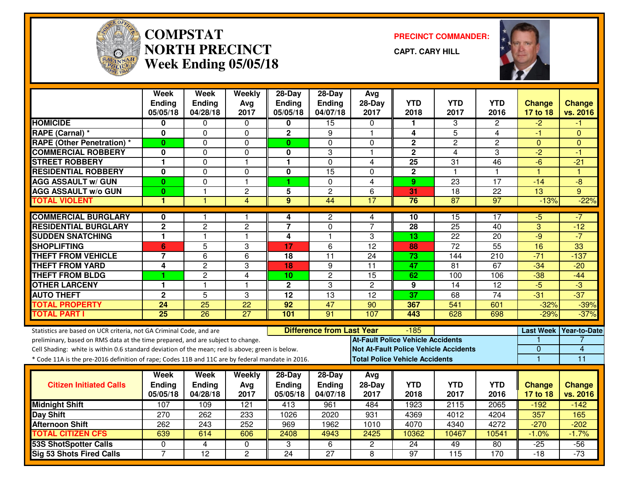

#### **COMPSTAT PRECINCT COMMANDER: NORTH PRECINCTWeek Ending 05/05/18**

**CAPT. CARY HILL**



|                                                                                                  | Week<br><b>Ending</b> | <b>Week</b><br><b>Ending</b> | Weekly<br>Avg   | $28 - Day$<br><b>Ending</b> | $28-Dav$<br>Ending               | Avg<br>$28-Day$                          | <b>YTD</b>      | <b>YTD</b>                                   | <b>YTD</b>            | <b>Change</b>        | <b>Change</b>       |
|--------------------------------------------------------------------------------------------------|-----------------------|------------------------------|-----------------|-----------------------------|----------------------------------|------------------------------------------|-----------------|----------------------------------------------|-----------------------|----------------------|---------------------|
|                                                                                                  | 05/05/18              | 04/28/18                     | 2017            | 05/05/18                    | 04/07/18                         | 2017                                     | 2018            | 2017                                         | 2016                  | 17 to 18             | vs. 2016            |
| <b>HOMICIDE</b>                                                                                  | 0                     | 0                            | 0               | 0                           | $\overline{15}$                  | $\Omega$                                 | 1               | 3                                            | $\mathbf{2}^{\prime}$ | $-2$                 | -1                  |
| RAPE (Carnal) *                                                                                  | 0                     | $\Omega$                     | 0               | $\mathbf{2}$                | 9                                | -1                                       | 4               | $\overline{5}$                               | 4                     | -1                   | $\Omega$            |
| <b>RAPE (Other Penetration) *</b>                                                                | $\bf{0}$              | $\Omega$                     | 0               | $\mathbf{0}$                | $\Omega$                         | $\Omega$                                 | $\mathbf 2$     | $\overline{2}$                               | $\overline{c}$        | $\mathbf{0}$         | $\Omega$            |
| <b>COMMERCIAL ROBBERY</b>                                                                        | 0                     | $\Omega$                     | $\mathbf 0$     | $\bf{0}$                    | 3                                | $\overline{1}$                           | $\overline{2}$  | $\overline{\mathbf{4}}$                      | 3                     | $\overline{2}$       | $-1$                |
| <b>STREET ROBBERY</b>                                                                            | 1                     | $\Omega$                     | $\mathbf{1}$    | 1                           | $\mathbf{0}$                     | 4                                        | 25              | 31                                           | 46                    | $-6$                 | $-21$               |
| <b>RESIDENTIAL ROBBERY</b>                                                                       | 0                     | $\mathbf 0$                  | 0               | $\mathbf 0$                 | 15                               | $\Omega$                                 | $\mathbf{2}$    | $\overline{1}$                               | 1                     | $\blacktriangleleft$ | $\overline{1}$      |
| <b>AGG ASSAULT W/ GUN</b>                                                                        | $\bf{0}$              | $\Omega$                     | $\mathbf{1}$    | 1                           | $\mathbf{0}$                     | $\overline{4}$                           | 9               | $\overline{23}$                              | $\overline{17}$       | $-14$                | $-8$                |
| <b>AGG ASSAULT w/o GUN</b>                                                                       | $\bf{0}$              | 1                            | $\overline{c}$  | 5                           | $\overline{c}$                   | 6                                        | 31              | $\overline{18}$                              | 22                    | 13                   | 9                   |
| <b>TOTAL VIOLENT</b>                                                                             | 1                     |                              | 4               | $\overline{9}$              | 44                               | 17                                       | 76              | 87                                           | 97                    | $-13%$               | $-22%$              |
| <b>COMMERCIAL BURGLARY</b>                                                                       | $\bf{0}$              |                              | $\mathbf{1}$    | 4                           | 2                                | 4                                        | 10              | $\overline{15}$                              | 17                    | $-5$                 | -7                  |
| <b>RESIDENTIAL BURGLARY</b>                                                                      | $\mathbf 2$           | $\overline{c}$               | $\overline{c}$  | $\overline{7}$              | $\mathbf 0$                      | $\overline{7}$                           | 28              | 25                                           | 40                    | 3                    | $-12$               |
| <b>SUDDEN SNATCHING</b>                                                                          | $\blacksquare$        | $\overline{1}$               | $\mathbf{1}$    | 4                           | $\mathbf{1}$                     | 3                                        | 13              | 22                                           | 20                    | $-9$                 | $-7$                |
| <b>SHOPLIFTING</b>                                                                               | 6                     | $\overline{5}$               | 3               | 17                          | $\overline{6}$                   | 12                                       | 88              | $\overline{72}$                              | 55                    | 16                   | 33                  |
| <b>THEFT FROM VEHICLE</b>                                                                        | $\overline{7}$        | 6                            | 6               | 18                          | 11                               | 24                                       | 73              | 144                                          | 210                   | $-71$                | $-137$              |
| <b>THEFT FROM YARD</b>                                                                           | 4                     | $\overline{2}$               | 3               | 18                          | 9                                | $\overline{11}$                          | $\overline{47}$ | $\overline{81}$                              | 67                    | $-34$                | $-20$               |
| <b>THEFT FROM BLDG</b>                                                                           | 1                     | $\overline{2}$               | $\overline{4}$  | 10                          | $\overline{c}$                   | 15                                       | 62              | 100                                          | 106                   | $-38$                | $-44$               |
| <b>OTHER LARCENY</b>                                                                             | 1                     | $\overline{1}$               | $\mathbf{1}$    | $\mathbf{2}$                | 3                                | $\overline{2}$                           | 9               | 14                                           | 12                    | $-5$                 | $-3$                |
| <b>AUTO THEFT</b>                                                                                | $\overline{2}$        | $\overline{5}$               | 3               | $\overline{12}$             | 13                               | $\overline{12}$                          | $\overline{37}$ | 68                                           | 74                    | $-31$                | $-37$               |
| <b>TOTAL PROPERTY</b>                                                                            | $\overline{24}$       | $\overline{25}$              | $\overline{22}$ | $\overline{92}$             | $\overline{47}$                  | 90                                       | 367             | $\overline{541}$                             | 601                   | $-32%$               | $-39%$              |
| <b>TOTAL PART I</b>                                                                              | $\overline{25}$       | $\overline{26}$              | $\overline{27}$ | 101                         | $\overline{91}$                  | 107                                      | 443             | 628                                          | 698                   | $-29%$               | $-37%$              |
| Statistics are based on UCR criteria, not GA Criminal Code, and are                              |                       |                              |                 |                             | <b>Difference from Last Year</b> |                                          | $-185$          |                                              |                       | <b>Last Week</b>     | <b>Year-to-Date</b> |
| preliminary, based on RMS data at the time prepared, and are subject to change.                  |                       |                              |                 |                             |                                  | <b>At-Fault Police Vehicle Accidents</b> |                 |                                              |                       |                      |                     |
| Cell Shading: white is within 0.6 standard deviation of the mean; red is above; green is below.  |                       |                              |                 |                             |                                  |                                          |                 | <b>Not At-Fault Police Vehicle Accidents</b> |                       | 0                    | 4                   |
| * Code 11A is the pre-2016 definition of rape; Codes 11B and 11C are by federal mandate in 2016. |                       |                              |                 |                             |                                  | <b>Total Police Vehicle Accidents</b>    |                 |                                              |                       | $\overline{1}$       | 11                  |
|                                                                                                  | <b>Week</b>           | <b>Week</b>                  | Weekly          | $28-Day$                    | $28-Day$                         | Avg                                      |                 |                                              |                       |                      |                     |
| <b>Citizen Initiated Calls</b>                                                                   | <b>Ending</b>         | <b>Ending</b>                | Avg             | <b>Ending</b>               | Ending                           | $28-Day$                                 | <b>YTD</b>      | <b>YTD</b>                                   | <b>YTD</b>            | Change               | <b>Change</b>       |
|                                                                                                  | 05/05/18              | 04/28/18                     | 2017            | 05/05/18                    | 04/07/18                         | 2017                                     | 2018            | 2017                                         | 2016                  | 17 to 18             | vs. 2016            |
| <b>Midnight Shift</b>                                                                            | 107                   | 109                          | 121             | 413                         | 961                              | 484                                      | 1923            | 2115                                         | 2065                  | $-192$               | $-142$              |
| <b>Day Shift</b>                                                                                 | 270                   | 262                          | 233             | 1026                        | 2020                             | 931                                      | 4369            | 4012                                         | 4204                  | 357                  | 165                 |
| <b>Afternoon Shift</b>                                                                           | 262                   | 243                          | 252             | 969                         | 1962                             | 1010                                     | 4070            | 4340                                         | 4272                  | $-270$               | $-202$              |
| <b>TOTAL CITIZEN CFS</b>                                                                         | 639                   | 614                          | 606             | 2408                        | 4943                             | 2425                                     | 10362           | 10467                                        | 10541                 | $-1.0%$              | $-1.7%$             |
| <b>53S ShotSpotter Calls</b>                                                                     | $\mathbf 0$           | 4                            | 0               | 3                           | 6                                | $\overline{2}$                           | 24              | 49                                           | 80                    | $-25$                | $-56$               |
| Sig 53 Shots Fired Calls                                                                         | $\overline{7}$        | 12                           | $\overline{2}$  | $\overline{24}$             | $\overline{27}$                  | 8                                        | $\overline{97}$ | 115                                          | 170                   | $-18$                | $-73$               |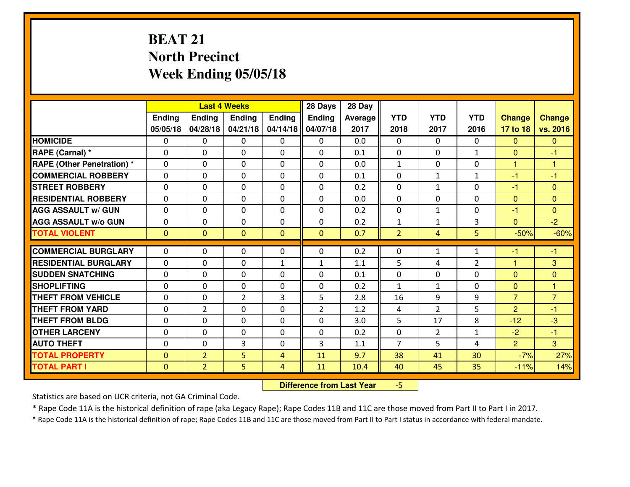## **BEAT 21 North PrecinctWeek Ending 05/05/18**

|                                  |                   |                | <b>Last 4 Weeks</b>        |                | 28 Days        | 28 Day     |                   |                              |                |                          |                   |
|----------------------------------|-------------------|----------------|----------------------------|----------------|----------------|------------|-------------------|------------------------------|----------------|--------------------------|-------------------|
|                                  | Ending            | <b>Ending</b>  | <b>Ending</b>              | Ending         | <b>Ending</b>  | Average    | <b>YTD</b>        | <b>YTD</b>                   | <b>YTD</b>     | <b>Change</b>            | <b>Change</b>     |
|                                  | 05/05/18          | 04/28/18       | 04/21/18                   | 04/14/18       | 04/07/18       | 2017       | 2018              | 2017                         | 2016           | 17 to 18                 | vs. 2016          |
| <b>HOMICIDE</b>                  | $\Omega$          | 0              | 0                          | $\Omega$       | $\Omega$       | 0.0        | 0                 | $\Omega$                     | 0              | $\Omega$                 | $\Omega$          |
| RAPE (Carnal) *                  | $\Omega$          | 0              | $\Omega$                   | $\Omega$       | $\Omega$       | 0.1        | $\Omega$          | $\Omega$                     | $\mathbf{1}$   | $\Omega$                 | -1                |
| <b>RAPE (Other Penetration)*</b> | 0                 | 0              | $\mathbf 0$                | 0              | 0              | 0.0        | $\mathbf{1}$      | 0                            | 0              | $\mathbf{1}$             | $\overline{1}$    |
| <b>COMMERCIAL ROBBERY</b>        | 0                 | 0              | $\mathbf 0$                | 0              | 0              | 0.1        | 0                 | $\mathbf{1}$                 | $\mathbf{1}$   | $-1$                     | $-1$              |
| <b>STREET ROBBERY</b>            | 0                 | 0              | $\mathbf 0$                | 0              | 0              | 0.2        | 0                 | $\mathbf{1}$                 | 0              | $-1$                     | $\mathbf{0}$      |
| <b>RESIDENTIAL ROBBERY</b>       | 0                 | 0              | $\mathbf 0$                | 0              | 0              | 0.0        | $\mathbf 0$       | 0                            | 0              | $\mathbf{0}$             | $\mathbf{0}$      |
| <b>AGG ASSAULT W/ GUN</b>        | 0                 | 0              | $\mathbf 0$                | 0              | 0              | 0.2        | 0                 | $\mathbf{1}$                 | 0              | $-1$                     | $\overline{0}$    |
| <b>AGG ASSAULT W/o GUN</b>       | 0                 | 0              | 0                          | 0              | $\mathbf 0$    | 0.2        | $\mathbf{1}$      | $\mathbf{1}$                 | 3              | $\mathbf{0}$             | $-2$              |
| <b>TOTAL VIOLENT</b>             | $\mathbf{0}$      | $\overline{0}$ | $\mathbf{O}$               | $\mathbf{0}$   | $\mathbf{0}$   | 0.7        | $\overline{2}$    | 4                            | 5              | $-50%$                   | $-60%$            |
| <b>COMMERCIAL BURGLARY</b>       | $\Omega$          | 0              | $\mathbf{0}$               | 0              | $\Omega$       | 0.2        | 0                 | $\mathbf{1}$                 | $\mathbf{1}$   | $-1$                     | $-1$              |
| <b>RESIDENTIAL BURGLARY</b>      | $\mathbf{0}$      | 0              |                            |                |                |            | 5                 | 4                            | $\overline{2}$ | $\mathbf{1}$             | 3                 |
| <b>SUDDEN SNATCHING</b>          |                   |                | 0                          | $\mathbf{1}$   | $\mathbf{1}$   | 1.1        |                   |                              |                |                          |                   |
| <b>SHOPLIFTING</b>               | $\mathbf{0}$<br>0 | 0<br>0         | $\mathbf 0$<br>$\mathbf 0$ | 0<br>0         | 0<br>0         | 0.1<br>0.2 | 0<br>$\mathbf{1}$ | $\mathbf{0}$<br>$\mathbf{1}$ | 0<br>0         | $\Omega$<br>$\mathbf{0}$ | $\mathbf{0}$<br>1 |
| <b>THEFT FROM VEHICLE</b>        | 0                 | 0              | $\overline{2}$             | 3              | 5              | 2.8        | 16                | 9                            | 9              | $\overline{7}$           | $\overline{7}$    |
| <b>THEFT FROM YARD</b>           |                   |                |                            |                |                | 1.2        |                   | $\overline{2}$               |                |                          |                   |
|                                  | 0                 | $\overline{2}$ | $\mathbf 0$                | 0              | $\overline{2}$ |            | 4                 |                              | 5              | $\overline{2}$           | $-1$              |
| <b>THEFT FROM BLDG</b>           | 0                 | 0              | $\mathbf 0$                | $\mathbf{0}$   | 0              | 3.0        | 5                 | 17                           | 8              | $-12$                    | $-3$              |
| <b>OTHER LARCENY</b>             | 0                 | 0              | $\mathbf 0$                | 0              | 0              | 0.2        | $\mathbf 0$       | $\overline{2}$               | $\mathbf{1}$   | $-2$                     | $-1$              |
| <b>AUTO THEFT</b>                | 0                 | 0              | 3                          | 0              | 3              | 1.1        | $\overline{7}$    | 5                            | 4              | $\overline{2}$           | 3                 |
| <b>TOTAL PROPERTY</b>            | $\mathbf{0}$      | $\overline{2}$ | 5                          | $\overline{4}$ | 11             | 9.7        | 38                | 41                           | 30             | $-7%$                    | 27%               |
| <b>TOTAL PART I</b>              | $\mathbf 0$       | $\overline{2}$ | 5                          | 4              | 11             | 10.4       | 40                | 45                           | 35             | $-11%$                   | 14%               |

 **Difference from Last Year**-5

Statistics are based on UCR criteria, not GA Criminal Code.

\* Rape Code 11A is the historical definition of rape (aka Legacy Rape); Rape Codes 11B and 11C are those moved from Part II to Part I in 2017.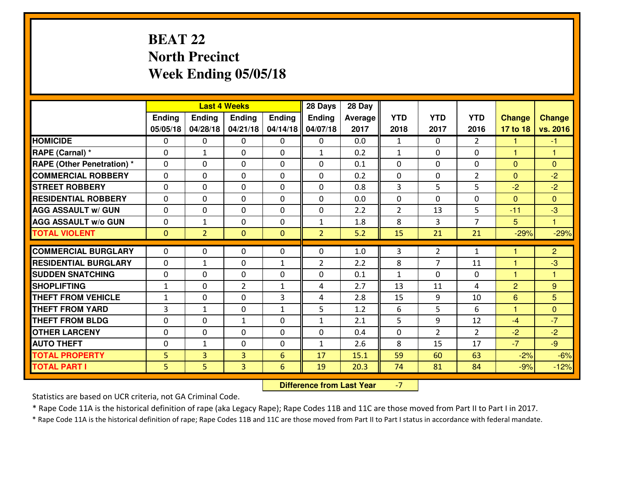## **BEAT 22 North PrecinctWeek Ending 05/05/18**

|                                  |                |                | <b>Last 4 Weeks</b>           |                | 28 Days        | 28 Day     |                |                |                |                |                |
|----------------------------------|----------------|----------------|-------------------------------|----------------|----------------|------------|----------------|----------------|----------------|----------------|----------------|
|                                  | Ending         | Ending         | <b>Ending</b>                 | Ending         | <b>Ending</b>  | Average    | <b>YTD</b>     | <b>YTD</b>     | <b>YTD</b>     | <b>Change</b>  | <b>Change</b>  |
|                                  | 05/05/18       | 04/28/18       | 04/21/18                      | 04/14/18       | 04/07/18       | 2017       | 2018           | 2017           | 2016           | 17 to 18       | vs. 2016       |
| <b>HOMICIDE</b>                  | $\mathbf{0}$   | 0              | 0                             | 0              | 0              | 0.0        | 1              | $\Omega$       | $\overline{2}$ | 1              | $-1$           |
| RAPE (Carnal) *                  | 0              | $\mathbf{1}$   | $\mathbf{0}$                  | 0              | $\mathbf{1}$   | 0.2        | 1              | 0              | 0              | 1              | 1              |
| <b>RAPE (Other Penetration)*</b> | $\Omega$       | 0              | $\mathbf 0$                   | $\Omega$       | $\Omega$       | 0.1        | $\Omega$       | 0              | 0              | $\Omega$       | $\Omega$       |
| <b>COMMERCIAL ROBBERY</b>        | $\Omega$       | 0              | $\mathbf 0$                   | $\Omega$       | 0              | 0.2        | $\mathbf{0}$   | $\mathbf{0}$   | $\overline{2}$ | $\Omega$       | $-2$           |
| <b>ISTREET ROBBERY</b>           | 0              | 0              | $\mathbf 0$                   | 0              | 0              | 0.8        | 3              | 5              | 5              | $-2$           | $-2$           |
| <b>RESIDENTIAL ROBBERY</b>       | 0              | 0              | $\mathbf 0$                   | 0              | 0              | 0.0        | 0              | $\Omega$       | 0              | $\Omega$       | $\Omega$       |
| <b>AGG ASSAULT W/ GUN</b>        | 0              | 0              | $\mathbf 0$                   | 0              | 0              | 2.2        | $\overline{2}$ | 13             | 5              | $-11$          | $-3$           |
| <b>AGG ASSAULT W/o GUN</b>       | 0              | $\mathbf{1}$   | $\mathbf 0$                   | 0              | $\mathbf{1}$   | 1.8        | 8              | 3              | $\overline{7}$ | 5              | $\mathbf{1}$   |
| <b>TOTAL VIOLENT</b>             | $\mathbf{0}$   | $\overline{2}$ | $\overline{0}$                | $\overline{0}$ | $\overline{2}$ | 5.2        | 15             | 21             | 21             | $-29%$         | $-29%$         |
| <b>COMMERCIAL BURGLARY</b>       | $\Omega$       | 0              | $\mathbf{0}$                  | 0              | $\Omega$       | 1.0        | 3              | $\overline{2}$ | $\mathbf{1}$   | н              | $\overline{2}$ |
| <b>RESIDENTIAL BURGLARY</b>      | $\Omega$       | $\mathbf{1}$   | $\mathbf{0}$                  | $\mathbf{1}$   | $\overline{2}$ | 2.2        | 8              | $\overline{7}$ | 11             | 1              | $-3$           |
| <b>SUDDEN SNATCHING</b>          | $\Omega$       | 0              |                               | $\Omega$       | $\Omega$       |            | $\mathbf{1}$   | $\Omega$       | 0              | 1              | 1              |
| <b>SHOPLIFTING</b>               | $\mathbf{1}$   | 0              | $\mathbf 0$<br>$\overline{2}$ | $\mathbf{1}$   | 4              | 0.1<br>2.7 | 13             | 11             | 4              |                |                |
|                                  |                |                |                               |                |                |            |                |                |                | $\overline{2}$ | 9              |
| <b>THEFT FROM VEHICLE</b>        | 1              | 0              | $\mathbf 0$                   | 3              | 4              | 2.8        | 15             | 9              | 10             | $6\phantom{1}$ | 5              |
| <b>THEFT FROM YARD</b>           | 3              | $\mathbf{1}$   | $\mathbf 0$                   | $\mathbf{1}$   | 5              | 1.2        | 6              | 5              | 6              | $\mathbf{1}$   | $\mathbf{0}$   |
| <b>THEFT FROM BLDG</b>           | 0              | 0              | 1                             | 0              | $\mathbf{1}$   | 2.1        | 5              | 9              | 12             | $-4$           | $-7$           |
| <b>OTHER LARCENY</b>             | 0              | 0              | $\mathbf 0$                   | 0              | 0              | 0.4        | 0              | $\overline{2}$ | $\overline{2}$ | $-2$           | $-2$           |
| <b>AUTO THEFT</b>                | $\mathbf{0}$   | 1              | 0                             | 0              | $\mathbf{1}$   | 2.6        | 8              | 15             | 17             | $-7$           | $-9$           |
| <b>TOTAL PROPERTY</b>            | 5              | 3              | 3                             | 6              | 17             | 15.1       | 59             | 60             | 63             | $-2%$          | $-6%$          |
| <b>TOTAL PART I</b>              | 5 <sub>1</sub> | 5              | 3                             | 6              | 19             | 20.3       | 74             | 81             | 84             | $-9%$          | $-12%$         |

 **Difference from Last Year**-7

Statistics are based on UCR criteria, not GA Criminal Code.

\* Rape Code 11A is the historical definition of rape (aka Legacy Rape); Rape Codes 11B and 11C are those moved from Part II to Part I in 2017.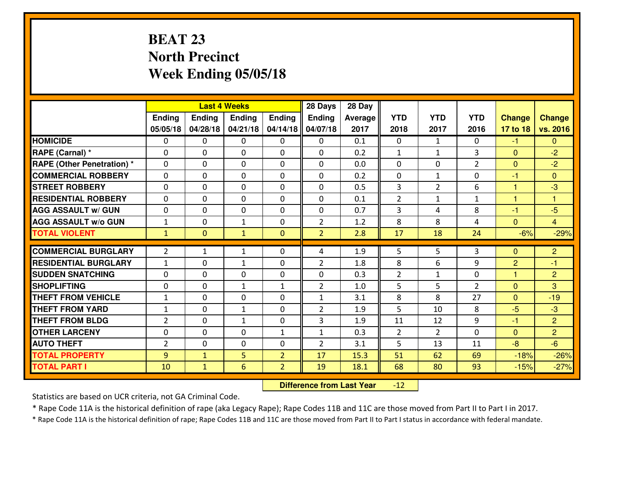## **BEAT 23 North PrecinctWeek Ending 05/05/18**

|                                  |                |                | <b>Last 4 Weeks</b> |                | 28 Days        | 28 Day  |                |                |                |                |                |
|----------------------------------|----------------|----------------|---------------------|----------------|----------------|---------|----------------|----------------|----------------|----------------|----------------|
|                                  | Ending         | <b>Ending</b>  | <b>Ending</b>       | Ending         | <b>Ending</b>  | Average | <b>YTD</b>     | <b>YTD</b>     | <b>YTD</b>     | <b>Change</b>  | <b>Change</b>  |
|                                  | 05/05/18       | 04/28/18       | 04/21/18            | 04/14/18       | 04/07/18       | 2017    | 2018           | 2017           | 2016           | 17 to 18       | vs. 2016       |
| <b>HOMICIDE</b>                  | $\Omega$       | 0              | 0                   | $\Omega$       | $\Omega$       | 0.1     | 0              | $\mathbf{1}$   | 0              | $-1$           | $\Omega$       |
| RAPE (Carnal) *                  | $\Omega$       | 0              | $\Omega$            | $\Omega$       | $\Omega$       | 0.2     | $\mathbf{1}$   | $\mathbf{1}$   | 3              | $\Omega$       | $-2$           |
| <b>RAPE (Other Penetration)*</b> | 0              | 0              | $\mathbf 0$         | 0              | 0              | 0.0     | 0              | 0              | $\overline{2}$ | $\overline{0}$ | $-2$           |
| <b>COMMERCIAL ROBBERY</b>        | 0              | 0              | $\mathbf 0$         | 0              | 0              | 0.2     | 0              | $\mathbf{1}$   | 0              | $-1$           | $\overline{0}$ |
| <b>STREET ROBBERY</b>            | 0              | 0              | $\mathbf 0$         | 0              | 0              | 0.5     | 3              | $\overline{2}$ | 6              | 1              | $-3$           |
| <b>RESIDENTIAL ROBBERY</b>       | 0              | 0              | $\mathbf 0$         | $\mathbf{0}$   | 0              | 0.1     | $\overline{2}$ | $\mathbf{1}$   | $\mathbf{1}$   | $\mathbf{1}$   | $\mathbf{1}$   |
| <b>AGG ASSAULT W/ GUN</b>        | 0              | 0              | $\mathbf 0$         | 0              | 0              | 0.7     | 3              | 4              | 8              | $-1$           | $-5$           |
| <b>AGG ASSAULT W/o GUN</b>       | $\mathbf{1}$   | 0              | 1                   | $\mathbf{0}$   | $\overline{2}$ | 1.2     | 8              | 8              | 4              | $\mathbf{0}$   | $\overline{4}$ |
| <b>TOTAL VIOLENT</b>             | $\mathbf{1}$   | $\overline{0}$ | $\mathbf{1}$        | $\mathbf{0}$   | $\overline{2}$ | 2.8     | 17             | 18             | 24             | $-6%$          | $-29%$         |
| <b>COMMERCIAL BURGLARY</b>       | $\overline{2}$ | $\mathbf{1}$   | $\mathbf{1}$        | 0              | 4              | 1.9     | 5              | 5.             | 3              | $\Omega$       | $\overline{2}$ |
| <b>RESIDENTIAL BURGLARY</b>      | $\mathbf{1}$   | 0              | 1                   | 0              | $\overline{2}$ | 1.8     | 8              | 6              | 9              | $\overline{2}$ | $-1$           |
| <b>SUDDEN SNATCHING</b>          | $\mathbf{0}$   | 0              | $\mathbf 0$         | 0              | 0              | 0.3     | $\overline{2}$ | $\mathbf{1}$   | 0              | $\mathbf{1}$   | $\overline{2}$ |
| <b>SHOPLIFTING</b>               | 0              | 0              | 1                   | $\mathbf{1}$   | $\overline{2}$ | 1.0     | 5              | 5              | $\overline{2}$ | $\Omega$       | 3              |
| <b>THEFT FROM VEHICLE</b>        | $\mathbf{1}$   | 0              | $\mathbf 0$         | 0              | $\mathbf{1}$   | 3.1     | 8              | 8              | 27             | $\Omega$       | $-19$          |
| <b>THEFT FROM YARD</b>           | $\mathbf{1}$   | 0              | 1                   | 0              | $\overline{2}$ | 1.9     | 5              | 10             | 8              | $-5$           | $-3$           |
| <b>THEFT FROM BLDG</b>           | 2              | 0              | $\mathbf{1}$        | $\mathbf{0}$   | 3              | 1.9     | 11             | 12             | 9              | $-1$           | $\overline{2}$ |
| <b>OTHER LARCENY</b>             | 0              | 0              | $\mathbf 0$         | $\mathbf 1$    | $\mathbf{1}$   | 0.3     | $\overline{2}$ | $\overline{2}$ | 0              | $\mathbf{0}$   | $\overline{2}$ |
| <b>AUTO THEFT</b>                | $\overline{2}$ | 0              | $\mathbf 0$         | 0              | $\overline{2}$ | 3.1     | 5              | 13             | 11             | $-8$           | $-6$           |
| <b>TOTAL PROPERTY</b>            | 9              | $\mathbf{1}$   | 5                   | $\overline{2}$ | 17             | 15.3    | 51             | 62             | 69             | $-18%$         | $-26%$         |
| <b>TOTAL PART I</b>              | 10             | $\mathbf{1}$   | 6                   | $\overline{2}$ | 19             | 18.1    | 68             | 80             | 93             | $-15%$         | $-27%$         |

 **Difference from Last Year** $-12$ 

Statistics are based on UCR criteria, not GA Criminal Code.

\* Rape Code 11A is the historical definition of rape (aka Legacy Rape); Rape Codes 11B and 11C are those moved from Part II to Part I in 2017.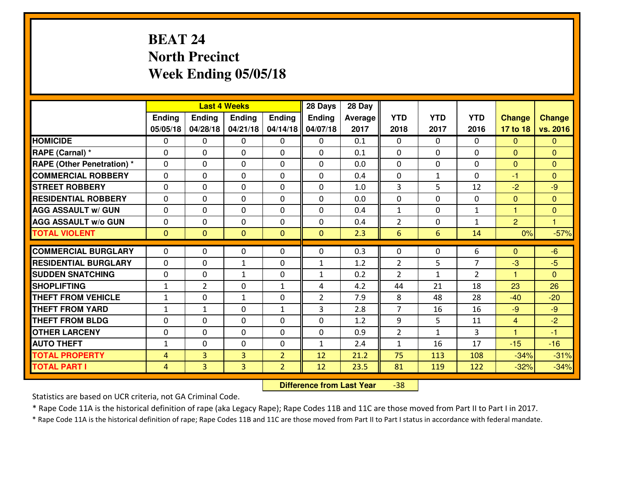## **BEAT 24 North PrecinctWeek Ending 05/05/18**

|                                  |                |                | <b>Last 4 Weeks</b> |                | 28 Days        | 28 Day  |                |              |                |                |                |
|----------------------------------|----------------|----------------|---------------------|----------------|----------------|---------|----------------|--------------|----------------|----------------|----------------|
|                                  | Ending         | Ending         | <b>Ending</b>       | Ending         | <b>Ending</b>  | Average | <b>YTD</b>     | <b>YTD</b>   | <b>YTD</b>     | <b>Change</b>  | <b>Change</b>  |
|                                  | 05/05/18       | 04/28/18       | 04/21/18            | 04/14/18       | 04/07/18       | 2017    | 2018           | 2017         | 2016           | 17 to 18       | vs. 2016       |
| <b>HOMICIDE</b>                  | 0              | 0              | 0                   | 0              | 0              | 0.1     | 0              | $\Omega$     | 0              | $\Omega$       | $\Omega$       |
| RAPE (Carnal) *                  | $\Omega$       | 0              | 0                   | $\Omega$       | 0              | 0.1     | 0              | 0            | 0              | $\Omega$       | $\mathbf{0}$   |
| <b>RAPE (Other Penetration)*</b> | $\Omega$       | $\Omega$       | $\Omega$            | $\Omega$       | $\Omega$       | 0.0     | $\Omega$       | $\Omega$     | $\Omega$       | $\Omega$       | $\Omega$       |
| <b>COMMERCIAL ROBBERY</b>        | $\Omega$       | $\Omega$       | $\mathbf 0$         | $\Omega$       | $\Omega$       | 0.4     | $\Omega$       | $\mathbf{1}$ | $\Omega$       | $-1$           | $\Omega$       |
| <b>ISTREET ROBBERY</b>           | $\mathbf{0}$   | 0              | $\mathbf{0}$        | 0              | $\Omega$       | 1.0     | 3              | 5            | 12             | $-2$           | $-9$           |
| <b>RESIDENTIAL ROBBERY</b>       | 0              | 0              | $\mathbf 0$         | 0              | 0              | 0.0     | 0              | $\Omega$     | 0              | $\mathbf{0}$   | $\mathbf{0}$   |
| <b>AGG ASSAULT W/ GUN</b>        | 0              | 0              | $\mathbf 0$         | 0              | 0              | 0.4     | $\mathbf{1}$   | 0            | $\mathbf{1}$   | $\mathbf{1}$   | $\overline{0}$ |
| <b>AGG ASSAULT W/o GUN</b>       | 0              | 0              | $\mathbf 0$         | 0              | 0              | 0.4     | $\overline{2}$ | $\mathbf{0}$ | $\mathbf{1}$   | $\overline{2}$ | $\overline{1}$ |
| <b>TOTAL VIOLENT</b>             | $\mathbf{0}$   | $\overline{0}$ | $\overline{0}$      | $\mathbf{0}$   | $\mathbf{0}$   | 2.3     | $6\phantom{1}$ | 6            | 14             | 0%             | $-57%$         |
| <b>COMMERCIAL BURGLARY</b>       | $\Omega$       | 0              | $\mathbf{0}$        | $\Omega$       | $\Omega$       | 0.3     | 0              | $\Omega$     | 6              | $\Omega$       | $-6$           |
| <b>RESIDENTIAL BURGLARY</b>      | $\Omega$       | 0              | 1                   | 0              | 1              | 1.2     | $\overline{2}$ | 5            | $\overline{7}$ | $-3$           | $-5$           |
| <b>SUDDEN SNATCHING</b>          | 0              | 0              | 1                   | 0              | $\mathbf{1}$   | 0.2     | $\overline{2}$ | $\mathbf{1}$ | $\overline{2}$ | $\mathbf{1}$   | $\Omega$       |
| <b>SHOPLIFTING</b>               | $\mathbf{1}$   | $\overline{2}$ | $\mathbf 0$         | $\mathbf{1}$   | 4              | 4.2     | 44             | 21           | 18             | 23             | 26             |
| <b>THEFT FROM VEHICLE</b>        | $\mathbf{1}$   | 0              | $\mathbf{1}$        | 0              | $\overline{2}$ | 7.9     | 8              | 48           | 28             | $-40$          | $-20$          |
| <b>THEFT FROM YARD</b>           | $\mathbf{1}$   | $\mathbf{1}$   | $\mathbf 0$         | $\mathbf{1}$   | 3              | 2.8     | $\overline{7}$ | 16           | 16             | $-9$           | $-9$           |
| <b>THEFT FROM BLDG</b>           | $\mathbf{0}$   | 0              | 0                   | $\Omega$       | $\Omega$       | 1.2     | 9              | 5            | 11             | $\overline{4}$ | $-2$           |
| <b>OTHER LARCENY</b>             | 0              | 0              | $\mathbf 0$         | 0              | 0              | 0.9     | $\overline{2}$ | $\mathbf{1}$ | 3              | $\mathbf{1}$   | $-1$           |
| <b>AUTO THEFT</b>                | $\mathbf{1}$   | 0              | 0                   | 0              | 1              | 2.4     | $\mathbf{1}$   | 16           | 17             | $-15$          | $-16$          |
| <b>TOTAL PROPERTY</b>            | 4              | 3              | 3                   | $\overline{2}$ | 12             | 21.2    | 75             | 113          | 108            | $-34%$         | $-31%$         |
| <b>TOTAL PART I</b>              | $\overline{4}$ | $\overline{3}$ | $\overline{3}$      | $\overline{2}$ | 12             | 23.5    | 81             | 119          | 122            | $-32%$         | $-34%$         |

 **Difference from Last Year**-38

Statistics are based on UCR criteria, not GA Criminal Code.

\* Rape Code 11A is the historical definition of rape (aka Legacy Rape); Rape Codes 11B and 11C are those moved from Part II to Part I in 2017.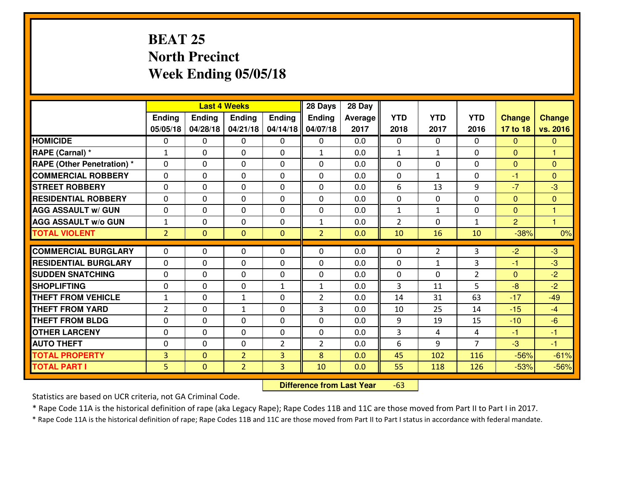## **BEAT 25 North PrecinctWeek Ending 05/05/18**

|                                   |                |                | <b>Last 4 Weeks</b> |                | 28 Days        | 28 Day  |                |                |                |                |                |
|-----------------------------------|----------------|----------------|---------------------|----------------|----------------|---------|----------------|----------------|----------------|----------------|----------------|
|                                   | Ending         | <b>Ending</b>  | <b>Ending</b>       | Ending         | <b>Ending</b>  | Average | <b>YTD</b>     | <b>YTD</b>     | <b>YTD</b>     | <b>Change</b>  | <b>Change</b>  |
|                                   | 05/05/18       | 04/28/18       | 04/21/18            | 04/14/18       | 04/07/18       | 2017    | 2018           | 2017           | 2016           | 17 to 18       | vs. 2016       |
| <b>HOMICIDE</b>                   | $\Omega$       | 0              | $\Omega$            | $\Omega$       | 0              | 0.0     | $\Omega$       | $\Omega$       | 0              | $\Omega$       | $\Omega$       |
| RAPE (Carnal) *                   | $\mathbf{1}$   | 0              | $\Omega$            | $\Omega$       | $\mathbf{1}$   | 0.0     | $\mathbf{1}$   | $\mathbf{1}$   | $\Omega$       | $\Omega$       | $\mathbf{1}$   |
| <b>RAPE (Other Penetration) *</b> | 0              | 0              | $\mathbf 0$         | 0              | 0              | 0.0     | $\mathbf 0$    | $\Omega$       | 0              | $\mathbf{0}$   | $\overline{0}$ |
| <b>COMMERCIAL ROBBERY</b>         | 0              | 0              | $\mathbf 0$         | 0              | 0              | 0.0     | $\mathbf 0$    | $\mathbf{1}$   | 0              | $-1$           | $\overline{0}$ |
| <b>STREET ROBBERY</b>             | $\mathbf{0}$   | 0              | $\mathbf 0$         | 0              | 0              | 0.0     | 6              | 13             | 9              | $-7$           | $-3$           |
| <b>RESIDENTIAL ROBBERY</b>        | $\Omega$       | 0              | $\mathbf 0$         | 0              | 0              | 0.0     | $\mathbf 0$    | $\mathbf{0}$   | 0              | $\mathbf{0}$   | $\mathbf{0}$   |
| <b>AGG ASSAULT w/ GUN</b>         | 0              | 0              | 0                   | 0              | 0              | 0.0     | $\mathbf{1}$   | $\mathbf{1}$   | 0              | $\mathbf 0$    | $\mathbf{1}$   |
| <b>AGG ASSAULT W/o GUN</b>        | $\mathbf{1}$   | 0              | 0                   | 0              | $\mathbf{1}$   | 0.0     | $\overline{2}$ | 0              | $\mathbf{1}$   | $\overline{2}$ | $\mathbf{1}$   |
| <b>TOTAL VIOLENT</b>              | $\overline{2}$ | $\overline{0}$ | $\mathbf{0}$        | $\mathbf{0}$   | $\overline{2}$ | 0.0     | 10             | 16             | 10             | $-38%$         | 0%             |
| <b>COMMERCIAL BURGLARY</b>        | $\Omega$       | 0              | 0                   | $\mathbf{0}$   | $\Omega$       | 0.0     | $\mathbf{0}$   | $\overline{2}$ | 3              | $-2$           | $-3$           |
| <b>RESIDENTIAL BURGLARY</b>       | $\mathbf{0}$   | 0              | 0                   | 0              | $\Omega$       | 0.0     | $\mathbf{0}$   | $\mathbf{1}$   | 3              | -1             | $-3$           |
| <b>SUDDEN SNATCHING</b>           | $\mathbf{0}$   | 0              |                     | 0              | 0              | 0.0     | $\mathbf{0}$   | $\Omega$       | $\overline{2}$ | $\mathbf{0}$   | $-2$           |
| <b>SHOPLIFTING</b>                | 0              | 0              | 0<br>$\mathbf 0$    | $\mathbf{1}$   | $\mathbf{1}$   | 0.0     | 3              | 11             | 5              | $-8$           | $-2$           |
| <b>THEFT FROM VEHICLE</b>         | $\mathbf{1}$   | 0              | $\mathbf{1}$        | 0              | $\overline{2}$ | 0.0     | 14             | 31             | 63             | $-17$          | $-49$          |
| <b>THEFT FROM YARD</b>            | $\overline{2}$ | 0              | 1                   | 0              | 3              | 0.0     | 10             | 25             | 14             | $-15$          | $-4$           |
| <b>THEFT FROM BLDG</b>            | 0              | 0              | 0                   | 0              | 0              | 0.0     | 9              | 19             | 15             | $-10$          | $-6$           |
| <b>OTHER LARCENY</b>              | 0              | 0              | 0                   | 0              | 0              | 0.0     | 3              | 4              | 4              | $-1$           | $-1$           |
| <b>AUTO THEFT</b>                 | 0              | 0              | $\mathbf 0$         | $\overline{2}$ | $\overline{2}$ | 0.0     | 6              | 9              | $\overline{7}$ | -3             | $-1$           |
| <b>TOTAL PROPERTY</b>             | $\overline{3}$ |                |                     |                | 8              |         |                |                |                |                |                |
|                                   |                | $\mathbf{0}$   | $\overline{2}$      | 3              |                | 0.0     | 45             | 102            | 116            | $-56%$         | $-61%$         |
| <b>TOTAL PART I</b>               | 5              | $\mathbf{0}$   | $\overline{2}$      | 3              | 10             | 0.0     | 55             | 118            | 126            | $-53%$         | $-56%$         |

 **Difference from Last Year**-63

Statistics are based on UCR criteria, not GA Criminal Code.

\* Rape Code 11A is the historical definition of rape (aka Legacy Rape); Rape Codes 11B and 11C are those moved from Part II to Part I in 2017.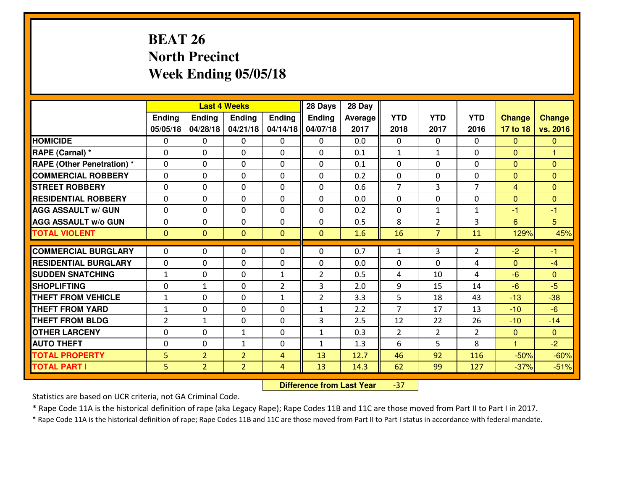## **BEAT 26 North PrecinctWeek Ending 05/05/18**

|                                  |              |                | <b>Last 4 Weeks</b> |                | 28 Days        | 28 Day         |                |                |                |                |                |
|----------------------------------|--------------|----------------|---------------------|----------------|----------------|----------------|----------------|----------------|----------------|----------------|----------------|
|                                  | Ending       | <b>Ending</b>  | <b>Ending</b>       | Ending         | <b>Ending</b>  | <b>Average</b> | <b>YTD</b>     | <b>YTD</b>     | <b>YTD</b>     | <b>Change</b>  | <b>Change</b>  |
|                                  | 05/05/18     | 04/28/18       | 04/21/18            | 04/14/18       | 04/07/18       | 2017           | 2018           | 2017           | 2016           | 17 to 18       | vs. 2016       |
| <b>HOMICIDE</b>                  | $\Omega$     | 0              | $\Omega$            | $\Omega$       | 0              | 0.0            | $\Omega$       | $\Omega$       | 0              | $\Omega$       | $\Omega$       |
| RAPE (Carnal) *                  | $\Omega$     | 0              | $\Omega$            | $\Omega$       | $\Omega$       | 0.1            | $\mathbf{1}$   | $\mathbf{1}$   | $\Omega$       | $\Omega$       | $\mathbf{1}$   |
| <b>RAPE (Other Penetration)*</b> | 0            | 0              | $\mathbf 0$         | 0              | 0              | 0.1            | $\mathbf 0$    | $\Omega$       | 0              | $\mathbf{0}$   | $\overline{0}$ |
| <b>COMMERCIAL ROBBERY</b>        | 0            | 0              | $\mathbf 0$         | 0              | 0              | 0.2            | $\mathbf 0$    | $\mathbf 0$    | 0              | $\mathbf{0}$   | $\overline{0}$ |
| <b>STREET ROBBERY</b>            | $\mathbf{0}$ | 0              | $\mathbf 0$         | 0              | 0              | 0.6            | $\overline{7}$ | 3              | $\overline{7}$ | $\overline{4}$ | $\overline{0}$ |
| <b>RESIDENTIAL ROBBERY</b>       | $\Omega$     | 0              | $\mathbf 0$         | 0              | 0              | 0.0            | $\mathbf 0$    | $\Omega$       | 0              | $\mathbf{0}$   | $\mathbf{0}$   |
| <b>AGG ASSAULT w/ GUN</b>        | 0            | 0              | 0                   | 0              | 0              | 0.2            | $\mathbf 0$    | $\mathbf{1}$   | $\mathbf{1}$   | $-1$           | $-1$           |
| <b>AGG ASSAULT W/o GUN</b>       | 0            | 0              | 0                   | 0              | 0              | 0.5            | 8              | $\overline{2}$ | 3              | 6              | 5 <sup>5</sup> |
| <b>TOTAL VIOLENT</b>             | $\mathbf{0}$ | $\overline{0}$ | $\mathbf{0}$        | $\mathbf{0}$   | $\mathbf{0}$   | 1.6            | 16             | $\overline{7}$ | 11             | 129%           | 45%            |
| <b>COMMERCIAL BURGLARY</b>       | $\Omega$     | 0              | $\mathbf{0}$        | $\mathbf{0}$   | $\Omega$       | 0.7            | $\mathbf{1}$   | 3              | 2              | $-2$           | $-1$           |
| <b>RESIDENTIAL BURGLARY</b>      | $\mathbf{0}$ | 0              | 0                   | 0              | $\Omega$       | 0.0            | $\mathbf{0}$   | $\Omega$       | 4              | $\mathbf{0}$   | $-4$           |
| <b>SUDDEN SNATCHING</b>          | $\mathbf{1}$ | 0              | 0                   | $\mathbf{1}$   | $\overline{2}$ | 0.5            | 4              | 10             | 4              | $-6$           | $\mathbf{0}$   |
| <b>SHOPLIFTING</b>               | 0            | $\mathbf{1}$   | $\mathbf 0$         | $\overline{2}$ | 3              | 2.0            | 9              | 15             | 14             | $-6$           | $-5$           |
| <b>THEFT FROM VEHICLE</b>        | $\mathbf{1}$ | 0              | $\mathbf 0$         | $\mathbf{1}$   | $\overline{2}$ | 3.3            | 5              | 18             | 43             | $-13$          | $-38$          |
| <b>THEFT FROM YARD</b>           | $\mathbf{1}$ | 0              | 0                   | 0              | $\mathbf{1}$   | 2.2            | $\overline{7}$ | 17             | 13             | $-10$          | $-6$           |
| <b>THEFT FROM BLDG</b>           | 2            | 1              | 0                   | 0              | 3              | 2.5            | 12             | 22             | 26             | $-10$          | $-14$          |
| <b>OTHER LARCENY</b>             | 0            | 0              | $\mathbf{1}$        | 0              | $\mathbf{1}$   | 0.3            | $\overline{2}$ | $\overline{2}$ | $\overline{2}$ | $\overline{0}$ | $\overline{0}$ |
| <b>AUTO THEFT</b>                | 0            | 0              | $\mathbf{1}$        | 0              | $\mathbf{1}$   | 1.3            | 6              | 5              | 8              | $\mathbf{1}$   | $-2$           |
| <b>TOTAL PROPERTY</b>            | 5            | $\overline{2}$ | $\overline{2}$      | $\overline{4}$ | 13             | 12.7           | 46             | 92             | 116            | $-50%$         | $-60%$         |
| <b>TOTAL PART I</b>              | 5            | $\overline{2}$ | $\overline{2}$      | $\overline{4}$ | 13             | 14.3           | 62             | 99             | 127            | $-37%$         | $-51%$         |

 **Difference from Last Year**-37

Statistics are based on UCR criteria, not GA Criminal Code.

\* Rape Code 11A is the historical definition of rape (aka Legacy Rape); Rape Codes 11B and 11C are those moved from Part II to Part I in 2017.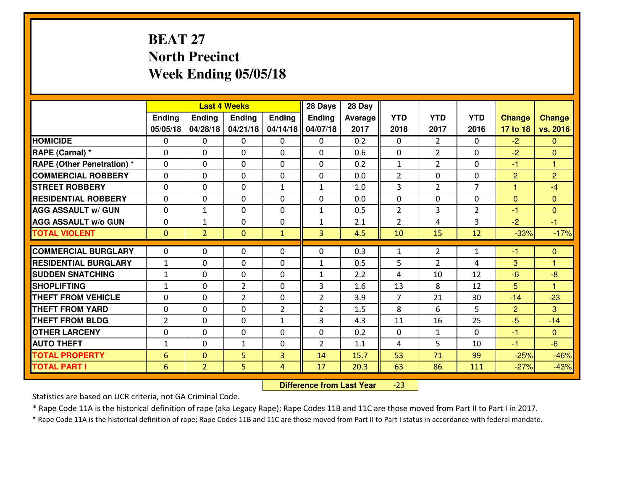## **BEAT 27 North PrecinctWeek Ending 05/05/18**

|                                   |                 |                | <b>Last 4 Weeks</b>           |                | 28 Days        | 28 Day  |                |                |                |                |                |
|-----------------------------------|-----------------|----------------|-------------------------------|----------------|----------------|---------|----------------|----------------|----------------|----------------|----------------|
|                                   | Ending          | <b>Ending</b>  | <b>Ending</b>                 | Ending         | <b>Ending</b>  | Average | <b>YTD</b>     | <b>YTD</b>     | <b>YTD</b>     | <b>Change</b>  | <b>Change</b>  |
|                                   | 05/05/18        | 04/28/18       | 04/21/18                      | 04/14/18       | 04/07/18       | 2017    | 2018           | 2017           | 2016           | 17 to 18       | vs. 2016       |
| <b>HOMICIDE</b>                   | $\Omega$        | 0              | $\Omega$                      | $\Omega$       | $\Omega$       | 0.2     | $\Omega$       | $\overline{2}$ | $\Omega$       | $-2$           | $\Omega$       |
| RAPE (Carnal) *                   | 0               | 0              | $\mathbf{0}$                  | 0              | $\Omega$       | 0.6     | $\mathbf{0}$   | $\overline{2}$ | $\Omega$       | $-2$           | $\Omega$       |
| <b>RAPE (Other Penetration) *</b> | $\Omega$        | 0              | $\mathbf{0}$                  | $\Omega$       | $\Omega$       | 0.2     | $\mathbf{1}$   | $\overline{2}$ | $\Omega$       | $-1$           | $\overline{1}$ |
| <b>COMMERCIAL ROBBERY</b>         | 0               | 0              | $\mathbf 0$                   | 0              | 0              | 0.0     | $\overline{2}$ | 0              | $\Omega$       | $\overline{2}$ | $\overline{2}$ |
| <b>STREET ROBBERY</b>             | $\Omega$        | 0              | $\mathbf 0$                   | $\mathbf{1}$   | $\mathbf{1}$   | 1.0     | $\overline{3}$ | $\overline{2}$ | $\overline{7}$ | $\mathbf{1}$   | $-4$           |
| <b>RESIDENTIAL ROBBERY</b>        | $\Omega$        | $\Omega$       | $\mathbf 0$                   | $\Omega$       | 0              | 0.0     | $\mathbf 0$    | 0              | $\Omega$       | $\overline{0}$ | $\overline{0}$ |
| <b>AGG ASSAULT W/ GUN</b>         | $\Omega$        | 1              | $\mathbf 0$                   | $\Omega$       | $\mathbf{1}$   | 0.5     | $\overline{2}$ | 3              | $\overline{2}$ | $-1$           | $\overline{0}$ |
| <b>AGG ASSAULT W/o GUN</b>        | 0               | 1              | $\mathbf 0$                   | 0              | $\mathbf{1}$   | 2.1     | $\overline{2}$ | 4              | 3              | $-2$           | $-1$           |
| <b>TOTAL VIOLENT</b>              | $\mathbf{0}$    | $\overline{2}$ | $\mathbf{O}$                  | $\mathbf{1}$   | $\overline{3}$ | 4.5     | 10             | 15             | 12             | $-33%$         | $-17%$         |
| <b>COMMERCIAL BURGLARY</b>        | $\Omega$        | 0              | $\mathbf{0}$                  | $\Omega$       | $\Omega$       | 0.3     | $\mathbf{1}$   | $\overline{2}$ | $\mathbf{1}$   | $-1$           | $\mathbf{0}$   |
|                                   |                 |                |                               |                |                |         |                |                | 4              |                |                |
| <b>RESIDENTIAL BURGLARY</b>       | $\mathbf{1}$    | 0              | $\mathbf 0$                   | 0              | $\mathbf{1}$   | 0.5     | 5              | $\overline{2}$ |                | 3              | 1              |
| <b>SUDDEN SNATCHING</b>           | $\mathbf{1}$    | 0              | $\mathbf 0$<br>$\overline{2}$ | 0              | $\mathbf{1}$   | 2.2     | 4              | 10             | 12<br>12       | $-6$           | $-8$           |
| <b>SHOPLIFTING</b>                | $\mathbf{1}$    | 0              |                               | 0              | 3              | 1.6     | 13             | 8              |                | 5              | $\overline{1}$ |
| <b>THEFT FROM VEHICLE</b>         | $\Omega$        | 0              | $\overline{2}$                | 0              | $\overline{2}$ | 3.9     | $\overline{7}$ | 21             | 30             | $-14$          | $-23$          |
| <b>THEFT FROM YARD</b>            | 0               | 0              | $\mathbf 0$                   | $\overline{2}$ | $\overline{2}$ | 1.5     | 8              | 6              | 5              | $\overline{2}$ | 3              |
| <b>THEFT FROM BLDG</b>            | $\overline{2}$  | 0              | $\mathbf 0$                   | $\mathbf{1}$   | 3              | 4.3     | 11             | 16             | 25             | $-5$           | $-14$          |
| <b>OTHER LARCENY</b>              | 0               | 0              | $\mathbf 0$                   | 0              | 0              | 0.2     | $\mathbf 0$    | $\mathbf{1}$   | $\Omega$       | $-1$           | $\overline{0}$ |
| <b>AUTO THEFT</b>                 | $\mathbf{1}$    | 0              | $\mathbf{1}$                  | 0              | $\overline{2}$ | 1.1     | 4              | 5              | 10             | $\blacksquare$ | $-6$           |
| <b>TOTAL PROPERTY</b>             | $6\phantom{1}6$ | $\overline{0}$ | 5                             | 3              | 14             | 15.7    | 53             | 71             | 99             | $-25%$         | $-46%$         |
| <b>TOTAL PART I</b>               | 6               | $\overline{2}$ | 5                             | $\overline{4}$ | 17             | 20.3    | 63             | 86             | 111            | $-27%$         | $-43%$         |

 **Difference from Last Year**-23

Statistics are based on UCR criteria, not GA Criminal Code.

\* Rape Code 11A is the historical definition of rape (aka Legacy Rape); Rape Codes 11B and 11C are those moved from Part II to Part I in 2017.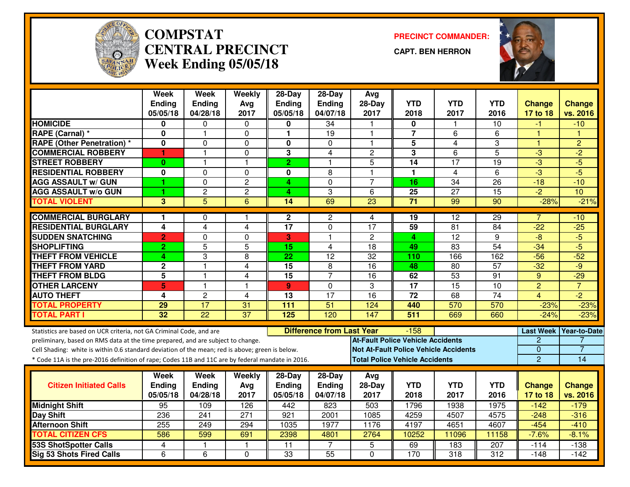

#### **COMPSTAT PRECINCT COMMANDER: CENTRAL PRECINCTWeek Ending 05/05/18**

**CAPT. BEN HERRON**



|                                                                                                                                                                                                                                                                                                                                                               | Week<br><b>Ending</b><br>05/05/18 | <b>Week</b><br><b>Ending</b><br>04/28/18 | Weekly<br>Avg<br>2017   | 28-Day<br><b>Ending</b><br>05/05/18   | 28-Day<br><b>Ending</b><br>04/07/18 | Avg<br>$28-Day$<br>2017                                                           | <b>YTD</b><br>2018      | <b>YTD</b><br>2017                           | <b>YTD</b><br>2016 | <b>Change</b><br>17 to 18                                            | <b>Change</b><br>vs. 2016      |
|---------------------------------------------------------------------------------------------------------------------------------------------------------------------------------------------------------------------------------------------------------------------------------------------------------------------------------------------------------------|-----------------------------------|------------------------------------------|-------------------------|---------------------------------------|-------------------------------------|-----------------------------------------------------------------------------------|-------------------------|----------------------------------------------|--------------------|----------------------------------------------------------------------|--------------------------------|
| <b>HOMICIDE</b>                                                                                                                                                                                                                                                                                                                                               | 0                                 | 0                                        | 0                       | 0                                     | 34                                  |                                                                                   | 0                       | -1                                           | 10                 | -1                                                                   | $-10$                          |
| RAPE (Carnal) *                                                                                                                                                                                                                                                                                                                                               | 0                                 | 1                                        | 0                       | $\mathbf{1}$                          | 19                                  | $\mathbf{1}$                                                                      | $\overline{\mathbf{r}}$ | 6                                            | 6                  | 1                                                                    | H                              |
| <b>RAPE (Other Penetration) *</b>                                                                                                                                                                                                                                                                                                                             | 0                                 | 0                                        | $\Omega$                | $\mathbf 0$                           | $\Omega$                            | $\mathbf{1}$                                                                      | 5                       | 4                                            | 3                  | $\mathbf{1}$                                                         | $\overline{2}$                 |
| <b>COMMERCIAL ROBBERY</b>                                                                                                                                                                                                                                                                                                                                     | 1                                 | 1                                        | $\Omega$                | 3                                     | 4                                   | 2                                                                                 | 3                       | 6                                            | 5                  | $-3$                                                                 | $-2$                           |
| <b>STREET ROBBERY</b>                                                                                                                                                                                                                                                                                                                                         | $\bf{0}$                          | 1                                        | $\overline{\mathbf{1}}$ | $\overline{2}$                        | $\mathbf{1}$                        | 5                                                                                 | 14                      | 17                                           | 19                 | $-3$                                                                 | $-5$                           |
| <b>RESIDENTIAL ROBBERY</b>                                                                                                                                                                                                                                                                                                                                    | 0                                 | 0                                        | $\Omega$                | $\mathbf 0$                           | 8                                   | $\blacktriangleleft$                                                              | 1                       | 4                                            | 6                  | $-3$                                                                 | $-5$                           |
| <b>AGG ASSAULT w/ GUN</b>                                                                                                                                                                                                                                                                                                                                     | 1                                 | 0                                        | $\overline{c}$          | 4                                     | $\Omega$                            | $\overline{7}$                                                                    | 16                      | $\overline{34}$                              | $\overline{26}$    | $-18$                                                                | $-10$                          |
| <b>AGG ASSAULT w/o GUN</b>                                                                                                                                                                                                                                                                                                                                    | 1                                 | $\overline{2}$                           | $\overline{2}$          | 4                                     | 3                                   | 6                                                                                 | 25                      | $\overline{27}$                              | $\overline{15}$    | $\overline{2}$                                                       | 10                             |
| <b>TOTAL VIOLENT</b>                                                                                                                                                                                                                                                                                                                                          | 3                                 | 5                                        | 6                       | 14                                    | 69                                  | 23                                                                                | $\overline{71}$         | 99                                           | 90                 | $-28%$                                                               | $-21%$                         |
| <b>COMMERCIAL BURGLARY</b>                                                                                                                                                                                                                                                                                                                                    | 1                                 | 0                                        | -1                      | $\mathbf{2}$                          | 2                                   | 4                                                                                 | 19                      | 12                                           | 29                 | 7                                                                    | -10                            |
| <b>RESIDENTIAL BURGLARY</b>                                                                                                                                                                                                                                                                                                                                   | $\overline{\mathbf{4}}$           | $\overline{\mathbf{4}}$                  | $\overline{\mathbf{4}}$ | $\overline{17}$                       | $\mathbf 0$                         | $\overline{17}$                                                                   | 59                      | $\overline{81}$                              | $\overline{84}$    | $-22$                                                                | $-25$                          |
| <b>SUDDEN SNATCHING</b>                                                                                                                                                                                                                                                                                                                                       | $\overline{2}$                    | 0                                        | 0                       | 3                                     | $\overline{1}$                      | $\overline{2}$                                                                    | 4                       | $\overline{12}$                              | $\overline{9}$     | $-8$                                                                 | $-5$                           |
| <b>SHOPLIFTING</b>                                                                                                                                                                                                                                                                                                                                            | $\overline{2}$                    | $\overline{5}$                           | 5                       | 15                                    | $\overline{4}$                      | $\overline{18}$                                                                   | 49                      | 83                                           | $\overline{54}$    | $-34$                                                                | $-5$                           |
| <b>THEFT FROM VEHICLE</b>                                                                                                                                                                                                                                                                                                                                     | 4                                 | 3                                        | 8                       | $\overline{22}$                       | $\overline{12}$                     | $\overline{32}$                                                                   | 110                     | 166                                          | 162                | $-56$                                                                | $-52$                          |
| <b>THEFT FROM YARD</b>                                                                                                                                                                                                                                                                                                                                        | $\mathbf 2$                       | $\mathbf{1}$                             | 4                       | 15                                    | $\overline{8}$                      | 16                                                                                | 48                      | 80                                           | 57                 | $-32$                                                                | $-9$                           |
| <b>THEFT FROM BLDG</b>                                                                                                                                                                                                                                                                                                                                        | 5                                 | 1                                        | 4                       | 15                                    | $\overline{7}$                      | 16                                                                                | 62                      | 53                                           | 91                 | 9                                                                    | $-29$                          |
| <b>OTHER LARCENY</b>                                                                                                                                                                                                                                                                                                                                          | 5                                 | 1                                        | $\overline{\mathbf{1}}$ | $\mathbf{9}$                          | $\mathbf{0}$                        | 3                                                                                 | $\overline{17}$         | 15                                           | $\overline{10}$    | $\overline{2}$                                                       | $\overline{7}$                 |
| <b>AUTO THEFT</b>                                                                                                                                                                                                                                                                                                                                             | 4                                 | $\overline{c}$                           | 4                       | 13                                    | $\overline{17}$                     | 16                                                                                | 72                      | 68                                           | $\overline{74}$    | $\overline{\mathbf{4}}$                                              | $-2$                           |
| <b>TOTAL PROPERTY</b>                                                                                                                                                                                                                                                                                                                                         | 29                                | $\overline{17}$                          | 31                      | 111                                   | 51                                  | 124                                                                               | 440                     | 570                                          | 570                | $-23%$                                                               | $-23%$                         |
| <b>TOTAL PART I</b>                                                                                                                                                                                                                                                                                                                                           | 32                                | $\overline{22}$                          | $\overline{37}$         | 125                                   | 120                                 | 147                                                                               | 511                     | 669                                          | 660                | $-24%$                                                               | $-23%$                         |
| Statistics are based on UCR criteria, not GA Criminal Code, and are<br>preliminary, based on RMS data at the time prepared, and are subject to change.<br>Cell Shading: white is within 0.6 standard deviation of the mean; red is above; green is below.<br>* Code 11A is the pre-2016 definition of rape; Codes 11B and 11C are by federal mandate in 2016. |                                   |                                          |                         |                                       | <b>Difference from Last Year</b>    | <b>At-Fault Police Vehicle Accidents</b><br><b>Total Police Vehicle Accidents</b> | $-158$                  | <b>Not At-Fault Police Vehicle Accidents</b> |                    | <b>Last Week</b><br>$\overline{c}$<br>$\mathbf{0}$<br>$\overline{2}$ | <b>Year-to-Date</b><br>7<br>14 |
| <b>Citizen Initiated Calls</b>                                                                                                                                                                                                                                                                                                                                | Week<br><b>Ending</b><br>05/05/18 | Week<br><b>Ending</b><br>04/28/18        | Weekly<br>Avg<br>2017   | $28-Day$<br><b>Ending</b><br>05/05/18 | $28-Day$<br>Ending<br>04/07/18      | Avg<br>$28-Day$<br>2017                                                           | <b>YTD</b><br>2018      | <b>YTD</b><br>2017                           | <b>YTD</b><br>2016 | <b>Change</b><br>17 to 18                                            | <b>Change</b><br>vs. 2016      |
| <b>Midnight Shift</b>                                                                                                                                                                                                                                                                                                                                         | 95                                | 109                                      | 126                     | 442                                   | 823                                 | 503                                                                               | 1796                    | 1938                                         | 1975               | $-142$                                                               | $-179$                         |
| Day Shift                                                                                                                                                                                                                                                                                                                                                     | 236                               | 241                                      | $\overline{271}$        | 921                                   | 2001                                | 1085                                                                              | 4259                    | 4507                                         | 4575               | $-248$                                                               | $-316$                         |
| <b>Afternoon Shift</b>                                                                                                                                                                                                                                                                                                                                        | 255                               | 249                                      | 294                     | 1035                                  | 1977                                | 1176                                                                              | 4197                    | 4651                                         | 4607               | $-454$                                                               | $-410$                         |
| <b>TOTAL CITIZEN CFS</b>                                                                                                                                                                                                                                                                                                                                      | 586                               | 599                                      | 691                     | 2398                                  | 4801                                | 2764                                                                              | 10252                   | 11096                                        | 11158              | $-7.6%$                                                              | $-8.1%$                        |
| <b>53S ShotSpotter Calls</b>                                                                                                                                                                                                                                                                                                                                  | 4                                 | 1.                                       | -1                      | 11                                    | 7                                   | 5                                                                                 | 69                      | 183                                          | 207                | $-114$                                                               | $-138$                         |
| <b>Sig 53 Shots Fired Calls</b>                                                                                                                                                                                                                                                                                                                               | 6                                 | $\overline{6}$                           | $\Omega$                | $\overline{33}$                       | 55                                  | $\Omega$                                                                          | $\overline{170}$        | $\overline{318}$                             | $\overline{312}$   | $-148$                                                               | $-142$                         |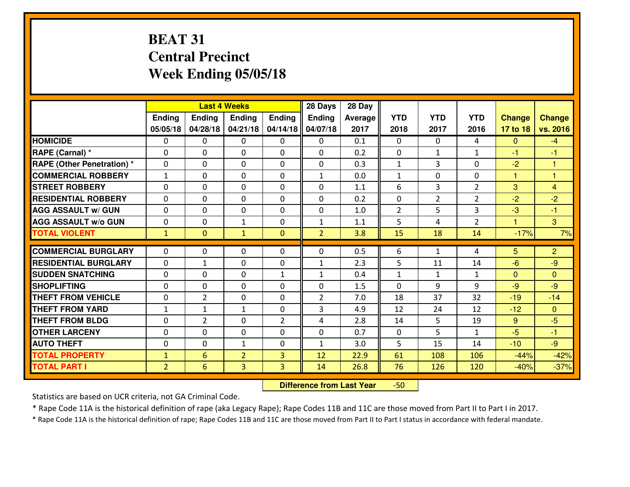## **BEAT 31 Central PrecinctWeek Ending 05/05/18**

|                                  |                |                | <b>Last 4 Weeks</b> |                   | 28 Days           | 28 Day         |                |                    |                |                      |                |
|----------------------------------|----------------|----------------|---------------------|-------------------|-------------------|----------------|----------------|--------------------|----------------|----------------------|----------------|
|                                  | Ending         | Ending         | <b>Ending</b>       | Ending            | <b>Ending</b>     | <b>Average</b> | <b>YTD</b>     | <b>YTD</b>         | <b>YTD</b>     | <b>Change</b>        | <b>Change</b>  |
|                                  | 05/05/18       | 04/28/18       | 04/21/18            | 04/14/18          | 04/07/18          | 2017           | 2018           | 2017               | 2016           | 17 to 18             | vs. 2016       |
| <b>HOMICIDE</b>                  | $\Omega$       | 0              | $\Omega$            | $\Omega$          | 0                 | 0.1            | $\Omega$       | $\Omega$           | 4              | $\mathbf{0}$         | $-4$           |
| RAPE (Carnal) *                  | $\Omega$       | 0              | $\Omega$            | $\Omega$          | $\Omega$          | 0.2            | $\Omega$       | $\mathbf{1}$       | $\mathbf{1}$   | $-1$                 | $-1$           |
| <b>RAPE (Other Penetration)*</b> | 0              | 0              | $\mathbf 0$         | 0                 | 0                 | 0.3            | $\mathbf{1}$   | 3                  | 0              | $-2$                 | $\mathbf{1}$   |
| <b>COMMERCIAL ROBBERY</b>        | $\mathbf{1}$   | 0              | $\mathbf 0$         | 0                 | $\mathbf{1}$      | 0.0            | $\mathbf{1}$   | $\mathbf 0$        | 0              | $\mathbf{1}$         | $\mathbf{1}$   |
| <b>STREET ROBBERY</b>            | 0              | 0              | $\mathbf 0$         | 0                 | 0                 | 1.1            | 6              | 3                  | $\overline{2}$ | 3                    | $\overline{4}$ |
| <b>RESIDENTIAL ROBBERY</b>       | $\Omega$       | 0              | $\mathbf 0$         | 0                 | 0                 | 0.2            | 0              | $\overline{2}$     | $\overline{2}$ | $-2$                 | $-2$           |
| <b>AGG ASSAULT w/ GUN</b>        | 0              | 0              | 0                   | 0                 | 0                 | 1.0            | $\overline{2}$ | 5                  | 3              | $-3$                 | $-1$           |
| <b>AGG ASSAULT W/o GUN</b>       | 0              | 0              | 1                   | 0                 | $\mathbf{1}$      | 1.1            | 5              | 4                  | $\overline{2}$ | $\blacktriangleleft$ | 3              |
| <b>TOTAL VIOLENT</b>             | $\mathbf{1}$   | $\overline{0}$ | $\mathbf{1}$        | $\overline{0}$    | $\overline{2}$    | 3.8            | 15             | 18                 | 14             | $-17%$               | 7%             |
| <b>COMMERCIAL BURGLARY</b>       | $\Omega$       | 0              | $\mathbf{0}$        | $\mathbf{0}$      | $\Omega$          | 0.5            | 6              | $\mathbf{1}$       | 4              | 5                    | $\overline{2}$ |
| <b>RESIDENTIAL BURGLARY</b>      | $\mathbf{0}$   |                |                     |                   |                   | 2.3            | 5              |                    | 14             | $-6$                 | $-9$           |
| <b>SUDDEN SNATCHING</b>          | $\mathbf{0}$   | 1<br>0         | 0                   | 0<br>$\mathbf{1}$ | $\mathbf{1}$      | 0.4            | $\mathbf{1}$   | 11<br>$\mathbf{1}$ | $\mathbf{1}$   | $\mathbf{0}$         | $\mathbf{0}$   |
| <b>SHOPLIFTING</b>               | 0              | 0              | 0<br>$\mathbf 0$    | 0                 | $\mathbf{1}$<br>0 | 1.5            | $\mathbf 0$    | 9                  | 9              | $-9$                 | $-9$           |
| <b>THEFT FROM VEHICLE</b>        | 0              | $\overline{2}$ | 0                   | 0                 | $\overline{2}$    | 7.0            | 18             | 37                 | 32             | $-19$                | $-14$          |
| <b>THEFT FROM YARD</b>           | $\mathbf{1}$   | $\mathbf{1}$   | 1                   | 0                 | 3                 | 4.9            | 12             | 24                 | 12             | $-12$                | $\mathbf{0}$   |
| <b>THEFT FROM BLDG</b>           | 0              | $\overline{2}$ | 0                   | 2                 | 4                 | 2.8            | 14             | 5                  | 19             | 9                    | $-5$           |
| <b>OTHER LARCENY</b>             | 0              | 0              | 0                   | 0                 | 0                 | 0.7            | $\mathbf 0$    | 5                  | $\mathbf{1}$   | $-5$                 | $-1$           |
| <b>AUTO THEFT</b>                |                |                |                     |                   |                   |                |                |                    |                |                      | $-9$           |
|                                  | 0              | 0              | $\mathbf{1}$        | 0                 | $\mathbf{1}$      | 3.0            | 5              | 15                 | 14             | $-10$                |                |
| <b>TOTAL PROPERTY</b>            | $\mathbf{1}$   | 6              | $\overline{2}$      | 3                 | 12                | 22.9           | 61             | 108                | 106            | $-44%$               | $-42%$         |
| <b>TOTAL PART I</b>              | $\overline{2}$ | 6              | 3                   | 3                 | 14                | 26.8           | 76             | 126                | 120            | $-40%$               | $-37%$         |

 **Difference from Last Year**-50

Statistics are based on UCR criteria, not GA Criminal Code.

\* Rape Code 11A is the historical definition of rape (aka Legacy Rape); Rape Codes 11B and 11C are those moved from Part II to Part I in 2017.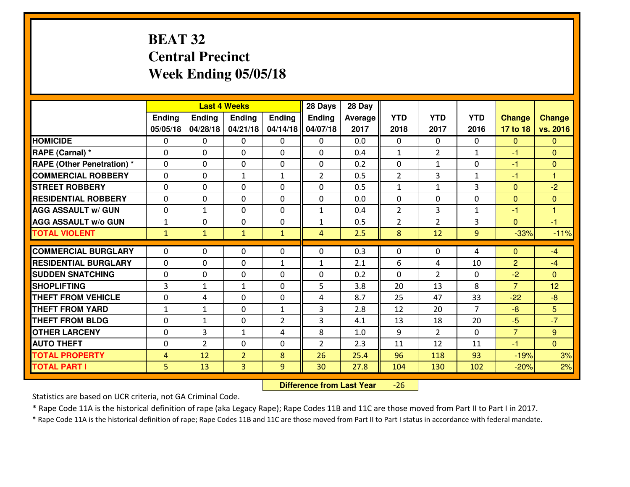## **BEAT 32 Central PrecinctWeek Ending 05/05/18**

|                                  |                |                | <b>Last 4 Weeks</b> |                | 28 Days        | 28 Day  |                |                |                |                |                      |
|----------------------------------|----------------|----------------|---------------------|----------------|----------------|---------|----------------|----------------|----------------|----------------|----------------------|
|                                  | Ending         | <b>Ending</b>  | <b>Ending</b>       | Ending         | <b>Ending</b>  | Average | <b>YTD</b>     | <b>YTD</b>     | <b>YTD</b>     | <b>Change</b>  | <b>Change</b>        |
|                                  | 05/05/18       | 04/28/18       | 04/21/18            | 04/14/18       | 04/07/18       | 2017    | 2018           | 2017           | 2016           | 17 to 18       | vs. 2016             |
| <b>HOMICIDE</b>                  | $\Omega$       | 0              | 0                   | $\Omega$       | $\Omega$       | 0.0     | 0              | $\Omega$       | 0              | $\Omega$       | $\Omega$             |
| RAPE (Carnal) *                  | $\Omega$       | 0              | $\mathbf{0}$        | $\Omega$       | $\Omega$       | 0.4     | $\mathbf{1}$   | $\overline{2}$ | $\mathbf{1}$   | $-1$           | $\Omega$             |
| <b>RAPE (Other Penetration)*</b> | 0              | 0              | $\mathbf 0$         | 0              | 0              | 0.2     | 0              | $\mathbf{1}$   | 0              | $-1$           | $\overline{0}$       |
| <b>COMMERCIAL ROBBERY</b>        | 0              | 0              | 1                   | $\mathbf{1}$   | $\overline{2}$ | 0.5     | $\overline{2}$ | 3              | $\mathbf{1}$   | $-1$           | $\mathbf{1}$         |
| <b>STREET ROBBERY</b>            | 0              | 0              | $\mathbf 0$         | 0              | 0              | 0.5     | $\mathbf{1}$   | $\mathbf{1}$   | 3              | $\mathbf{0}$   | $-2$                 |
| <b>RESIDENTIAL ROBBERY</b>       | 0              | 0              | $\mathbf 0$         | $\mathbf{0}$   | 0              | 0.0     | 0              | $\mathbf{0}$   | 0              | $\mathbf{0}$   | $\mathbf{0}$         |
| <b>AGG ASSAULT W/ GUN</b>        | 0              | $\mathbf{1}$   | $\mathbf 0$         | 0              | $\mathbf{1}$   | 0.4     | $\overline{2}$ | $\overline{3}$ | $\mathbf{1}$   | $-1$           | $\blacktriangleleft$ |
| <b>AGG ASSAULT W/o GUN</b>       | $\mathbf{1}$   | 0              | 0                   | 0              | $\mathbf{1}$   | 0.5     | $\overline{2}$ | $\overline{2}$ | 3              | $\mathbf{0}$   | $-1$                 |
| <b>TOTAL VIOLENT</b>             | $\mathbf{1}$   | $\mathbf{1}$   | $\mathbf{1}$        | $\mathbf{1}$   | $\overline{4}$ | 2.5     | 8              | 12             | 9              | $-33%$         | $-11%$               |
| <b>COMMERCIAL BURGLARY</b>       | $\Omega$       | 0              | $\mathbf{0}$        | 0              | $\Omega$       | 0.3     | $\mathbf{0}$   | 0              | 4              | $\Omega$       | $-4$                 |
| <b>RESIDENTIAL BURGLARY</b>      | $\mathbf{0}$   | 0              | 0                   | $\mathbf{1}$   | $\mathbf{1}$   | 2.1     | 6              | 4              | 10             | $\overline{2}$ | $-4$                 |
| <b>SUDDEN SNATCHING</b>          | $\mathbf{0}$   | 0              | $\mathbf 0$         | 0              | 0              | 0.2     | 0              | $\overline{2}$ | 0              | $-2$           | $\mathbf{0}$         |
| <b>SHOPLIFTING</b>               | $\overline{3}$ | $\mathbf{1}$   | 1                   | 0              | 5              | 3.8     | 20             | 13             | 8              | $\overline{7}$ | 12                   |
| <b>THEFT FROM VEHICLE</b>        | 0              | 4              | $\mathbf 0$         | 0              | 4              | 8.7     | 25             | 47             | 33             | $-22$          | $-8$                 |
| <b>THEFT FROM YARD</b>           | $\mathbf{1}$   | 1              | $\mathbf 0$         | $\mathbf{1}$   | 3              | 2.8     | 12             | 20             | $\overline{7}$ | $-8$           | 5                    |
| <b>THEFT FROM BLDG</b>           | 0              | $\mathbf{1}$   | $\mathbf 0$         | $\overline{2}$ | 3              | 4.1     | 13             | 18             | 20             | $-5$           | $-7$                 |
| <b>OTHER LARCENY</b>             | 0              | 3              | $\mathbf{1}$        | 4              | 8              | 1.0     | 9              | $\overline{2}$ | 0              | $\overline{7}$ | 9                    |
| <b>AUTO THEFT</b>                | 0              | $\overline{2}$ | $\mathbf 0$         | 0              | $\overline{2}$ | 2.3     | 11             | 12             | 11             | $-1$           | $\overline{0}$       |
| <b>TOTAL PROPERTY</b>            | $\overline{4}$ | 12             | $\overline{2}$      | 8              | 26             | 25.4    | 96             | 118            | 93             | $-19%$         | 3%                   |
| <b>TOTAL PART I</b>              | 5              | 13             | 3                   | 9              | 30             | 27.8    | 104            | 130            | 102            | $-20%$         | 2%                   |
|                                  |                |                |                     |                |                |         |                |                |                |                |                      |

 **Difference from Last Year**-26

Statistics are based on UCR criteria, not GA Criminal Code.

\* Rape Code 11A is the historical definition of rape (aka Legacy Rape); Rape Codes 11B and 11C are those moved from Part II to Part I in 2017.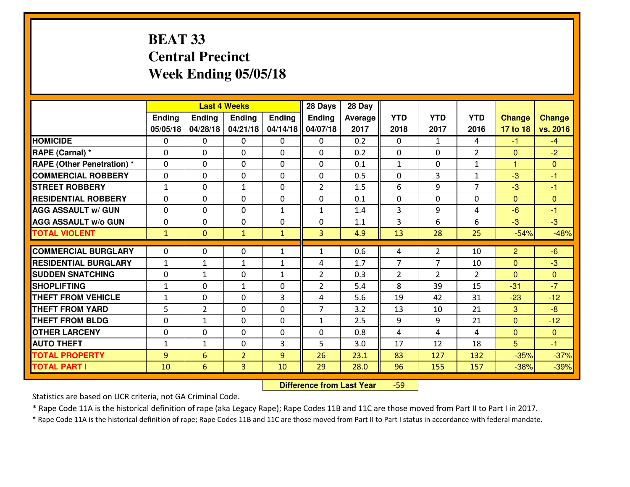## **BEAT 33 Central PrecinctWeek Ending 05/05/18**

|                                   |               |                | <b>Last 4 Weeks</b> |               | 28 Days        | 28 Day  |                |                |                |                |                |
|-----------------------------------|---------------|----------------|---------------------|---------------|----------------|---------|----------------|----------------|----------------|----------------|----------------|
|                                   | <b>Ending</b> | Ending         | <b>Endina</b>       | <b>Ending</b> | <b>Ending</b>  | Average | <b>YTD</b>     | <b>YTD</b>     | <b>YTD</b>     | <b>Change</b>  | <b>Change</b>  |
|                                   | 05/05/18      | 04/28/18       | 04/21/18            | 04/14/18      | 04/07/18       | 2017    | 2018           | 2017           | 2016           | 17 to 18       | vs. 2016       |
| <b>HOMICIDE</b>                   | $\Omega$      | 0              | $\mathbf{0}$        | 0             | 0              | 0.2     | $\Omega$       | $\mathbf{1}$   | 4              | $-1$           | $-4$           |
| RAPE (Carnal) *                   | $\Omega$      | 0              | $\mathbf{0}$        | 0             | $\Omega$       | 0.2     | $\mathbf{0}$   | $\Omega$       | $\overline{2}$ | $\mathbf{0}$   | $-2$           |
| <b>RAPE (Other Penetration) *</b> | $\Omega$      | 0              | $\mathbf 0$         | $\Omega$      | $\Omega$       | 0.1     | $\mathbf{1}$   | 0              | $\mathbf{1}$   | $\mathbf{1}$   | $\Omega$       |
| <b>COMMERCIAL ROBBERY</b>         | 0             | 0              | $\mathbf 0$         | 0             | 0              | 0.5     | 0              | 3              | $\mathbf{1}$   | $-3$           | $-1$           |
| <b>STREET ROBBERY</b>             | $\mathbf{1}$  | 0              | 1                   | 0             | $\overline{2}$ | 1.5     | 6              | 9              | $\overline{7}$ | $-3$           | $-1$           |
| <b>RESIDENTIAL ROBBERY</b>        | $\mathbf{0}$  | 0              | $\mathbf 0$         | 0             | 0              | 0.1     | $\mathbf 0$    | 0              | 0              | $\Omega$       | $\mathbf{0}$   |
| <b>AGG ASSAULT W/ GUN</b>         | 0             | 0              | $\mathbf 0$         | $\mathbf{1}$  | $\mathbf{1}$   | 1.4     | 3              | 9              | 4              | $-6$           | $-1$           |
| <b>AGG ASSAULT W/o GUN</b>        | 0             | 0              | $\mathbf 0$         | 0             | 0              | 1.1     | 3              | 6              | 6              | $-3$           | $-3$           |
| <b>TOTAL VIOLENT</b>              | $\mathbf{1}$  | $\overline{0}$ | $\mathbf{1}$        | $\mathbf{1}$  | $\overline{3}$ | 4.9     | 13             | 28             | 25             | $-54%$         | $-48%$         |
| <b>COMMERCIAL BURGLARY</b>        | $\Omega$      | $\Omega$       | 0                   | $\mathbf{1}$  | $\mathbf{1}$   | 0.6     | 4              | $\overline{2}$ | 10             | $\overline{2}$ | $-6$           |
| <b>RESIDENTIAL BURGLARY</b>       | $1\,$         | $\mathbf{1}$   | 1                   | $\mathbf{1}$  | 4              | 1.7     | $\overline{7}$ | 7              | 10             | $\overline{0}$ | $-3$           |
| <b>SUDDEN SNATCHING</b>           | 0             | $\mathbf{1}$   | $\mathbf 0$         | $\mathbf{1}$  | $\overline{2}$ | 0.3     | 2              | $\overline{2}$ | $\overline{2}$ | $\Omega$       | $\overline{0}$ |
| <b>SHOPLIFTING</b>                | $\mathbf{1}$  | $\Omega$       | $\mathbf{1}$        | $\Omega$      | $\overline{2}$ | 5.4     | 8              | 39             | 15             | $-31$          | $-7$           |
| <b>THEFT FROM VEHICLE</b>         | $\mathbf{1}$  | 0              | $\mathbf 0$         | 3             | 4              | 5.6     | 19             | 42             | 31             | $-23$          | $-12$          |
| <b>THEFT FROM YARD</b>            | 5             | $\overline{2}$ | $\mathbf 0$         | $\Omega$      | $\overline{7}$ | 3.2     | 13             | 10             | 21             | 3              | $-8$           |
| <b>THEFT FROM BLDG</b>            | 0             | $\mathbf{1}$   | $\mathbf 0$         | $\mathbf 0$   | $\mathbf{1}$   | 2.5     | 9              | 9              | 21             | $\overline{0}$ | $-12$          |
| <b>OTHER LARCENY</b>              | 0             | 0              | $\mathbf 0$         | $\Omega$      | 0              | 0.8     | 4              | 4              | 4              | $\overline{0}$ | $\mathbf{0}$   |
| <b>AUTO THEFT</b>                 | $\mathbf{1}$  | $\mathbf{1}$   | $\mathbf{0}$        | 3             | 5              | 3.0     | 17             | 12             | 18             | 5              | $-1$           |
| <b>TOTAL PROPERTY</b>             | 9             | 6              | $\overline{2}$      | 9             | 26             | 23.1    | 83             | 127            | 132            | $-35%$         | $-37%$         |
| <b>TOTAL PART I</b>               | 10            | 6              | 3                   | 10            | 29             | 28.0    | 96             | 155            | 157            | $-38%$         | $-39%$         |
|                                   |               |                |                     |               |                |         |                |                |                |                |                |

 **Difference from Last Year**-59

Statistics are based on UCR criteria, not GA Criminal Code.

\* Rape Code 11A is the historical definition of rape (aka Legacy Rape); Rape Codes 11B and 11C are those moved from Part II to Part I in 2017.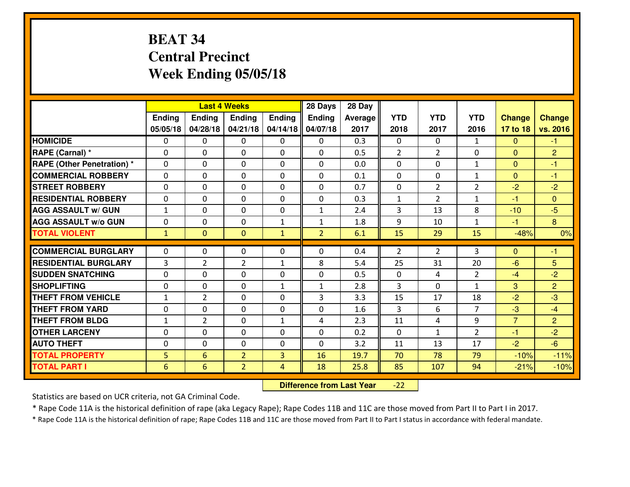## **BEAT 34 Central PrecinctWeek Ending 05/05/18**

|                             |              |                | <b>Last 4 Weeks</b> |                | 28 Days        | 28 Day         |                |                |                |                |                |
|-----------------------------|--------------|----------------|---------------------|----------------|----------------|----------------|----------------|----------------|----------------|----------------|----------------|
|                             | Ending       | <b>Ending</b>  | <b>Ending</b>       | Ending         | Ending         | <b>Average</b> | <b>YTD</b>     | <b>YTD</b>     | <b>YTD</b>     | <b>Change</b>  | <b>Change</b>  |
|                             | 05/05/18     | 04/28/18       | 04/21/18            | 04/14/18       | 04/07/18       | 2017           | 2018           | 2017           | 2016           | 17 to 18       | vs. 2016       |
| <b>HOMICIDE</b>             | $\Omega$     | 0              | $\Omega$            | $\Omega$       | 0              | 0.3            | $\Omega$       | $\Omega$       | $\mathbf{1}$   | $\Omega$       | $-1$           |
| RAPE (Carnal) *             | $\mathbf{0}$ | 0              | $\mathbf{0}$        | 0              | $\Omega$       | 0.5            | $\overline{2}$ | $\overline{2}$ | $\Omega$       | $\mathbf{0}$   | $\overline{2}$ |
| RAPE (Other Penetration) *  | $\Omega$     | 0              | $\mathbf{0}$        | $\Omega$       | $\Omega$       | 0.0            | $\Omega$       | $\Omega$       | $\mathbf{1}$   | $\Omega$       | $-1$           |
| <b>COMMERCIAL ROBBERY</b>   | $\mathbf{0}$ | 0              | 0                   | 0              | 0              | 0.1            | $\mathbf{0}$   | 0              | $\mathbf{1}$   | $\mathbf{0}$   | $-1$           |
| <b>STREET ROBBERY</b>       | $\Omega$     | 0              | $\mathbf 0$         | 0              | $\Omega$       | 0.7            | $\mathbf 0$    | $\overline{2}$ | $\overline{2}$ | $-2$           | $-2$           |
| <b>RESIDENTIAL ROBBERY</b>  | $\Omega$     | $\Omega$       | $\mathbf 0$         | $\Omega$       | 0              | 0.3            | $\mathbf{1}$   | $\overline{2}$ | $\mathbf{1}$   | $-1$           | $\Omega$       |
| <b>AGG ASSAULT w/ GUN</b>   | $\mathbf{1}$ | $\Omega$       | $\mathbf 0$         | 0              | $\mathbf{1}$   | 2.4            | 3              | 13             | 8              | $-10$          | $-5$           |
| <b>AGG ASSAULT W/o GUN</b>  | 0            | 0              | 0                   | $\mathbf{1}$   | $\mathbf{1}$   | 1.8            | 9              | 10             | $\mathbf{1}$   | $-1$           | 8              |
| <b>TOTAL VIOLENT</b>        | $\mathbf{1}$ | $\mathbf{0}$   | $\mathbf{0}$        | $\mathbf{1}$   | $\overline{2}$ | 6.1            | 15             | 29             | 15             | $-48%$         | 0%             |
| <b>COMMERCIAL BURGLARY</b>  | $\Omega$     | 0              | $\Omega$            | 0              | $\Omega$       | 0.4            | $\overline{2}$ | $\overline{2}$ | 3              | $\Omega$       | $-1$           |
| <b>RESIDENTIAL BURGLARY</b> | 3            | $\overline{2}$ | $\overline{2}$      | $\mathbf{1}$   | 8              | 5.4            | 25             | 31             | 20             | $-6$           | 5              |
| <b>SUDDEN SNATCHING</b>     | 0            | 0              | $\mathbf 0$         | 0              | 0              | 0.5            | $\mathbf 0$    | 4              | $\overline{2}$ | $-4$           | $-2$           |
| <b>SHOPLIFTING</b>          | 0            | 0              | $\mathbf 0$         | $\mathbf{1}$   | $\mathbf{1}$   | 2.8            | $\overline{3}$ | $\Omega$       | $\mathbf{1}$   | 3              | $\overline{2}$ |
| <b>THEFT FROM VEHICLE</b>   | $\mathbf{1}$ | $\overline{2}$ | $\mathbf 0$         | 0              | 3              | 3.3            | 15             | 17             | 18             | $-2$           | $-3$           |
| <b>THEFT FROM YARD</b>      | 0            | 0              | $\mathbf 0$         | 0              | 0              | 1.6            | $\overline{3}$ | 6              | $\overline{7}$ | $-3$           | $-4$           |
| <b>THEFT FROM BLDG</b>      | $\mathbf{1}$ | $\overline{2}$ | $\mathbf 0$         | $\mathbf{1}$   | 4              | 2.3            | 11             | 4              | 9              | $\overline{7}$ | $\overline{2}$ |
| <b>OTHER LARCENY</b>        | 0            | 0              | 0                   | 0              | 0              | 0.2            | $\mathbf 0$    | $\mathbf{1}$   | $\overline{2}$ | $-1$           | $-2$           |
| <b>AUTO THEFT</b>           | $\mathbf{0}$ | 0              | $\mathbf{0}$        | 0              | $\Omega$       | 3.2            | 11             | 13             | 17             | $-2$           | $-6$           |
| <b>TOTAL PROPERTY</b>       | 5            | 6              | $\overline{2}$      | 3              | 16             | 19.7           | 70             | 78             | 79             | $-10%$         | $-11%$         |
| <b>TOTAL PART I</b>         | 6            | 6              | $\overline{2}$      | $\overline{4}$ | 18             | 25.8           | 85             | 107            | 94             | $-21%$         | $-10%$         |

 **Difference from Last Year**-22

Statistics are based on UCR criteria, not GA Criminal Code.

\* Rape Code 11A is the historical definition of rape (aka Legacy Rape); Rape Codes 11B and 11C are those moved from Part II to Part I in 2017.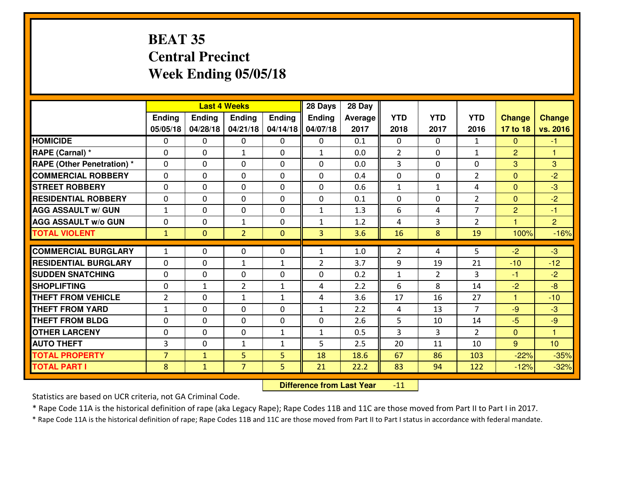#### **BEAT 35 Central PrecinctWeek Ending 05/05/18**

|                                  |                |                | <b>Last 4 Weeks</b> |                   | 28 Days        | 28 Day  |                   |                |                |                      |                      |
|----------------------------------|----------------|----------------|---------------------|-------------------|----------------|---------|-------------------|----------------|----------------|----------------------|----------------------|
|                                  | Ending         | <b>Ending</b>  | <b>Ending</b>       | Ending            | <b>Ending</b>  | Average | <b>YTD</b>        | <b>YTD</b>     | <b>YTD</b>     | <b>Change</b>        | <b>Change</b>        |
|                                  | 05/05/18       | 04/28/18       | 04/21/18            | 04/14/18          | 04/07/18       | 2017    | 2018              | 2017           | 2016           | 17 to 18             | vs. 2016             |
| <b>HOMICIDE</b>                  | $\Omega$       | 0              | 0                   | $\Omega$          | 0              | 0.1     | 0                 | $\Omega$       | $\mathbf{1}$   | $\Omega$             | $-1$                 |
| RAPE (Carnal) *                  | $\Omega$       | 0              | $\mathbf{1}$        | $\Omega$          | $\mathbf{1}$   | 0.0     | 2                 | $\Omega$       | $\mathbf{1}$   | $\overline{2}$       | -1                   |
| <b>RAPE (Other Penetration)*</b> | 0              | 0              | $\mathbf 0$         | 0                 | 0              | 0.0     | 3                 | 0              | 0              | 3                    | 3                    |
| <b>COMMERCIAL ROBBERY</b>        | 0              | 0              | $\mathbf 0$         | 0                 | 0              | 0.4     | 0                 | 0              | $\overline{2}$ | $\mathbf{0}$         | $-2$                 |
| <b>STREET ROBBERY</b>            | 0              | 0              | $\mathbf 0$         | 0                 | 0              | 0.6     | $\mathbf{1}$      | $\mathbf{1}$   | 4              | $\mathbf{0}$         | $-3$                 |
| <b>RESIDENTIAL ROBBERY</b>       | 0              | 0              | $\mathbf 0$         | 0                 | 0              | 0.1     | 0                 | $\mathbf{0}$   | $\overline{2}$ | $\mathbf{0}$         | $-2$                 |
| <b>AGG ASSAULT W/ GUN</b>        | $1\,$          | 0              | $\mathbf 0$         | 0                 | $\mathbf{1}$   | 1.3     | 6                 | 4              | $\overline{7}$ | $\overline{2}$       | $-1$                 |
| <b>AGG ASSAULT W/o GUN</b>       | 0              | 0              | 1                   | 0                 | $\mathbf{1}$   | 1.2     | 4                 | 3              | $\overline{2}$ | $\blacktriangleleft$ | $\overline{2}$       |
| <b>TOTAL VIOLENT</b>             | $\mathbf{1}$   | $\overline{0}$ | $\overline{2}$      | $\mathbf{0}$      | 3              | 3.6     | 16                | 8              | 19             | 100%                 | $-16%$               |
| <b>COMMERCIAL BURGLARY</b>       | $\mathbf{1}$   | 0              | $\mathbf{0}$        | 0                 | $\mathbf{1}$   | 1.0     | 2                 | 4              | 5              | $-2$                 | $-3$                 |
| <b>RESIDENTIAL BURGLARY</b>      | $\mathbf{0}$   | 0              |                     |                   | $\overline{2}$ | 3.7     | 9                 | 19             | 21             |                      | $-12$                |
| <b>SUDDEN SNATCHING</b>          | $\mathbf{0}$   | 0              | 1<br>$\mathbf 0$    | $\mathbf{1}$<br>0 | 0              | 0.2     |                   | $\overline{2}$ | 3              | $-10$<br>$-1$        | $-2$                 |
| <b>SHOPLIFTING</b>               | 0              | $\mathbf{1}$   | $\overline{2}$      | $\mathbf{1}$      | 4              | 2.2     | $\mathbf{1}$<br>6 | 8              | 14             | $-2$                 | $-8$                 |
| <b>THEFT FROM VEHICLE</b>        | $\overline{2}$ | 0              | 1                   | $\mathbf{1}$      | 4              | 3.6     | 17                | 16             | 27             | $\blacktriangleleft$ | $-10$                |
| <b>THEFT FROM YARD</b>           | $\mathbf{1}$   | 0              | $\mathbf 0$         | 0                 | $\mathbf{1}$   | 2.2     | 4                 | 13             | $\overline{7}$ | $-9$                 | $-3$                 |
| <b>THEFT FROM BLDG</b>           | 0              | 0              | $\mathbf 0$         | $\mathbf{0}$      | 0              | 2.6     | 5                 | 10             | 14             | $-5$                 | $-9$                 |
| <b>OTHER LARCENY</b>             | 0              | 0              | $\mathbf 0$         | $\mathbf 1$       | $\mathbf{1}$   | 0.5     | 3                 | 3              | $\overline{2}$ | $\mathbf{0}$         | $\blacktriangleleft$ |
| <b>AUTO THEFT</b>                | 3              | 0              | $\mathbf{1}$        | $\mathbf{1}$      | 5              | 2.5     | 20                | 11             | 10             | 9                    | 10                   |
| <b>TOTAL PROPERTY</b>            | $\overline{7}$ | $\mathbf{1}$   | 5                   | 5                 | 18             | 18.6    | 67                | 86             | 103            | $-22%$               | $-35%$               |
|                                  |                |                | $\overline{7}$      |                   |                |         |                   |                |                |                      |                      |
| <b>TOTAL PART I</b>              | 8              | $\mathbf{1}$   |                     | 5                 | 21             | 22.2    | 83                | 94             | 122            | $-12%$               | $-32%$               |

 **Difference from Last Year** $-11$ 

Statistics are based on UCR criteria, not GA Criminal Code.

\* Rape Code 11A is the historical definition of rape (aka Legacy Rape); Rape Codes 11B and 11C are those moved from Part II to Part I in 2017.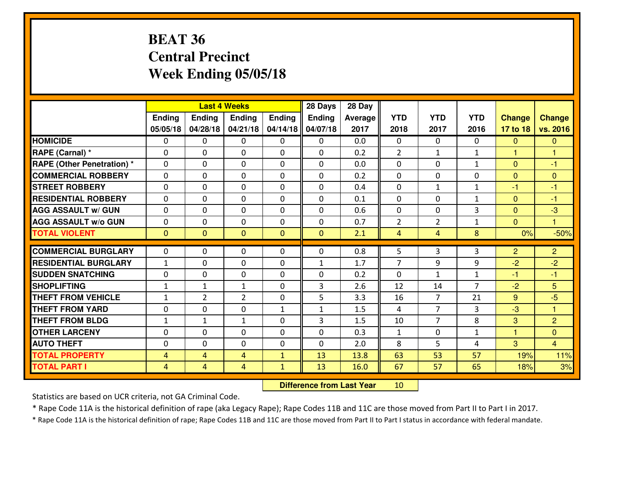## **BEAT 36 Central PrecinctWeek Ending 05/05/18**

|                                   |                |                | <b>Last 4 Weeks</b> |              | 28 Days      | 28 Day  |                |                |                |                |                |
|-----------------------------------|----------------|----------------|---------------------|--------------|--------------|---------|----------------|----------------|----------------|----------------|----------------|
|                                   | Ending         | <b>Ending</b>  | <b>Ending</b>       | Ending       | Ending       | Average | <b>YTD</b>     | <b>YTD</b>     | <b>YTD</b>     | <b>Change</b>  | <b>Change</b>  |
|                                   | 05/05/18       | 04/28/18       | 04/21/18            | 04/14/18     | 04/07/18     | 2017    | 2018           | 2017           | 2016           | 17 to 18       | vs. 2016       |
| <b>HOMICIDE</b>                   | $\Omega$       | 0              | 0                   | $\Omega$     | $\Omega$     | 0.0     | 0              | $\Omega$       | 0              | $\Omega$       | $\Omega$       |
| RAPE (Carnal) *                   | $\mathbf{0}$   | 0              | $\mathbf{0}$        | 0            | $\Omega$     | 0.2     | 2              | $\mathbf{1}$   | $\mathbf{1}$   | 1              | 1              |
| <b>RAPE (Other Penetration) *</b> | $\Omega$       | 0              | $\mathbf{0}$        | $\Omega$     | $\Omega$     | 0.0     | $\Omega$       | 0              | $\mathbf{1}$   | $\Omega$       | $-1$           |
| <b>COMMERCIAL ROBBERY</b>         | 0              | 0              | $\mathbf 0$         | 0            | $\Omega$     | 0.2     | $\mathbf{0}$   | 0              | 0              | $\mathbf{0}$   | $\mathbf{0}$   |
| <b>STREET ROBBERY</b>             | 0              | 0              | $\mathbf 0$         | 0            | 0            | 0.4     | 0              | $\mathbf{1}$   | $\mathbf{1}$   | $-1$           | $-1$           |
| <b>RESIDENTIAL ROBBERY</b>        | $\Omega$       | $\Omega$       | $\mathbf 0$         | $\Omega$     | 0            | 0.1     | 0              | $\Omega$       | $\mathbf{1}$   | $\mathbf{0}$   | $-1$           |
| <b>AGG ASSAULT w/ GUN</b>         | 0              | 0              | $\mathbf 0$         | 0            | 0            | 0.6     | 0              | $\Omega$       | 3              | $\overline{0}$ | $-3$           |
| <b>AGG ASSAULT W/o GUN</b>        | 0              | 0              | $\mathbf 0$         | $\mathbf 0$  | 0            | 0.7     | $\overline{2}$ | $\overline{2}$ | $\mathbf{1}$   | $\mathbf{0}$   | $\mathbf{1}$   |
| <b>TOTAL VIOLENT</b>              | $\mathbf{0}$   | $\overline{0}$ | $\overline{0}$      | $\mathbf{0}$ | $\mathbf{0}$ | 2.1     | $\overline{4}$ | 4              | 8              | 0%             | $-50%$         |
| <b>COMMERCIAL BURGLARY</b>        | $\Omega$       | 0              | $\mathbf{0}$        | $\Omega$     | $\Omega$     | 0.8     | 5              | 3              | 3              | $\overline{2}$ | $\overline{2}$ |
| <b>RESIDENTIAL BURGLARY</b>       | $\mathbf{1}$   | 0              | 0                   | 0            | 1            | 1.7     | $\overline{7}$ | 9              | 9              | $-2$           | $-2$           |
| <b>SUDDEN SNATCHING</b>           | 0              | 0              | $\mathbf 0$         | 0            | 0            | 0.2     | $\mathbf 0$    | $\mathbf{1}$   | $\mathbf{1}$   | $-1$           | $-1$           |
| <b>SHOPLIFTING</b>                | $\mathbf{1}$   | 1              | 1                   | 0            | 3            | 2.6     | 12             | 14             | $\overline{7}$ | $-2$           | 5              |
| <b>THEFT FROM VEHICLE</b>         | $\mathbf{1}$   | $\overline{2}$ | $\overline{2}$      | 0            | 5            | 3.3     | 16             | $\overline{7}$ | 21             | 9              | $-5$           |
| <b>THEFT FROM YARD</b>            | 0              | 0              | $\mathbf 0$         | $\mathbf{1}$ | $\mathbf{1}$ | 1.5     | 4              | $\overline{7}$ | 3              | $-3$           | $\mathbf{1}$   |
| <b>THEFT FROM BLDG</b>            | $\mathbf{1}$   | $\mathbf{1}$   | 1                   | 0            | 3            | 1.5     | 10             | 7              | 8              | 3              | 2              |
| <b>OTHER LARCENY</b>              | 0              | 0              | $\mathbf 0$         | 0            | 0            | 0.3     | $\mathbf{1}$   | 0              | $\mathbf{1}$   | $\mathbf{1}$   | $\overline{0}$ |
| <b>AUTO THEFT</b>                 | $\mathbf{0}$   | 0              | $\mathbf{0}$        | 0            | 0            | 2.0     | 8              | 5              | 4              | 3              | $\overline{4}$ |
| <b>TOTAL PROPERTY</b>             | 4              | 4              | 4                   | $\mathbf{1}$ | 13           | 13.8    | 63             | 53             | 57             | 19%            | 11%            |
| <b>TOTAL PART I</b>               | $\overline{4}$ | $\overline{4}$ | 4                   | $\mathbf{1}$ | 13           | 16.0    | 67             | 57             | 65             | 18%            | 3%             |

 **Difference from Last Year**<sup>10</sup>

Statistics are based on UCR criteria, not GA Criminal Code.

\* Rape Code 11A is the historical definition of rape (aka Legacy Rape); Rape Codes 11B and 11C are those moved from Part II to Part I in 2017.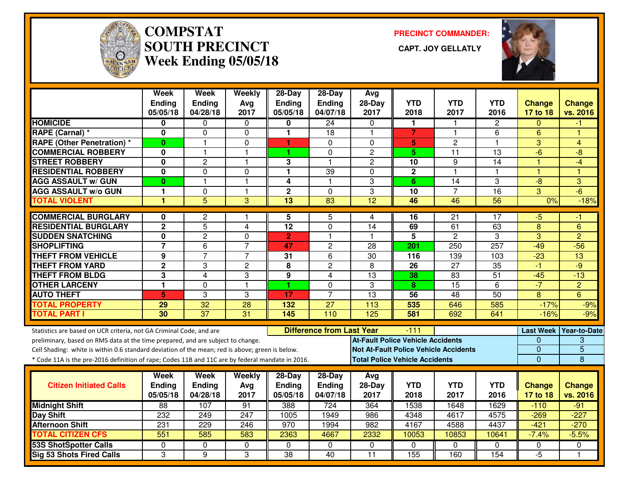

# **COMPSTAT PRECINCT COMMANDER: SOUTH PRECINCT CAPT. JOY GELLATLYWeek Ending 05/05/18**



|                                                                                                  | Week<br>Ending<br>05/05/18 | <b>Week</b><br>Ending<br>04/28/18 | Weekly<br>Avg<br>2017 | $28-Day$<br><b>Ending</b><br>05/05/18 | 28-Day<br>Ending<br>04/07/18     | Avg<br>28-Day<br>2017                        | <b>YTD</b><br>2018 | <b>YTD</b><br>2017 | <b>YTD</b><br>2016 | <b>Change</b><br>17 to 18 | <b>Change</b><br>vs. 2016 |
|--------------------------------------------------------------------------------------------------|----------------------------|-----------------------------------|-----------------------|---------------------------------------|----------------------------------|----------------------------------------------|--------------------|--------------------|--------------------|---------------------------|---------------------------|
| <b>HOMICIDE</b>                                                                                  | 0                          | 0                                 | $\Omega$              | 0                                     | 24                               | 0                                            | 1                  |                    | $\overline{2}$     | 0                         | -1                        |
| <b>RAPE (Carnal)*</b>                                                                            | 0                          | $\mathbf 0$                       | $\mathbf 0$           | 1                                     | 18                               | $\overline{1}$                               | $\overline{7}$     | $\overline{1}$     | 6                  | 6                         | 4                         |
| <b>RAPE (Other Penetration) *</b>                                                                | 0                          | 1                                 | 0                     | 1                                     | 0                                | 0                                            | 5                  | 2                  | 1                  | 3                         | 4                         |
| <b>COMMERCIAL ROBBERY</b>                                                                        | $\mathbf{0}$               |                                   | $\mathbf{1}$          | 1                                     | $\Omega$                         | $\overline{2}$                               | 5.                 | $\overline{11}$    | $\overline{13}$    | $-6$                      | $-8$                      |
| <b>STREET ROBBERY</b>                                                                            | 0                          | 2                                 | $\mathbf{1}$          | 3                                     | 1                                | $\overline{c}$                               | 10                 | 9                  | 14                 | $\overline{1}$            | $-4$                      |
| <b>RESIDENTIAL ROBBERY</b>                                                                       | 0                          | 0                                 | $\mathbf 0$           | 1                                     | $\overline{39}$                  | $\Omega$                                     | $\mathbf 2$        | $\overline{1}$     | 1                  | $\overline{1}$            | 1                         |
| <b>AGG ASSAULT w/ GUN</b>                                                                        | $\bf{0}$                   | $\mathbf{1}$                      | $\mathbf{1}$          | 4                                     | $\mathbf{1}$                     | 3                                            | 6                  | 14                 | 3                  | $-8$                      | 3                         |
| <b>AGG ASSAULT w/o GUN</b>                                                                       | 1                          | 0                                 | $\mathbf{1}$          | $\overline{2}$                        | $\Omega$                         | 3                                            | 10                 | $\overline{7}$     | 16                 | 3                         | $-6$                      |
| <b>TOTAL VIOLENT</b>                                                                             | 1                          | $\overline{5}$                    | 3                     | $\overline{13}$                       | $\overline{83}$                  | $\overline{12}$                              | 46                 | 46                 | 56                 | 0%                        | $-18%$                    |
| <b>COMMERCIAL BURGLARY</b>                                                                       | 0                          | 2                                 | $\mathbf{1}$          | 5                                     | 5                                | 4                                            | 16                 | $\overline{21}$    | 17                 | -5                        | -1                        |
| <b>RESIDENTIAL BURGLARY</b>                                                                      | $\mathbf 2$                | 5                                 | 4                     | 12                                    | $\Omega$                         | 14                                           | 69                 | 61                 | 63                 | 8                         | 6                         |
| <b>SUDDEN SNATCHING</b>                                                                          | 0                          | $\overline{2}$                    | $\Omega$              | $\overline{2}$                        | 1                                | $\mathbf 1$                                  | $\overline{5}$     | $\overline{2}$     | 3                  | 3                         | $\overline{2}$            |
| <b>SHOPLIFTING</b>                                                                               | $\overline{7}$             | 6                                 | $\overline{7}$        | 47                                    | $\overline{c}$                   | 28                                           | 201                | 250                | 257                | $-49$                     | $-56$                     |
| <b>THEFT FROM VEHICLE</b>                                                                        | 9                          | $\overline{7}$                    | $\overline{7}$        | 31                                    | 6                                | $\overline{30}$                              | 116                | 139                | 103                | $-23$                     | $\overline{13}$           |
| <b>THEFT FROM YARD</b>                                                                           | $\overline{2}$             | 3                                 | 2                     | 8                                     | $\overline{2}$                   | 8                                            | $\overline{26}$    | $\overline{27}$    | $\overline{35}$    | $-1$                      | $-9$                      |
| <b>THEFT FROM BLDG</b>                                                                           | 3                          | 4                                 | 3                     | 9                                     | $\overline{4}$                   | $\overline{13}$                              | 38                 | 83                 | $\overline{51}$    | $-45$                     | $-13$                     |
| <b>OTHER LARCENY</b>                                                                             | 1                          | $\Omega$                          | $\mathbf{1}$          | 1                                     | 0                                | 3                                            | 8                  | 15                 | 6                  | $-7$                      | $\overline{c}$            |
| <b>AUTO THEFT</b>                                                                                | 5                          | 3                                 | 3                     | 17                                    | $\overline{7}$                   | 13                                           | $\overline{56}$    | 48                 | 50                 | $\overline{8}$            | 6                         |
| <b>TOTAL PROPERTY</b>                                                                            | 29                         | $\overline{32}$                   | 28                    | 132                                   | 27                               | 113                                          | 535                | 646                | 585                | $-17%$                    | $-9%$                     |
| <b>TOTAL PART I</b>                                                                              | 30                         | $\overline{37}$                   | 31                    | 145                                   | 110                              | 125                                          | 581                | 692                | 641                | $-16%$                    | $-9%$                     |
| Statistics are based on UCR criteria, not GA Criminal Code, and are                              |                            |                                   |                       |                                       | <b>Difference from Last Year</b> |                                              | $-111$             |                    |                    |                           | Last Week Year-to-Date    |
| preliminary, based on RMS data at the time prepared, and are subject to change.                  |                            |                                   |                       |                                       |                                  | <b>At-Fault Police Vehicle Accidents</b>     |                    |                    |                    | 0                         | 3                         |
| Cell Shading: white is within 0.6 standard deviation of the mean; red is above; green is below.  |                            |                                   |                       |                                       |                                  | <b>Not At-Fault Police Vehicle Accidents</b> |                    |                    |                    | $\overline{0}$            | $\overline{5}$            |
| * Code 11A is the pre-2016 definition of rape; Codes 11B and 11C are by federal mandate in 2016. |                            |                                   |                       |                                       |                                  | <b>Total Police Vehicle Accidents</b>        |                    |                    |                    | $\overline{0}$            | 8                         |
|                                                                                                  | Week                       | Week                              | Weekly                | $28-Day$                              | $28$ -Day                        | Avg                                          |                    |                    |                    |                           |                           |
| <b>Citizen Initiated Calls</b>                                                                   | <b>Ending</b>              | <b>Ending</b>                     | Avg                   | <b>Ending</b>                         | Ending                           | $28-Day$                                     | <b>YTD</b>         | <b>YTD</b>         | <b>YTD</b>         | <b>Change</b>             | <b>Change</b>             |
|                                                                                                  | 05/05/18                   | 04/28/18                          | 2017                  | 05/05/18                              | 04/07/18                         | 2017                                         | 2018               | 2017               | 2016               | 17 to 18                  | vs. 2016                  |
| <b>Midnight Shift</b>                                                                            | 88                         | 107                               | 91                    | 388                                   | $\overline{724}$                 | 364                                          | 1538               | 1648               | 1629               | $-110$                    | $-91$                     |
| <b>Day Shift</b>                                                                                 | 232                        | 249                               | 247                   | 1005                                  | 1949                             | 986                                          | 4348               | 4617               | 4575               | $-269$                    | $-227$                    |
| <b>Afternoon Shift</b>                                                                           | 231                        | 229                               | 246                   | 970                                   | 1994                             | 982                                          | 4167               | 4588               | 4437               | $-421$                    | $-270$                    |
| <b>TOTAL CITIZEN CFS</b>                                                                         | 551                        | 585                               | 583                   | 2363                                  | 4667                             | 2332                                         | 10053              | 10853              | 10641              | $-7.4%$                   | $-5.5%$                   |
| <b>53S ShotSpotter Calls</b>                                                                     | 0                          | 0                                 | 0                     | $\Omega$                              | $\Omega$                         | 0                                            | $\Omega$           | $\Omega$           | $\Omega$           | 0                         | $\Omega$                  |
| <b>Sig 53 Shots Fired Calls</b>                                                                  | 3                          | 9                                 | 3                     | 38                                    | 40                               | 11                                           | 155                | 160                | 154                | $-5$                      | $\overline{\mathbf{1}}$   |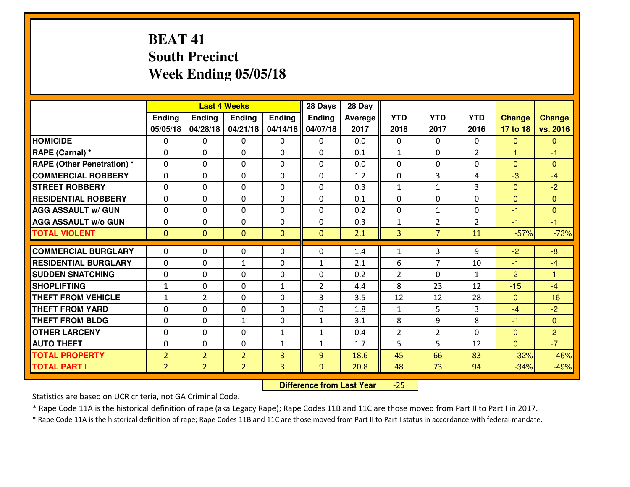## **BEAT 41 South PrecinctWeek Ending 05/05/18**

|                                   |                |                | <b>Last 4 Weeks</b> |              | 28 Days        | 28 Day  |                |                |                |                |                      |
|-----------------------------------|----------------|----------------|---------------------|--------------|----------------|---------|----------------|----------------|----------------|----------------|----------------------|
|                                   | Ending         | <b>Ending</b>  | <b>Ending</b>       | Ending       | <b>Ending</b>  | Average | <b>YTD</b>     | <b>YTD</b>     | <b>YTD</b>     | <b>Change</b>  | <b>Change</b>        |
|                                   | 05/05/18       | 04/28/18       | 04/21/18            | 04/14/18     | 04/07/18       | 2017    | 2018           | 2017           | 2016           | 17 to 18       | vs. 2016             |
| <b>HOMICIDE</b>                   | $\Omega$       | 0              | 0                   | $\Omega$     | $\Omega$       | 0.0     | 0              | $\Omega$       | 0              | $\Omega$       | $\Omega$             |
| RAPE (Carnal) *                   | $\Omega$       | 0              | $\Omega$            | $\Omega$     | $\Omega$       | 0.1     | $\mathbf{1}$   | $\Omega$       | $\overline{2}$ | 1              | -1                   |
| <b>RAPE (Other Penetration) *</b> | 0              | 0              | $\mathbf 0$         | 0            | 0              | 0.0     | 0              | 0              | 0              | $\overline{0}$ | $\mathbf{0}$         |
| <b>COMMERCIAL ROBBERY</b>         | 0              | 0              | $\mathbf 0$         | 0            | 0              | 1.2     | 0              | 3              | 4              | $-3$           | $-4$                 |
| <b>STREET ROBBERY</b>             | 0              | 0              | $\mathbf 0$         | 0            | 0              | 0.3     | $\mathbf{1}$   | $\mathbf{1}$   | 3              | $\mathbf{0}$   | $-2$                 |
| <b>RESIDENTIAL ROBBERY</b>        | 0              | 0              | $\mathbf 0$         | 0            | 0              | 0.1     | 0              | 0              | 0              | $\mathbf{0}$   | $\mathbf{0}$         |
| <b>AGG ASSAULT W/ GUN</b>         | 0              | 0              | $\mathbf 0$         | 0            | 0              | 0.2     | 0              | $\mathbf{1}$   | 0              | $-1$           | $\overline{0}$       |
| <b>AGG ASSAULT W/o GUN</b>        | 0              | 0              | 0                   | 0            | 0              | 0.3     | $\mathbf{1}$   | $\overline{2}$ | $\overline{2}$ | $-1$           | $-1$                 |
| <b>TOTAL VIOLENT</b>              | $\mathbf{0}$   | $\overline{0}$ | $\mathbf{O}$        | $\mathbf{0}$ | $\mathbf{0}$   | 2.1     | $\overline{3}$ | $\overline{7}$ | 11             | $-57%$         | $-73%$               |
| <b>COMMERCIAL BURGLARY</b>        | $\Omega$       | 0              | $\mathbf{0}$        | 0            | $\Omega$       | 1.4     | $\mathbf{1}$   | 3              | 9              | $-2$           | $-8$                 |
| <b>RESIDENTIAL BURGLARY</b>       | $\mathbf{0}$   | 0              | 1                   | 0            | $\mathbf{1}$   | 2.1     | 6              | $\overline{7}$ | 10             | $-1$           | $-4$                 |
| <b>SUDDEN SNATCHING</b>           | $\mathbf{0}$   | 0              | $\mathbf 0$         | 0            | 0              | 0.2     | $\overline{2}$ | $\Omega$       | $\mathbf{1}$   | $\overline{2}$ | $\blacktriangleleft$ |
| <b>SHOPLIFTING</b>                | $\mathbf{1}$   | 0              | $\mathbf 0$         | $\mathbf{1}$ | $\overline{2}$ | 4.4     | 8              | 23             | 12             | $-15$          | $-4$                 |
| <b>THEFT FROM VEHICLE</b>         | $\mathbf{1}$   | $\overline{2}$ | $\mathbf 0$         | $\Omega$     | 3              | 3.5     | 12             | 12             | 28             | $\Omega$       | $-16$                |
| <b>THEFT FROM YARD</b>            | 0              | 0              | $\mathbf 0$         | 0            | 0              | 1.8     | $\mathbf{1}$   | 5              | 3              | $-4$           | $-2$                 |
| <b>THEFT FROM BLDG</b>            | 0              | 0              | $\mathbf{1}$        | $\mathbf{0}$ | $\mathbf{1}$   | 3.1     | 8              | 9              | 8              | $-1$           | $\overline{0}$       |
| <b>OTHER LARCENY</b>              | 0              | 0              | $\mathbf 0$         | $\mathbf 1$  | $\mathbf{1}$   | 0.4     | $\overline{2}$ | $\overline{2}$ | 0              | $\mathbf{0}$   | $\overline{2}$       |
| <b>AUTO THEFT</b>                 | 0              | 0              | $\mathbf 0$         | $\mathbf{1}$ | $\mathbf{1}$   | 1.7     | 5              | 5              | 12             | $\overline{0}$ | $-7$                 |
| <b>TOTAL PROPERTY</b>             | $\overline{2}$ | $\overline{2}$ | $\overline{2}$      | 3            | 9              | 18.6    | 45             | 66             | 83             | $-32%$         | $-46%$               |
| <b>TOTAL PART I</b>               | $\overline{2}$ | $\overline{2}$ | $\overline{2}$      | 3            | 9              | 20.8    | 48             | 73             | 94             | $-34%$         | $-49%$               |
|                                   |                |                |                     |              |                |         |                |                |                |                |                      |

 **Difference from Last Year** $-25$ 

Statistics are based on UCR criteria, not GA Criminal Code.

\* Rape Code 11A is the historical definition of rape (aka Legacy Rape); Rape Codes 11B and 11C are those moved from Part II to Part I in 2017.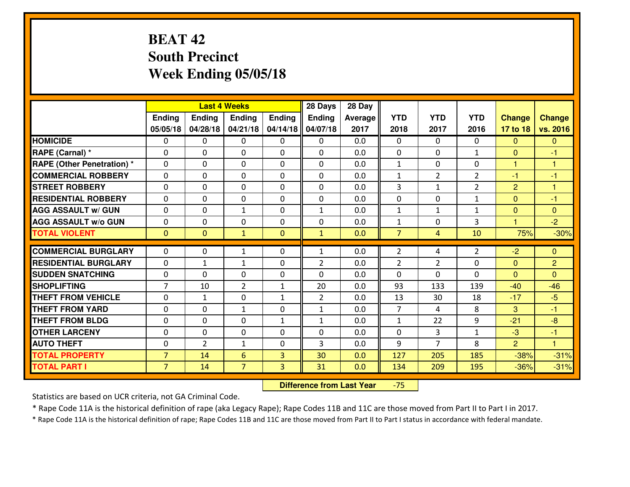## **BEAT 42 South PrecinctWeek Ending 05/05/18**

|                                  | <b>Last 4 Weeks</b><br>Ending<br>Ending<br><b>Ending</b><br><b>Ending</b> |                |                | 28 Days      | 28 Day         |         |                |                |                |                      |                      |
|----------------------------------|---------------------------------------------------------------------------|----------------|----------------|--------------|----------------|---------|----------------|----------------|----------------|----------------------|----------------------|
|                                  |                                                                           |                |                |              | <b>Ending</b>  | Average | <b>YTD</b>     | <b>YTD</b>     | <b>YTD</b>     | <b>Change</b>        | <b>Change</b>        |
|                                  | 05/05/18                                                                  | 04/28/18       | 04/21/18       | 04/14/18     | 04/07/18       | 2017    | 2018           | 2017           | 2016           | 17 to 18             | vs. 2016             |
| <b>HOMICIDE</b>                  | $\Omega$                                                                  | 0              | 0              | $\Omega$     | $\Omega$       | 0.0     | 0              | $\Omega$       | 0              | $\Omega$             | $\mathbf{0}$         |
| RAPE (Carnal) *                  | $\Omega$                                                                  | 0              | $\mathbf{0}$   | $\Omega$     | $\Omega$       | 0.0     | $\Omega$       | $\Omega$       | $\mathbf{1}$   | $\Omega$             | -1                   |
| <b>RAPE (Other Penetration)*</b> | 0                                                                         | 0              | $\mathbf 0$    | 0            | 0              | 0.0     | $\mathbf{1}$   | 0              | 0              | $\mathbf{1}$         | $\blacktriangleleft$ |
| <b>COMMERCIAL ROBBERY</b>        | 0                                                                         | 0              | $\mathbf 0$    | 0            | 0              | 0.0     | $\mathbf{1}$   | $\overline{2}$ | $\overline{2}$ | $-1$                 | $-1$                 |
| <b>STREET ROBBERY</b>            | 0                                                                         | 0              | $\mathbf 0$    | 0            | 0              | 0.0     | 3              | $\mathbf{1}$   | $\overline{2}$ | $\overline{2}$       | $\overline{1}$       |
| <b>RESIDENTIAL ROBBERY</b>       | 0                                                                         | 0              | $\mathbf 0$    | 0            | 0              | 0.0     | 0              | 0              | $\mathbf{1}$   | $\mathbf{0}$         | $-1$                 |
| <b>AGG ASSAULT W/ GUN</b>        | 0                                                                         | 0              | 1              | 0            | $\mathbf{1}$   | 0.0     | $\mathbf 1$    | $\mathbf{1}$   | $\mathbf{1}$   | $\mathbf{0}$         | $\overline{0}$       |
| <b>AGG ASSAULT W/o GUN</b>       | 0                                                                         | 0              | 0              | 0            | 0              | 0.0     | $\mathbf{1}$   | 0              | 3              | $\blacktriangleleft$ | $-2$                 |
| <b>TOTAL VIOLENT</b>             | $\mathbf{0}$                                                              | $\overline{0}$ | $\mathbf{1}$   | $\mathbf{0}$ | $\mathbf{1}$   | 0.0     | $\overline{7}$ | 4              | 10             | 75%                  | $-30%$               |
| <b>COMMERCIAL BURGLARY</b>       | $\Omega$                                                                  | 0              | $\mathbf{1}$   | 0            | $\mathbf{1}$   | 0.0     | 2              | 4              | $\overline{2}$ | $-2$                 | $\mathbf{0}$         |
| <b>RESIDENTIAL BURGLARY</b>      | $\mathbf{0}$                                                              | 1              | 1              | 0            | $\overline{2}$ | 0.0     | $\overline{2}$ | 2              | 0              | $\mathbf{0}$         | $\overline{2}$       |
| <b>SUDDEN SNATCHING</b>          | $\mathbf{0}$                                                              | 0              | $\mathbf 0$    | 0            | 0              | 0.0     | $\mathbf{0}$   | $\Omega$       | 0              | $\Omega$             | $\Omega$             |
| <b>SHOPLIFTING</b>               | $\overline{7}$                                                            | 10             | $\overline{2}$ | $\mathbf{1}$ | 20             | 0.0     | 93             | 133            | 139            | $-40$                | $-46$                |
| <b>THEFT FROM VEHICLE</b>        | 0                                                                         | $\mathbf{1}$   | $\mathbf 0$    | $\mathbf{1}$ | $\overline{2}$ | 0.0     | 13             | 30             | 18             | $-17$                | $-5$                 |
| <b>THEFT FROM YARD</b>           | 0                                                                         | 0              | 1              | 0            | $\mathbf{1}$   | 0.0     | $\overline{7}$ | 4              | 8              | 3                    | $-1$                 |
| <b>THEFT FROM BLDG</b>           | 0                                                                         | 0              | $\mathbf 0$    | $\mathbf{1}$ | $\mathbf{1}$   | 0.0     | $\mathbf{1}$   | 22             | 9              | $-21$                | $-8$                 |
| <b>OTHER LARCENY</b>             | 0                                                                         | 0              | $\mathbf 0$    | 0            | 0              | 0.0     | $\mathbf 0$    | 3              | $\mathbf{1}$   | -3                   | $-1$                 |
| <b>AUTO THEFT</b>                | 0                                                                         | $\overline{2}$ | $\mathbf{1}$   | 0            | 3              | 0.0     | 9              | $\overline{7}$ | 8              | $\overline{2}$       | $\overline{1}$       |
| <b>TOTAL PROPERTY</b>            | $\overline{7}$                                                            | 14             | 6              | 3            | 30             | 0.0     | 127            | 205            | 185            | $-38%$               | $-31%$               |
| <b>TOTAL PART I</b>              | $\overline{7}$                                                            | 14             | $\overline{7}$ | 3            | 31             | 0.0     | 134            | 209            | 195            | $-36%$               | $-31%$               |

 **Difference from Last Year**-75

Statistics are based on UCR criteria, not GA Criminal Code.

\* Rape Code 11A is the historical definition of rape (aka Legacy Rape); Rape Codes 11B and 11C are those moved from Part II to Part I in 2017.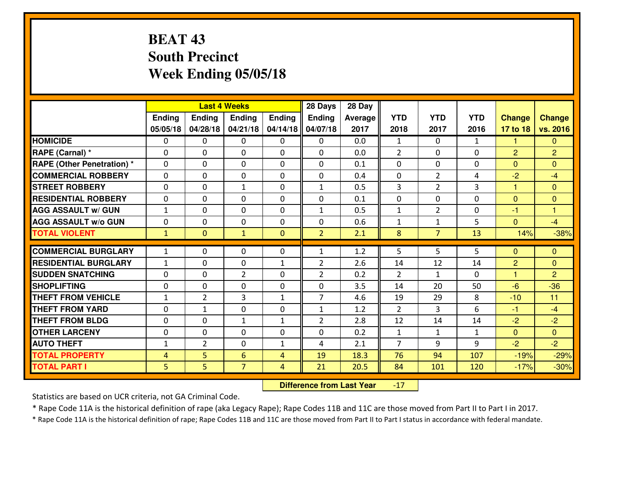## **BEAT 43 South PrecinctWeek Ending 05/05/18**

|                                   |                |                | <b>Last 4 Weeks</b> |                          | 28 Days        | 28 Day  |                      |                |              |                |                      |
|-----------------------------------|----------------|----------------|---------------------|--------------------------|----------------|---------|----------------------|----------------|--------------|----------------|----------------------|
|                                   | Ending         | <b>Ending</b>  | <b>Ending</b>       | <b>Ending</b>            | Ending         | Average | <b>YTD</b>           | <b>YTD</b>     | <b>YTD</b>   | <b>Change</b>  | <b>Change</b>        |
|                                   | 05/05/18       | 04/28/18       | 04/21/18            | 04/14/18                 | 04/07/18       | 2017    | 2018                 | 2017           | 2016         | 17 to 18       | vs. 2016             |
| <b>HOMICIDE</b>                   | $\Omega$       | 0              | 0                   | 0                        | 0              | 0.0     | $\mathbf{1}$         | $\Omega$       | $\mathbf{1}$ | 1              | $\Omega$             |
| RAPE (Carnal) *                   | $\Omega$       | 0              | $\mathbf{0}$        | $\Omega$                 | $\Omega$       | 0.0     | 2                    | $\Omega$       | 0            | 2              | $\overline{2}$       |
| <b>RAPE (Other Penetration) *</b> | 0              | 0              | $\mathbf 0$         | 0                        | 0              | 0.1     | $\mathbf{0}$         | 0              | 0            | $\mathbf{0}$   | $\Omega$             |
| <b>COMMERCIAL ROBBERY</b>         | 0              | 0              | $\mathbf 0$         | 0                        | 0              | 0.4     | 0                    | $\overline{2}$ | 4            | $-2$           | $-4$                 |
| <b>STREET ROBBERY</b>             | 0              | 0              | $\mathbf{1}$        | 0                        | $\mathbf{1}$   | 0.5     | $\overline{3}$       | $\overline{2}$ | 3            | $\mathbf{1}$   | $\overline{0}$       |
| <b>RESIDENTIAL ROBBERY</b>        | 0              | 0              | $\mathbf 0$         | 0                        | 0              | 0.1     | 0                    | 0              | 0            | $\mathbf{0}$   | $\overline{0}$       |
| <b>AGG ASSAULT W/ GUN</b>         | $\mathbf{1}$   | 0              | $\mathbf 0$         | 0                        | $\mathbf{1}$   | 0.5     | $\mathbf{1}$         | $\overline{2}$ | 0            | $-1$           | $\blacktriangleleft$ |
| <b>AGG ASSAULT W/o GUN</b>        | 0              | 0              | $\mathbf 0$         | $\Omega$                 | 0              | 0.6     | $\mathbf{1}$         | $\mathbf{1}$   | 5            | $\mathbf{0}$   | $-4$                 |
| <b>TOTAL VIOLENT</b>              | $\mathbf{1}$   | $\overline{0}$ | $\mathbf{1}$        | $\mathbf{0}$             | $\overline{2}$ | 2.1     | $\boldsymbol{8}$     | $\overline{7}$ | 13           | 14%            | $-38%$               |
| <b>COMMERCIAL BURGLARY</b>        | $\mathbf{1}$   | 0              | 0                   | 0                        | $\mathbf{1}$   | 1.2     | 5.                   | 5.             | 5            | $\mathbf{0}$   | $\mathbf{0}$         |
| <b>RESIDENTIAL BURGLARY</b>       | $\mathbf{1}$   | 0              |                     |                          | $\overline{2}$ | 2.6     |                      | 12             | 14           | $\overline{2}$ | $\mathbf{0}$         |
| <b>SUDDEN SNATCHING</b>           | $\Omega$       | 0              | 0<br>$\overline{2}$ | $\mathbf{1}$<br>$\Omega$ | $\overline{2}$ | 0.2     | 14<br>$\overline{2}$ | $\mathbf{1}$   | 0            | $\mathbf{1}$   | $\overline{2}$       |
| <b>SHOPLIFTING</b>                | 0              | 0              | $\mathbf 0$         | 0                        | 0              | 3.5     | 14                   | 20             | 50           | $-6$           | $-36$                |
| <b>THEFT FROM VEHICLE</b>         | $\mathbf{1}$   | $\overline{2}$ | 3                   | $\mathbf{1}$             | $\overline{7}$ | 4.6     | 19                   | 29             | 8            | $-10$          | 11                   |
| <b>THEFT FROM YARD</b>            | 0              | $\mathbf{1}$   | $\mathbf 0$         | 0                        | $\mathbf{1}$   | 1.2     | $\overline{2}$       | 3              | 6            | $-1$           | $-4$                 |
| <b>THEFT FROM BLDG</b>            | $\Omega$       | $\Omega$       | 1                   | $\mathbf{1}$             | $\overline{2}$ | 2.8     | 12                   | 14             | 14           | $-2$           | $-2$                 |
| <b>OTHER LARCENY</b>              | $\mathbf 0$    | 0              | $\mathbf 0$         | $\Omega$                 | 0              | 0.2     | $\mathbf 1$          | $\mathbf{1}$   | $\mathbf{1}$ | $\mathbf{0}$   | $\overline{0}$       |
| <b>AUTO THEFT</b>                 | $\mathbf{1}$   | $\overline{2}$ | $\mathbf 0$         | $\mathbf{1}$             | 4              | 2.1     | $\overline{7}$       | 9              | 9            | $-2$           | $-2$                 |
| <b>TOTAL PROPERTY</b>             | $\overline{4}$ | 5              | 6                   | $\overline{4}$           | 19             | 18.3    | 76                   | 94             | 107          | $-19%$         | $-29%$               |
| <b>TOTAL PART I</b>               | 5              | 5              | $\overline{7}$      |                          | 21             | 20.5    | 84                   |                |              |                |                      |
|                                   |                |                |                     | 4                        |                |         |                      | 101            | 120          | $-17%$         | $-30%$               |

 **Difference from Last Year**-17

Statistics are based on UCR criteria, not GA Criminal Code.

\* Rape Code 11A is the historical definition of rape (aka Legacy Rape); Rape Codes 11B and 11C are those moved from Part II to Part I in 2017.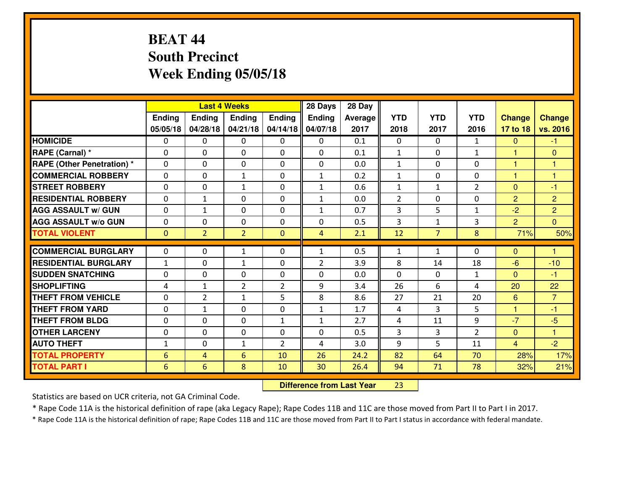## **BEAT 44 South PrecinctWeek Ending 05/05/18**

|                                   |               |                | <b>Last 4 Weeks</b> |                | 28 Days        | 28 Day  |                |                |                |                |                |
|-----------------------------------|---------------|----------------|---------------------|----------------|----------------|---------|----------------|----------------|----------------|----------------|----------------|
|                                   | <b>Ending</b> | <b>Ending</b>  | <b>Ending</b>       | <b>Ending</b>  | Ending         | Average | <b>YTD</b>     | <b>YTD</b>     | <b>YTD</b>     | <b>Change</b>  | Change         |
|                                   | 05/05/18      | 04/28/18       | 04/21/18            | 04/14/18       | 04/07/18       | 2017    | 2018           | 2017           | 2016           | 17 to 18       | vs. 2016       |
| <b>HOMICIDE</b>                   | $\Omega$      | 0              | $\Omega$            | 0              | 0              | 0.1     | 0              | $\Omega$       | $\mathbf{1}$   | $\mathbf{0}$   | $-1$           |
| RAPE (Carnal) *                   | 0             | 0              | $\mathbf 0$         | 0              | 0              | 0.1     | $\mathbf{1}$   | 0              | $\mathbf{1}$   | $\mathbf{1}$   | $\mathbf{0}$   |
| <b>RAPE (Other Penetration) *</b> | $\Omega$      | 0              | $\mathbf{0}$        | $\Omega$       | 0              | 0.0     | 1              | $\Omega$       | $\Omega$       | 1              | 1              |
| <b>COMMERCIAL ROBBERY</b>         | $\Omega$      | $\Omega$       | 1                   | $\Omega$       | $\mathbf{1}$   | 0.2     | $\mathbf{1}$   | $\Omega$       | $\Omega$       | 1              | 1              |
| <b>STREET ROBBERY</b>             | 0             | 0              | 1                   | 0              | $\mathbf{1}$   | 0.6     | $\mathbf{1}$   | $\mathbf{1}$   | $\overline{2}$ | $\mathbf 0$    | $-1$           |
| <b>RESIDENTIAL ROBBERY</b>        | $\Omega$      | 1              | $\mathbf 0$         | $\Omega$       | $\mathbf{1}$   | 0.0     | $\overline{2}$ | $\Omega$       | 0              | $\overline{2}$ | $\overline{2}$ |
| <b>AGG ASSAULT w/ GUN</b>         | 0             | $\mathbf{1}$   | $\mathbf 0$         | 0              | $\mathbf{1}$   | 0.7     | 3              | 5              | $\mathbf{1}$   | $-2$           | $\overline{2}$ |
| <b>AGG ASSAULT W/o GUN</b>        | 0             | 0              | $\mathbf 0$         | 0              | 0              | 0.5     | 3              | $\mathbf{1}$   | 3              | $\overline{2}$ | $\overline{0}$ |
| <b>TOTAL VIOLENT</b>              | $\mathbf{0}$  | $\overline{2}$ | $\overline{2}$      | $\overline{0}$ | $\overline{4}$ | 2.1     | 12             | 7 <sup>1</sup> | 8              | 71%            | 50%            |
|                                   |               |                |                     |                |                |         |                |                |                |                |                |
| <b>COMMERCIAL BURGLARY</b>        | 0             | 0              | 1                   | 0              | 1              | 0.5     | $\mathbf{1}$   | $\mathbf{1}$   | $\Omega$       | $\mathbf{0}$   | 1              |
| <b>RESIDENTIAL BURGLARY</b>       | $\mathbf{1}$  | 0              | 1                   | 0              | $\overline{2}$ | 3.9     | 8              | 14             | 18             | $-6$           | $-10$          |
| <b>SUDDEN SNATCHING</b>           | $\Omega$      | 0              | $\mathbf{0}$        | $\Omega$       | $\Omega$       | 0.0     | $\Omega$       | $\Omega$       | $\mathbf{1}$   | $\mathbf{0}$   | $-1$           |
| <b>SHOPLIFTING</b>                | 4             | $\mathbf{1}$   | $\overline{2}$      | $\overline{2}$ | 9              | 3.4     | 26             | 6              | 4              | 20             | 22             |
| <b>THEFT FROM VEHICLE</b>         | $\Omega$      | $\overline{2}$ | $\mathbf{1}$        | 5              | 8              | 8.6     | 27             | 21             | 20             | 6              | $\overline{7}$ |
| <b>THEFT FROM YARD</b>            | 0             | 1              | $\mathbf 0$         | 0              | $\mathbf{1}$   | 1.7     | 4              | 3              | 5              | 1              | $-1$           |
| <b>THEFT FROM BLDG</b>            | $\Omega$      | 0              | $\mathbf{0}$        | $\mathbf{1}$   | $\mathbf{1}$   | 2.7     | 4              | 11             | 9              | $-7$           | $-5$           |
| <b>OTHER LARCENY</b>              | 0             | 0              | $\mathbf{0}$        | 0              | $\Omega$       | 0.5     | 3              | 3              | $\overline{2}$ | $\mathbf{0}$   | 1              |
| <b>AUTO THEFT</b>                 | $\mathbf{1}$  | 0              | 1                   | $\overline{2}$ | 4              | 3.0     | 9              | 5.             | 11             | $\overline{4}$ | $-2$           |
| <b>TOTAL PROPERTY</b>             | 6             | 4              | 6                   | 10             | 26             | 24.2    | 82             | 64             | 70             | 28%            | 17%            |
|                                   |               |                |                     |                |                |         |                |                |                |                |                |
| <b>TOTAL PART I</b>               | 6             | 6              | 8                   | 10             | 30             | 26.4    | 94             | 71             | 78             | 32%            | 21%            |

 **Difference from Last Year**<sup>23</sup>

Statistics are based on UCR criteria, not GA Criminal Code.

\* Rape Code 11A is the historical definition of rape (aka Legacy Rape); Rape Codes 11B and 11C are those moved from Part II to Part I in 2017.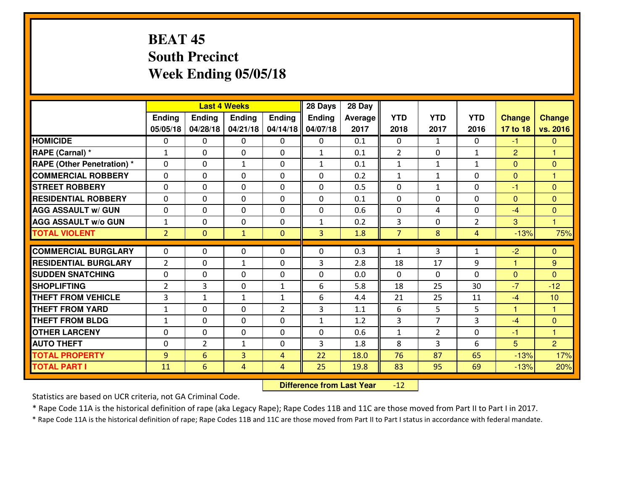## **BEAT 45 South PrecinctWeek Ending 05/05/18**

|                                   |                |                 | <b>Last 4 Weeks</b> |                | 28 Days      | 28 Day  |                |                |                |                |                |
|-----------------------------------|----------------|-----------------|---------------------|----------------|--------------|---------|----------------|----------------|----------------|----------------|----------------|
|                                   | Ending         | Ending          | <b>Ending</b>       | <b>Ending</b>  | Ending       | Average | <b>YTD</b>     | <b>YTD</b>     | <b>YTD</b>     | <b>Change</b>  | <b>Change</b>  |
|                                   | 05/05/18       | 04/28/18        | 04/21/18            | 04/14/18       | 04/07/18     | 2017    | 2018           | 2017           | 2016           | 17 to 18       | vs. 2016       |
| <b>HOMICIDE</b>                   | $\Omega$       | $\Omega$        | 0                   | 0              | $\Omega$     | 0.1     | $\Omega$       | $\mathbf{1}$   | $\Omega$       | $-1$           | $\mathbf{0}$   |
| RAPE (Carnal) *                   | $\mathbf{1}$   | $\Omega$        | $\mathbf{0}$        | 0              | $\mathbf{1}$ | 0.1     | 2              | $\Omega$       | $\mathbf{1}$   | 2              | $\mathbf{1}$   |
| <b>RAPE (Other Penetration) *</b> | 0              | 0               | $\mathbf{1}$        | 0              | $\mathbf{1}$ | 0.1     | $\mathbf{1}$   | $\mathbf{1}$   | $\mathbf{1}$   | $\mathbf 0$    | $\mathbf{0}$   |
| <b>COMMERCIAL ROBBERY</b>         | 0              | 0               | 0                   | $\Omega$       | 0            | 0.2     | $\mathbf{1}$   | $\mathbf{1}$   | 0              | $\mathbf{0}$   | $\mathbf{1}$   |
| <b>STREET ROBBERY</b>             | 0              | $\mathbf 0$     | $\mathbf 0$         | 0              | $\mathbf 0$  | 0.5     | $\mathbf 0$    | $\mathbf{1}$   | 0              | $-1$           | $\overline{0}$ |
| <b>RESIDENTIAL ROBBERY</b>        | 0              | 0               | $\mathbf 0$         | 0              | 0            | 0.1     | $\mathbf 0$    | $\mathbf 0$    | 0              | $\overline{0}$ | $\mathbf{0}$   |
| <b>AGG ASSAULT W/ GUN</b>         | 0              | 0               | $\mathbf 0$         | $\Omega$       | 0            | 0.6     | $\mathbf 0$    | 4              | 0              | $-4$           | $\mathbf{0}$   |
| <b>AGG ASSAULT W/o GUN</b>        | $\mathbf{1}$   | 0               | $\mathbf 0$         | $\Omega$       | $\mathbf{1}$ | 0.2     | 3              | $\Omega$       | $\overline{2}$ | 3              | 1              |
| <b>TOTAL VIOLENT</b>              | $\overline{2}$ | $\overline{0}$  | $\mathbf{1}$        | $\mathbf{0}$   | 3            | 1.8     | $\overline{7}$ | 8              | 4              | $-13%$         | 75%            |
| <b>COMMERCIAL BURGLARY</b>        | $\Omega$       | 0               | $\mathbf{0}$        | 0              | 0            | 0.3     | $\mathbf{1}$   | 3              | 1              | $-2$           | $\mathbf{0}$   |
| <b>RESIDENTIAL BURGLARY</b>       | $\overline{2}$ | 0               | 1                   | 0              | 3            | 2.8     | 18             | 17             | 9              | 1              | 9              |
| <b>SUDDEN SNATCHING</b>           | 0              | 0               | $\mathbf 0$         | $\Omega$       | 0            | 0.0     | $\Omega$       | $\Omega$       | $\Omega$       | $\mathbf{0}$   | $\Omega$       |
| <b>SHOPLIFTING</b>                | $\overline{2}$ | 3               | $\mathbf 0$         | $\mathbf{1}$   | 6            | 5.8     | 18             | 25             | 30             | $-7$           | $-12$          |
| <b>THEFT FROM VEHICLE</b>         | 3              | $\mathbf{1}$    | $\mathbf{1}$        | $\mathbf{1}$   | 6            | 4.4     | 21             | 25             | 11             | $-4$           | 10             |
| <b>THEFT FROM YARD</b>            | $\mathbf{1}$   | 0               | $\mathbf 0$         | $\overline{2}$ | 3            | 1.1     | 6              | 5              | 5              | 1              | $\mathbf{1}$   |
| <b>THEFT FROM BLDG</b>            | $\mathbf{1}$   | $\Omega$        | $\mathbf 0$         | $\Omega$       | $\mathbf{1}$ | 1.2     | 3              | $\overline{7}$ | 3              | $-4$           | $\mathbf{0}$   |
| <b>OTHER LARCENY</b>              | 0              | $\mathbf 0$     | $\mathbf 0$         | $\Omega$       | 0            | 0.6     | $\mathbf{1}$   | $\overline{2}$ | $\Omega$       | $-1$           | $\overline{1}$ |
| <b>AUTO THEFT</b>                 | 0              | $\overline{2}$  | $\mathbf{1}$        | 0              | 3            | 1.8     | 8              | 3              | 6              | 5              | $\overline{2}$ |
| <b>TOTAL PROPERTY</b>             | 9              | 6               | 3                   | 4              | 22           | 18.0    | 76             | 87             | 65             | $-13%$         | 17%            |
| <b>TOTAL PART I</b>               | 11             | $6\overline{6}$ | 4                   | 4              | 25           | 19.8    | 83             | 95             | 69             | $-13%$         | 20%            |

 **Difference from Last Year** $-12$ 

Statistics are based on UCR criteria, not GA Criminal Code.

\* Rape Code 11A is the historical definition of rape (aka Legacy Rape); Rape Codes 11B and 11C are those moved from Part II to Part I in 2017.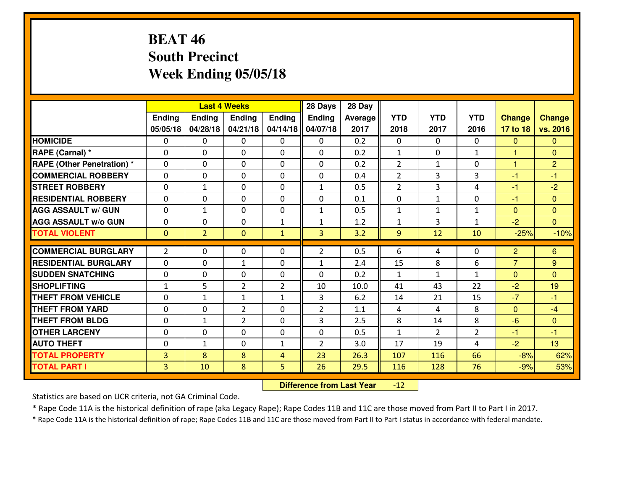## **BEAT 46 South PrecinctWeek Ending 05/05/18**

|                                  |                |                | <b>Last 4 Weeks</b> |                | 28 Days           | 28 Day  |                |                |                |                      |                |
|----------------------------------|----------------|----------------|---------------------|----------------|-------------------|---------|----------------|----------------|----------------|----------------------|----------------|
|                                  | Ending         | <b>Ending</b>  | <b>Ending</b>       | Ending         | <b>Ending</b>     | Average | <b>YTD</b>     | <b>YTD</b>     | <b>YTD</b>     | <b>Change</b>        | <b>Change</b>  |
|                                  | 05/05/18       | 04/28/18       | 04/21/18            | 04/14/18       | 04/07/18          | 2017    | 2018           | 2017           | 2016           | 17 to 18             | vs. 2016       |
| <b>HOMICIDE</b>                  | $\Omega$       | 0              | 0                   | $\Omega$       | $\Omega$          | 0.2     | 0              | $\Omega$       | 0              | $\Omega$             | $\mathbf{0}$   |
| RAPE (Carnal) *                  | $\Omega$       | 0              | $\Omega$            | $\Omega$       | $\Omega$          | 0.2     | $\mathbf{1}$   | $\Omega$       | $\mathbf{1}$   | 1                    | $\Omega$       |
| <b>RAPE (Other Penetration)*</b> | 0              | 0              | $\mathbf 0$         | 0              | 0                 | 0.2     | 2              | $\mathbf{1}$   | 0              | $\mathbf{1}$         | $\overline{2}$ |
| <b>COMMERCIAL ROBBERY</b>        | 0              | 0              | $\mathbf 0$         | 0              | 0                 | 0.4     | $\overline{2}$ | 3              | 3              | $-1$                 | $-1$           |
| <b>STREET ROBBERY</b>            | 0              | $\mathbf{1}$   | $\mathbf 0$         | 0              | $\mathbf{1}$      | 0.5     | $\overline{2}$ | 3              | 4              | $-1$                 | $-2$           |
| <b>RESIDENTIAL ROBBERY</b>       | 0              | 0              | $\mathbf 0$         | 0              | 0                 | 0.1     | 0              | $\mathbf{1}$   | 0              | $-1$                 | $\mathbf{0}$   |
| <b>AGG ASSAULT W/ GUN</b>        | 0              | $\mathbf{1}$   | $\mathbf 0$         | 0              | $\mathbf{1}$      | 0.5     | $\mathbf 1$    | $\mathbf{1}$   | $\mathbf{1}$   | $\mathbf{0}$         | $\overline{0}$ |
| <b>AGG ASSAULT W/o GUN</b>       | 0              | 0              | 0                   | 1              | $\mathbf{1}$      | 1.2     | $\mathbf{1}$   | 3              | $\mathbf{1}$   | $-2$                 | $\overline{0}$ |
| <b>TOTAL VIOLENT</b>             | $\mathbf{0}$   | $\overline{2}$ | $\overline{0}$      | $\mathbf{1}$   | 3                 | 3.2     | 9              | 12             | 10             | $-25%$               | $-10%$         |
| <b>COMMERCIAL BURGLARY</b>       | $\overline{2}$ | 0              | $\mathbf{0}$        | 0              | $\overline{2}$    | 0.5     | 6              | 4              | 0              | $\overline{2}$       | 6              |
| <b>RESIDENTIAL BURGLARY</b>      | 0              | 0              |                     | 0              |                   | 2.4     | 15             | 8              | 6              | $\overline{7}$       | 9              |
| <b>SUDDEN SNATCHING</b>          | 0              | 0              | 1<br>$\mathbf 0$    | 0              | $\mathbf{1}$<br>0 | 0.2     | $\mathbf{1}$   | $\mathbf{1}$   | $\mathbf{1}$   |                      | $\Omega$       |
| <b>SHOPLIFTING</b>               | $\mathbf{1}$   | 5              | $\overline{2}$      | $\overline{2}$ | 10                | 10.0    | 41             | 43             | 22             | $\mathbf{0}$<br>$-2$ | 19             |
| <b>THEFT FROM VEHICLE</b>        | 0              | $\mathbf{1}$   | 1                   | $\mathbf{1}$   | 3                 | 6.2     | 14             | 21             | 15             | $-7$                 | $-1$           |
| <b>THEFT FROM YARD</b>           | 0              | 0              | $\overline{2}$      | 0              | $\overline{2}$    | 1.1     | 4              | 4              | 8              | $\mathbf{0}$         | $-4$           |
| <b>THEFT FROM BLDG</b>           | 0              | $\mathbf{1}$   | $\overline{2}$      | $\mathbf{0}$   | 3                 | 2.5     | 8              | 14             | 8              | $-6$                 | $\overline{0}$ |
| <b>OTHER LARCENY</b>             | 0              | 0              | $\mathbf 0$         | $\mathbf 0$    | 0                 | 0.5     | $\mathbf 1$    | $\overline{2}$ | $\overline{2}$ | $-1$                 | $-1$           |
| <b>AUTO THEFT</b>                | 0              | $\mathbf{1}$   | $\mathbf 0$         | $\mathbf{1}$   | $\overline{2}$    | 3.0     | 17             | 19             | 4              | $-2$                 | 13             |
| <b>TOTAL PROPERTY</b>            | $\overline{3}$ | 8              | 8                   | $\overline{4}$ | 23                | 26.3    | 107            | 116            | 66             | $-8%$                | 62%            |
|                                  |                |                | 8                   |                |                   |         |                |                | 76             |                      |                |
| <b>TOTAL PART I</b>              | $\overline{3}$ | 10             |                     | 5              | 26                | 29.5    | 116            | 128            |                | $-9%$                | 53%            |

 **Difference from Last Year** $-12$ 

Statistics are based on UCR criteria, not GA Criminal Code.

\* Rape Code 11A is the historical definition of rape (aka Legacy Rape); Rape Codes 11B and 11C are those moved from Part II to Part I in 2017.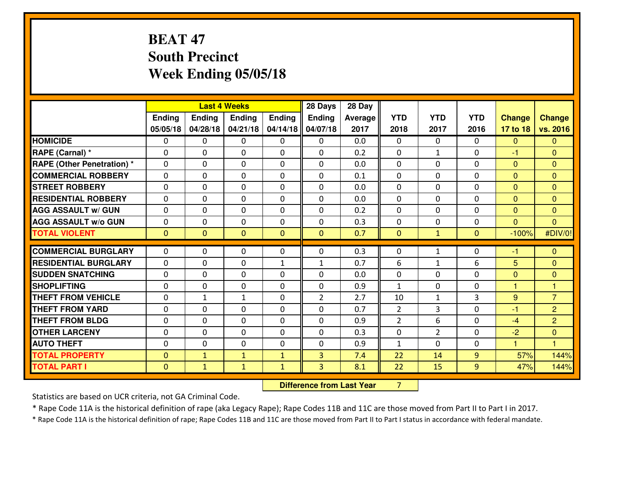## **BEAT 47 South PrecinctWeek Ending 05/05/18**

|                                              |                                  | <b>Last 4 Weeks</b> |                          |                      | 28 Days        | 28 Day     |                          |                |               |                   |                |
|----------------------------------------------|----------------------------------|---------------------|--------------------------|----------------------|----------------|------------|--------------------------|----------------|---------------|-------------------|----------------|
|                                              | Ending                           | <b>Ending</b>       | Ending                   | Ending               | Ending         | Average    | <b>YTD</b>               | <b>YTD</b>     | <b>YTD</b>    | <b>Change</b>     | <b>Change</b>  |
|                                              | 05/05/18                         | 04/28/18            | 04/21/18                 | 04/14/18             | 04/07/18       | 2017       | 2018                     | 2017           | 2016          | 17 to 18          | vs. 2016       |
| <b>HOMICIDE</b>                              | $\Omega$                         | 0                   | $\mathbf{0}$             | 0                    | $\mathbf{0}$   | 0.0        | $\Omega$                 | $\Omega$       | $\Omega$      | $\mathbf 0$       | $\Omega$       |
| RAPE (Carnal) *                              | $\Omega$                         | 0                   | $\Omega$                 | $\Omega$             | 0              | 0.2        | $\mathbf{0}$             | $\mathbf{1}$   | $\Omega$      | $-1$              | $\mathbf{0}$   |
| <b>RAPE (Other Penetration) *</b>            | $\mathbf{0}$                     | 0                   | $\Omega$                 | $\Omega$             | $\Omega$       | 0.0        | $\Omega$                 | $\Omega$       | $\Omega$      | $\Omega$          | $\Omega$       |
| <b>COMMERCIAL ROBBERY</b>                    | $\mathbf 0$                      | 0                   | $\mathbf 0$              | 0                    | 0              | 0.1        | 0                        | $\Omega$       | 0             | $\mathbf{0}$      | $\mathbf{0}$   |
| <b>STREET ROBBERY</b>                        | $\Omega$                         | 0                   | $\Omega$                 | $\Omega$             | 0              | 0.0        | $\Omega$                 | $\Omega$       | $\Omega$      | $\mathbf{0}$      | $\mathbf{0}$   |
| <b>RESIDENTIAL ROBBERY</b>                   | $\mathbf{0}$                     | 0                   | $\mathbf 0$              | 0                    | $\Omega$       | 0.0        | $\Omega$                 | $\Omega$       | 0             | $\Omega$          | $\Omega$       |
| <b>AGG ASSAULT w/ GUN</b>                    | $\Omega$                         | 0                   | $\Omega$                 | $\Omega$             | $\Omega$       | 0.2        | $\Omega$                 | $\Omega$       | $\Omega$      | $\Omega$          | $\overline{0}$ |
| <b>AGG ASSAULT W/o GUN</b>                   | $\mathbf 0$                      | 0                   | $\mathbf 0$              | 0                    | 0              | 0.3        | $\mathbf 0$              | 0              | 0             | $\overline{0}$    | $\overline{0}$ |
| <b>TOTAL VIOLENT</b>                         | $\overline{0}$                   | $\overline{0}$      | $\mathbf{0}$             | $\mathbf{0}$         | $\mathbf{0}$   | 0.7        | $\mathbf{0}$             | $\mathbf{1}$   | $\mathbf{0}$  | $-100%$           | #DIV/0!        |
| <b>COMMERCIAL BURGLARY</b>                   | $\mathbf 0$                      | 0                   | $\mathbf{0}$             | 0                    | 0              | 0.3        | $\mathbf{0}$             | $\mathbf{1}$   | 0             | -1                | $\mathbf{0}$   |
| <b>RESIDENTIAL BURGLARY</b>                  | $\Omega$                         |                     |                          |                      |                |            |                          |                |               |                   |                |
| <b>SUDDEN SNATCHING</b>                      | $\Omega$                         | 0                   | $\mathbf{0}$             | $\mathbf{1}$         | $\mathbf{1}$   | 0.7        | 6                        | $\mathbf{1}$   | 6<br>$\Omega$ | 5                 | $\mathbf{0}$   |
| <b>SHOPLIFTING</b>                           | $\Omega$                         | 0<br>0              | $\Omega$<br>$\mathbf{0}$ | $\Omega$<br>$\Omega$ | 0<br>0         | 0.0<br>0.9 | $\Omega$<br>$\mathbf{1}$ | $\Omega$<br>0  | 0             | $\mathbf{0}$<br>1 | $\Omega$<br>1. |
|                                              |                                  |                     |                          |                      |                |            |                          |                |               |                   | $\overline{7}$ |
| <b>THEFT FROM VEHICLE</b>                    | $\Omega$                         | $\mathbf{1}$        | 1                        | $\Omega$             | $\overline{2}$ | 2.7        | 10                       | $\mathbf{1}$   | 3             | 9                 |                |
| <b>THEFT FROM YARD</b>                       | $\mathbf 0$                      | 0                   | $\mathbf 0$              | 0                    | $\Omega$       | 0.7        | $\overline{2}$           | 3              | $\Omega$      | $-1$              | $\overline{2}$ |
| <b>THEFT FROM BLDG</b>                       | $\mathbf 0$                      | 0                   | $\mathbf 0$              | 0                    | 0              | 0.9        | 2                        | 6              | 0             | $-4$              | $\overline{2}$ |
| <b>OTHER LARCENY</b>                         | $\mathbf 0$                      | 0                   | $\mathbf 0$              | 0                    | 0              | 0.3        | 0                        | $\overline{2}$ | 0             | $-2$              | $\overline{0}$ |
| <b>AUTO THEFT</b>                            | $\mathbf{0}$                     | 0                   | $\mathbf 0$              | 0                    | 0              | 0.9        | $\mathbf{1}$             | $\Omega$       | 0             | $\mathbf{1}$      | $\mathbf{1}$   |
|                                              |                                  | $\mathbf{1}$        | $\mathbf{1}$             | $\mathbf{1}$         | 3              | 7.4        | 22                       | 14             | 9             | 57%               | 144%           |
| <b>TOTAL PROPERTY</b><br><b>TOTAL PART I</b> | $\overline{0}$<br>$\overline{0}$ |                     |                          |                      | 3              | 8.1        | 22                       | 15             | 9             | 47%               | 144%           |

 **Difference from Last Year**<sup>7</sup>

Statistics are based on UCR criteria, not GA Criminal Code.

\* Rape Code 11A is the historical definition of rape (aka Legacy Rape); Rape Codes 11B and 11C are those moved from Part II to Part I in 2017.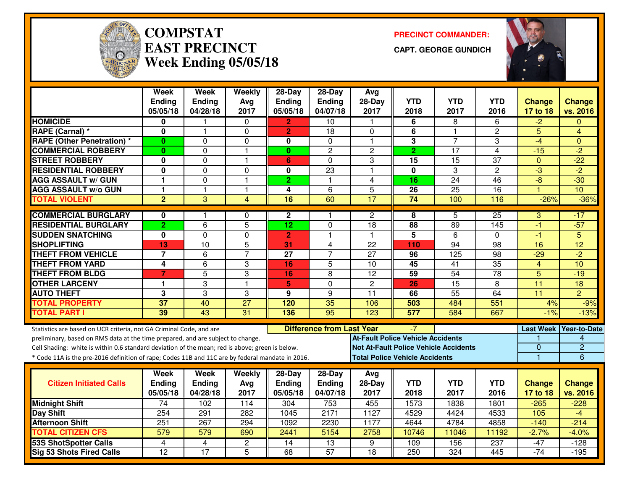

#### **COMPSTATEAST PRECINCTWeek Ending 05/05/18**

**PRECINCT COMMANDER:**

**CAPT. GEORGE GUNDICH**



|                                                                                                  | <b>Week</b><br><b>Ending</b> | <b>Week</b><br>Ending | Weekly<br>Avg   | $28-Day$<br><b>Ending</b> | $28-Day$<br><b>Ending</b>        | Avg<br>$28-Day$                              | <b>YTD</b>                            | <b>YTD</b>      | <b>YTD</b>      | <b>Change</b>   | <b>Change</b>          |
|--------------------------------------------------------------------------------------------------|------------------------------|-----------------------|-----------------|---------------------------|----------------------------------|----------------------------------------------|---------------------------------------|-----------------|-----------------|-----------------|------------------------|
|                                                                                                  | 05/05/18                     | 04/28/18              | 2017            | 05/05/18                  | 04/07/18                         | 2017                                         | 2018                                  | 2017            | 2016            | 17 to 18        | vs. 2016               |
| <b>HOMICIDE</b>                                                                                  | 0                            |                       | $\Omega$        | $\overline{2}$            | 10                               | -1                                           | 6                                     | 8               | 6               | $-2$            | $\Omega$               |
| RAPE (Carnal) *                                                                                  | 0                            | 1                     | $\Omega$        | $\overline{2}$            | 18                               | $\Omega$                                     | 6                                     | $\mathbf{1}$    | $\overline{2}$  | 5               | 4                      |
| <b>RAPE (Other Penetration) *</b>                                                                | $\bf{0}$                     | 0                     | $\Omega$        | $\bf{0}$                  | $\Omega$                         | $\mathbf{1}$                                 | 3                                     | $\overline{7}$  | 3               | $-4$            | $\Omega$               |
| <b>COMMERCIAL ROBBERY</b>                                                                        | $\bf{0}$                     | 0                     | $\mathbf{1}$    | $\mathbf{0}$              | $\overline{c}$                   | $\overline{c}$                               | $\overline{2}$                        | 17              | $\overline{4}$  | $-15$           | $-2$                   |
| <b>STREET ROBBERY</b>                                                                            | 0                            | 0                     | $\mathbf{1}$    | 6                         | $\Omega$                         | 3                                            | 15                                    | 15              | 37              | $\mathbf{0}$    | $-22$                  |
| <b>RESIDENTIAL ROBBERY</b>                                                                       | $\mathbf{0}$                 | 0                     | $\mathbf 0$     | $\mathbf 0$               | $\overline{23}$                  | $\overline{1}$                               | $\mathbf 0$                           | 3               | $\overline{c}$  | $-3$            | $-2$                   |
| <b>AGG ASSAULT w/ GUN</b>                                                                        | 1                            | 0                     | $\mathbf{1}$    | $\overline{2}$            | $\mathbf{1}$                     | 4                                            | 16                                    | 24              | 46              | $-8$            | $-30$                  |
| <b>AGG ASSAULT w/o GUN</b>                                                                       | $\overline{1}$               | $\mathbf{1}$          | $\mathbf{1}$    | $\overline{\mathbf{4}}$   | $\overline{6}$                   | $\overline{5}$                               | $\overline{26}$                       | $\overline{25}$ | $\overline{16}$ | $\overline{1}$  | 10                     |
| <b>TOTAL VIOLENT</b>                                                                             | $\overline{2}$               | 3                     | 4               | $\overline{16}$           | 60                               | 17                                           | 74                                    | 100             | 116             | $-26%$          | $-36%$                 |
| <b>COMMERCIAL BURGLARY</b>                                                                       | 0                            | 1                     | 0               | $\mathbf{2}$              | 1.                               | $\mathbf{2}$                                 | 8                                     | 5               | 25              | 3               | $-17$                  |
| <b>RESIDENTIAL BURGLARY</b>                                                                      | $\overline{2}$               | $\overline{6}$        | $\overline{5}$  | $\overline{12}$           | $\mathbf 0$                      | $\overline{18}$                              | 88                                    | 89              | 145             | $-1$            | $-57$                  |
| <b>SUDDEN SNATCHING</b>                                                                          | 0                            | 0                     | $\Omega$        | $\overline{2}$            | $\mathbf{1}$                     | $\mathbf{1}$                                 | $\overline{\mathbf{5}}$               | 6               | $\Omega$        | $-1$            | 5                      |
| <b>SHOPLIFTING</b>                                                                               | 13                           | 10                    | 5               | 31                        | 4                                | $\overline{22}$                              | 110                                   | $\overline{94}$ | 98              | 16              | $\overline{12}$        |
| <b>THEFT FROM VEHICLE</b>                                                                        | $\overline{7}$               | 6                     | $\overline{7}$  | $\overline{27}$           | 7                                | $\overline{27}$                              | 96                                    | 125             | $\overline{98}$ | $-29$           | $\overline{2}$         |
| <b>THEFT FROM YARD</b>                                                                           | $\overline{\mathbf{4}}$      | $\overline{6}$        | 3               | 16                        | $\overline{5}$                   | $\overline{10}$                              | $\overline{45}$                       | $\overline{41}$ | $\overline{35}$ | $\overline{4}$  | 10                     |
| <b>THEFT FROM BLDG</b>                                                                           | $\overline{7}$               | $\overline{5}$        | 3               | 16                        | 8                                | $\overline{12}$                              | 59                                    | $\overline{54}$ | $\overline{78}$ | $\overline{5}$  | $-19$                  |
| <b>OTHER LARCENY</b>                                                                             | 1                            | 3                     | $\mathbf{1}$    | 5                         | $\mathbf 0$                      | $\overline{2}$                               | 26                                    | 15              | 8               | $\overline{11}$ | $\overline{18}$        |
| <b>AUTO THEFT</b>                                                                                | 3                            | 3                     | 3               | 9                         | 9                                | 11                                           | 66                                    | $\overline{55}$ | 64              | $\overline{11}$ | $\overline{2}$         |
| <b>TOTAL PROPERTY</b>                                                                            | 37                           | 40                    | $\overline{27}$ | 120                       | 35                               | 106                                          | 503                                   | 484             | 551             | 4%              | $-9%$                  |
| <b>TOTAL PART I</b>                                                                              | 39                           | 43                    | $\overline{31}$ | 136                       | $\overline{95}$                  | 123                                          | 577                                   | 584             | 667             | $-1%$           | $-13%$                 |
| Statistics are based on UCR criteria, not GA Criminal Code, and are                              |                              |                       |                 |                           | <b>Difference from Last Year</b> |                                              | $-7$                                  |                 |                 |                 | Last Week Year-to-Date |
| preliminary, based on RMS data at the time prepared, and are subject to change.                  |                              |                       |                 |                           |                                  | <b>At-Fault Police Vehicle Accidents</b>     |                                       |                 |                 |                 | 4                      |
| Cell Shading: white is within 0.6 standard deviation of the mean; red is above; green is below.  |                              |                       |                 |                           |                                  | <b>Not At-Fault Police Vehicle Accidents</b> |                                       |                 |                 | $\overline{0}$  | $\overline{2}$         |
| * Code 11A is the pre-2016 definition of rape; Codes 11B and 11C are by federal mandate in 2016. |                              |                       |                 |                           |                                  |                                              | <b>Total Police Vehicle Accidents</b> |                 |                 | $\mathbf{1}$    | $6\overline{6}$        |
|                                                                                                  |                              |                       |                 |                           |                                  |                                              |                                       |                 |                 |                 |                        |
|                                                                                                  | Week                         | Week                  | <b>Weekly</b>   | 28-Day                    | 28-Day                           | Avg                                          |                                       |                 |                 |                 |                        |
| <b>Citizen Initiated Calls</b>                                                                   | Ending                       | Ending                | Avg             | Ending                    | <b>Ending</b>                    | $28-Day$                                     | <b>YTD</b>                            | <b>YTD</b>      | <b>YTD</b>      | <b>Change</b>   | <b>Change</b>          |
|                                                                                                  | 05/05/18                     | 04/28/18              | 2017            | 05/05/18                  | 04/07/18                         | 2017                                         | 2018                                  | 2017            | 2016            | 17 to 18        | vs. 2016               |
| <b>Midnight Shift</b>                                                                            | $\overline{74}$              | 102                   | 114             | 304                       | 753                              | 455                                          | 1573                                  | 1838            | 1801            | $-265$          | $-228$                 |
| Day Shift                                                                                        | 254                          | 291                   | 282             | 1045                      | 2171                             | 1127                                         | 4529                                  | 4424            | 4533            | 105             | $-4$                   |
| <b>Afternoon Shift</b>                                                                           | 251                          | 267                   | 294             | 1092                      | 2230                             | 1177                                         | 4644                                  | 4784            | 4858            | $-140$          | $-214$                 |
| <b>TOTAL CITIZEN CFS</b>                                                                         | 579                          | 579                   | 690             | 2441                      | 5154                             | 2758                                         | 10746                                 | 11046           | 11192           | $-2.7%$         | $-4.0%$                |
| <b>53S ShotSpotter Calls</b>                                                                     | 4                            | 4                     | $\mathbf{2}$    | 14                        | $\overline{13}$                  | 9                                            | 109                                   | 156             | 237             | $-47$           | $-128$                 |
| <b>Sig 53 Shots Fired Calls</b>                                                                  | $\overline{12}$              | 17                    | 5               | 68                        | 57                               | $\overline{18}$                              | 250                                   | 324             | 445             | $-74$           | $-195$                 |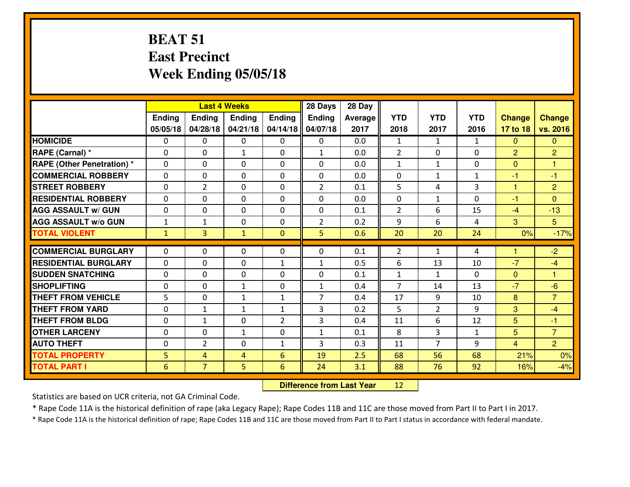#### **BEAT 51 East PrecinctWeek Ending 05/05/18**

|                                   | <b>Last 4 Weeks</b>        |                |               |                | 28 Days        | 28 Day     |                                |                |              |                      |                      |
|-----------------------------------|----------------------------|----------------|---------------|----------------|----------------|------------|--------------------------------|----------------|--------------|----------------------|----------------------|
|                                   | Ending                     | Ending         | <b>Ending</b> | Ending         | <b>Ending</b>  | Average    | <b>YTD</b>                     | <b>YTD</b>     | <b>YTD</b>   | <b>Change</b>        | <b>Change</b>        |
|                                   | 05/05/18                   | 04/28/18       | 04/21/18      | 04/14/18       | 04/07/18       | 2017       | 2018                           | 2017           | 2016         | 17 to 18             | vs. 2016             |
| <b>HOMICIDE</b>                   | $\Omega$                   | 0              | $\Omega$      | $\Omega$       | $\Omega$       | 0.0        | $\mathbf{1}$                   | $\mathbf{1}$   | $\mathbf{1}$ | $\Omega$             | $\Omega$             |
| RAPE (Carnal) *                   | $\Omega$                   | 0              | $\mathbf{1}$  | $\Omega$       | $\mathbf{1}$   | 0.0        | 2                              | $\Omega$       | $\Omega$     | $\overline{2}$       | $\overline{2}$       |
| <b>RAPE (Other Penetration) *</b> | $\Omega$                   | 0              | $\mathbf 0$   | 0              | $\Omega$       | 0.0        | $\mathbf{1}$                   | $\mathbf{1}$   | 0            | $\mathbf{0}$         | 1                    |
| <b>COMMERCIAL ROBBERY</b>         | $\mathbf 0$                | 0              | $\mathbf 0$   | 0              | 0              | 0.0        | 0                              | $\mathbf{1}$   | $\mathbf{1}$ | $-1$                 | $-1$                 |
| <b>STREET ROBBERY</b>             | $\mathbf 0$                | $\overline{2}$ | $\mathbf 0$   | 0              | $\overline{2}$ | 0.1        | 5                              | 4              | 3            | $\mathbf{1}$         | $\overline{2}$       |
| <b>RESIDENTIAL ROBBERY</b>        | $\mathbf 0$                | 0              | $\mathbf 0$   | 0              | 0              | 0.0        | $\mathbf 0$                    | $\mathbf{1}$   | 0            | $-1$                 | $\overline{0}$       |
| <b>AGG ASSAULT W/ GUN</b>         | $\mathbf 0$                | 0              | $\mathbf 0$   | 0              | 0              | 0.1        | $\overline{2}$                 | 6              | 15           | $-4$                 | $-13$                |
| <b>AGG ASSAULT W/o GUN</b>        | $\mathbf 1$                | 1              | 0             | 0              | $\overline{2}$ | 0.2        | 9                              | 6              | 4            | 3                    | 5 <sup>5</sup>       |
| <b>TOTAL VIOLENT</b>              | $\mathbf{1}$               | 3              | $\mathbf{1}$  | $\mathbf{0}$   | 5 <sub>1</sub> | 0.6        | 20                             | 20             | 24           | 0%                   | $-17%$               |
| <b>COMMERCIAL BURGLARY</b>        | $\Omega$                   | 0              | $\mathbf{0}$  | $\Omega$       | 0              | 0.1        | 2                              | $\mathbf{1}$   | 4            | $\blacktriangleleft$ | $-2$                 |
| <b>RESIDENTIAL BURGLARY</b>       |                            |                |               |                |                |            |                                |                |              | $-7$                 |                      |
| <b>SUDDEN SNATCHING</b>           | $\mathbf 0$                | 0              | $\mathbf{0}$  | $\mathbf{1}$   | $\mathbf{1}$   | 0.5        | 6                              | 13             | 10           |                      | $-4$<br>$\mathbf{1}$ |
| <b>SHOPLIFTING</b>                | $\mathbf 0$<br>$\mathbf 0$ | 0              | $\mathbf 0$   | 0              | 0              | 0.1<br>0.4 | $\mathbf{1}$<br>$\overline{7}$ | $\mathbf{1}$   | 0<br>13      | $\mathbf{0}$<br>$-7$ | $-6$                 |
|                                   |                            | 0              | $\mathbf{1}$  | 0              | $\mathbf{1}$   |            |                                | 14             |              |                      |                      |
| <b>THEFT FROM VEHICLE</b>         | 5                          | 0              | $\mathbf{1}$  | $\mathbf{1}$   | $\overline{7}$ | 0.4        | 17                             | 9              | 10           | 8                    | $\overline{7}$       |
| <b>THEFT FROM YARD</b>            | $\mathbf 0$                | 1              | $\mathbf{1}$  | $\mathbf{1}$   | 3              | 0.2        | 5                              | $\overline{2}$ | 9            | 3                    | $-4$                 |
| <b>THEFT FROM BLDG</b>            | $\mathbf 0$                | $\mathbf{1}$   | $\mathbf 0$   | $\overline{2}$ | 3              | 0.4        | 11                             | 6              | 12           | 5                    | $-1$                 |
| <b>OTHER LARCENY</b>              | $\mathbf 0$                | 0              | $\mathbf{1}$  | $\mathbf 0$    | $\mathbf{1}$   | 0.1        | 8                              | 3              | $\mathbf{1}$ | 5                    | $\overline{7}$       |
| <b>AUTO THEFT</b>                 | 0                          | $\overline{2}$ | $\mathbf 0$   | $\mathbf{1}$   | 3              | 0.3        | 11                             | $\overline{7}$ | 9            | $\overline{4}$       | $\overline{2}$       |
| <b>TOTAL PROPERTY</b>             | 5                          | $\overline{4}$ | 4             | 6              | 19             | 2.5        | 68                             | 56             | 68           | 21%                  | 0%                   |
| <b>TOTAL PART I</b>               | 6                          | $\overline{7}$ | 5             | 6              | 24             | 3.1        | 88                             | 76             | 92           | 16%                  | $-4%$                |

 **Difference from Last Year**<sup>12</sup>

Statistics are based on UCR criteria, not GA Criminal Code.

\* Rape Code 11A is the historical definition of rape (aka Legacy Rape); Rape Codes 11B and 11C are those moved from Part II to Part I in 2017.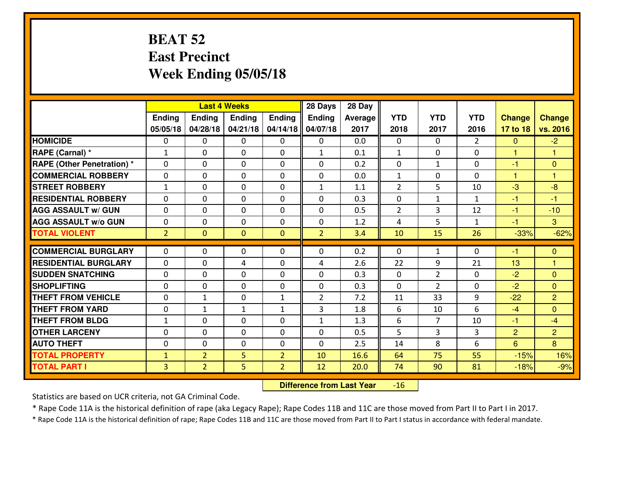#### **BEAT 52 East PrecinctWeek Ending 05/05/18**

|                                   |                |                |                | <b>Last 4 Weeks</b> |                |                |                |                |                |                      |                |
|-----------------------------------|----------------|----------------|----------------|---------------------|----------------|----------------|----------------|----------------|----------------|----------------------|----------------|
|                                   | Ending         | Ending         | <b>Ending</b>  | Ending              | Ending         | <b>Average</b> | <b>YTD</b>     | <b>YTD</b>     | <b>YTD</b>     | <b>Change</b>        | <b>Change</b>  |
|                                   | 05/05/18       | 04/28/18       | 04/21/18       | 04/14/18            | 04/07/18       | 2017           | 2018           | 2017           | 2016           | 17 to 18             | vs. 2016       |
| <b>HOMICIDE</b>                   | $\Omega$       | 0              | $\Omega$       | 0                   | $\Omega$       | 0.0            | $\Omega$       | $\Omega$       | $\overline{2}$ | $\mathbf{0}$         | $-2$           |
| RAPE (Carnal) *                   | $\mathbf{1}$   | 0              | $\mathbf{0}$   | $\Omega$            | $\mathbf{1}$   | 0.1            | $\mathbf{1}$   | $\Omega$       | $\Omega$       | $\blacktriangleleft$ | $\mathbf{1}$   |
| <b>RAPE (Other Penetration) *</b> | $\Omega$       | 0              | $\Omega$       | $\Omega$            | 0              | 0.2            | $\Omega$       | $\mathbf{1}$   | $\Omega$       | $-1$                 | $\mathbf{0}$   |
| <b>COMMERCIAL ROBBERY</b>         | $\mathbf 0$    | 0              | $\mathbf{0}$   | 0                   | 0              | 0.0            | $\mathbf{1}$   | 0              | 0              | $\mathbf{1}$         | $\mathbf{1}$   |
| <b>STREET ROBBERY</b>             | $\mathbf{1}$   | 0              | $\mathbf 0$    | 0                   | $\mathbf{1}$   | 1.1            | $\overline{2}$ | 5              | 10             | $-3$                 | $-8$           |
| <b>RESIDENTIAL ROBBERY</b>        | $\Omega$       | 0              | $\Omega$       | 0                   | $\Omega$       | 0.3            | $\mathbf 0$    | $\mathbf{1}$   | $\mathbf{1}$   | $-1$                 | $-1$           |
| <b>AGG ASSAULT w/ GUN</b>         | $\mathbf{0}$   | 0              | $\Omega$       | 0                   | $\Omega$       | 0.5            | $\overline{2}$ | 3              | 12             | $-1$                 | $-10$          |
| <b>AGG ASSAULT W/o GUN</b>        | $\mathbf 0$    | 0              | $\mathbf 0$    | 0                   | 0              | 1.2            | 4              | 5              | $\mathbf{1}$   | $-1$                 | $\mathbf{3}$   |
| <b>TOTAL VIOLENT</b>              | 2 <sup>1</sup> | $\overline{0}$ | $\overline{0}$ | $\mathbf{0}$        | $\overline{2}$ | 3.4            | 10             | 15             | 26             | $-33%$               | $-62%$         |
| <b>COMMERCIAL BURGLARY</b>        | $\Omega$       | 0              | $\Omega$       | $\Omega$            | 0              | 0.2            | $\Omega$       | $\mathbf{1}$   | $\Omega$       | $-1$                 | $\mathbf{0}$   |
| <b>RESIDENTIAL BURGLARY</b>       | $\mathbf 0$    | 0              | 4              | 0                   | 4              | 2.6            | 22             | 9              | 21             | 13                   | 1              |
| <b>SUDDEN SNATCHING</b>           | $\mathbf 0$    | 0              | $\mathbf 0$    | 0                   | 0              | 0.3            | $\mathbf 0$    | $\overline{2}$ | 0              | $-2$                 | $\overline{0}$ |
| <b>SHOPLIFTING</b>                | $\mathbf 0$    | 0              | $\mathbf 0$    | 0                   | 0              | 0.3            | 0              | $\overline{2}$ | 0              | $-2$                 | $\overline{0}$ |
| <b>THEFT FROM VEHICLE</b>         | $\mathbf 0$    | $\mathbf{1}$   | $\mathbf 0$    | $\mathbf{1}$        | $\overline{2}$ | 7.2            | 11             | 33             | 9              | $-22$                | $\overline{2}$ |
| <b>THEFT FROM YARD</b>            | $\mathbf 0$    | $\mathbf{1}$   | $\mathbf{1}$   | $\mathbf{1}$        | 3              | 1.8            | 6              | 10             | 6              | $-4$                 | $\overline{0}$ |
| <b>THEFT FROM BLDG</b>            | $\mathbf{1}$   | 0              | $\mathbf 0$    | 0                   | $\mathbf{1}$   | 1.3            | 6              | $\overline{7}$ | 10             | $-1$                 | $-4$           |
| <b>OTHER LARCENY</b>              | $\mathbf 0$    | 0              | $\mathbf 0$    | 0                   | 0              | 0.5            | 5              | 3              | 3              | $\overline{2}$       | $\overline{2}$ |
| <b>AUTO THEFT</b>                 | $\mathbf 0$    | $\Omega$       | $\mathbf{0}$   | 0                   | $\mathbf{0}$   | 2.5            | 14             | 8              | 6              | 6                    | 8              |
| <b>TOTAL PROPERTY</b>             | $\mathbf{1}$   | $\overline{2}$ | 5              | $\overline{2}$      | 10             | 16.6           | 64             | 75             | 55             | $-15%$               | 16%            |
| <b>TOTAL PART I</b>               | $\overline{3}$ | $\overline{2}$ | 5              | $\overline{2}$      | 12             | 20.0           | 74             | 90             | 81             | $-18%$               | $-9%$          |
|                                   |                |                |                |                     |                |                |                |                |                |                      |                |

 **Difference from Last Year** $-16$ 

Statistics are based on UCR criteria, not GA Criminal Code.

\* Rape Code 11A is the historical definition of rape (aka Legacy Rape); Rape Codes 11B and 11C are those moved from Part II to Part I in 2017.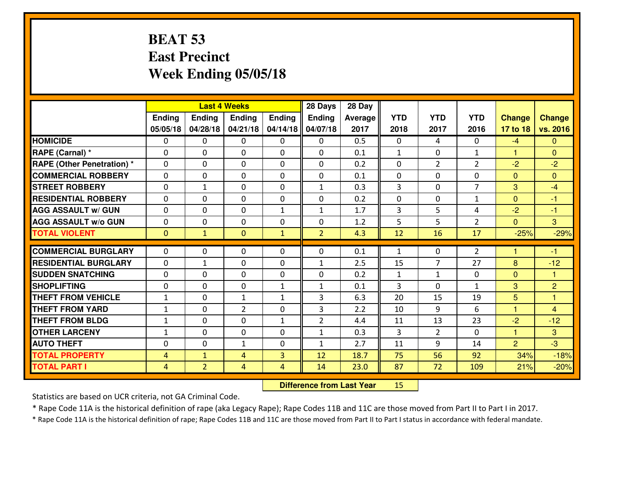#### **BEAT 53 East PrecinctWeek Ending 05/05/18**

|                                   |                | <b>Last 4 Weeks</b> |                |              |                | 28 Day  |                |                |                |                |                |
|-----------------------------------|----------------|---------------------|----------------|--------------|----------------|---------|----------------|----------------|----------------|----------------|----------------|
|                                   | Ending         | <b>Ending</b>       | <b>Ending</b>  | Ending       | Ending         | Average | <b>YTD</b>     | <b>YTD</b>     | <b>YTD</b>     | <b>Change</b>  | <b>Change</b>  |
|                                   | 05/05/18       | 04/28/18            | 04/21/18       | 04/14/18     | 04/07/18       | 2017    | 2018           | 2017           | 2016           | 17 to 18       | vs. 2016       |
| <b>HOMICIDE</b>                   | $\Omega$       | 0                   | 0              | $\Omega$     | $\Omega$       | 0.5     | 0              | 4              | 0              | $-4$           | $\Omega$       |
| RAPE (Carnal) *                   | $\mathbf{0}$   | 0                   | $\mathbf{0}$   | 0            | $\Omega$       | 0.1     | $\mathbf{1}$   | $\mathbf{0}$   | $\mathbf{1}$   | $\mathbf{1}$   | $\mathbf{0}$   |
| <b>RAPE (Other Penetration) *</b> | $\Omega$       | 0                   | $\mathbf{0}$   | $\Omega$     | $\Omega$       | 0.2     | $\Omega$       | $\overline{2}$ | $\overline{2}$ | $-2$           | $-2$           |
| <b>COMMERCIAL ROBBERY</b>         | 0              | 0                   | 0              | 0            | 0              | 0.1     | $\mathbf{0}$   | 0              | 0              | $\mathbf{0}$   | $\Omega$       |
| <b>STREET ROBBERY</b>             | 0              | $\mathbf{1}$        | $\mathbf 0$    | 0            | $\mathbf{1}$   | 0.3     | $\overline{3}$ | 0              | $\overline{7}$ | 3              | $-4$           |
| <b>RESIDENTIAL ROBBERY</b>        | $\Omega$       | $\Omega$            | $\mathbf 0$    | $\Omega$     | 0              | 0.2     | 0              | $\Omega$       | $\mathbf{1}$   | $\mathbf{0}$   | $-1$           |
| <b>AGG ASSAULT w/ GUN</b>         | $\Omega$       | 0                   | $\mathbf 0$    | $\mathbf{1}$ | $\mathbf{1}$   | 1.7     | 3              | 5              | 4              | $-2$           | $-1$           |
| <b>AGG ASSAULT W/o GUN</b>        | 0              | 0                   | $\mathbf 0$    | 0            | 0              | 1.2     | 5              | 5              | $\overline{2}$ | $\overline{0}$ | 3              |
| <b>TOTAL VIOLENT</b>              | $\mathbf{0}$   | $\mathbf{1}$        | $\mathbf{O}$   | $\mathbf{1}$ | $\overline{2}$ | 4.3     | 12             | 16             | 17             | $-25%$         | $-29%$         |
| <b>COMMERCIAL BURGLARY</b>        | $\Omega$       | 0                   | $\mathbf{0}$   | $\Omega$     | $\Omega$       | 0.1     | $\mathbf{1}$   | $\Omega$       | $\overline{2}$ | 1              | $-1$           |
| <b>RESIDENTIAL BURGLARY</b>       | 0              | $\mathbf{1}$        | 0              | 0            | $\mathbf{1}$   | 2.5     | 15             | $\overline{7}$ | 27             | 8              | $-12$          |
| <b>SUDDEN SNATCHING</b>           | 0              | 0                   | 0              | 0            | 0              | 0.2     | $\mathbf{1}$   | $\mathbf{1}$   | 0              | $\overline{0}$ | 1              |
| <b>SHOPLIFTING</b>                | 0              | 0                   | $\mathbf 0$    | $\mathbf{1}$ | $\mathbf{1}$   | 0.1     | 3              | $\mathbf{0}$   | $\mathbf{1}$   | 3              | $\overline{2}$ |
| <b>THEFT FROM VEHICLE</b>         | $1\,$          | 0                   | 1              | $\mathbf{1}$ | 3              | 6.3     | 20             | 15             | 19             | 5              | $\mathbf{1}$   |
| <b>THEFT FROM YARD</b>            | $\mathbf 1$    | 0                   | $\overline{2}$ | 0            | 3              | 2.2     | 10             | 9              | 6              | $\mathbf{1}$   | $\overline{4}$ |
| <b>THEFT FROM BLDG</b>            | $\mathbf{1}$   | 0                   | $\mathbf 0$    | $\mathbf{1}$ | $\overline{2}$ | 4.4     | 11             | 13             | 23             | $-2$           | $-12$          |
| <b>OTHER LARCENY</b>              | $\mathbf{1}$   | 0                   | $\mathbf 0$    | 0            | $\mathbf{1}$   | 0.3     | 3              | $\overline{2}$ | 0              | $\mathbf{1}$   | 3              |
| <b>AUTO THEFT</b>                 | $\mathbf{0}$   | 0                   | $\mathbf{1}$   | 0            | $\mathbf{1}$   | 2.7     | 11             | 9              | 14             | 2              | $-3$           |
| <b>TOTAL PROPERTY</b>             | 4              | $\mathbf{1}$        | 4              | 3            | 12             | 18.7    | 75             | 56             | 92             | 34%            | $-18%$         |
| <b>TOTAL PART I</b>               | $\overline{4}$ | $\overline{2}$      | 4              | 4            | 14             | 23.0    | 87             | 72             | 109            | 21%            | $-20%$         |

 **Difference from Last Year**<sup>15</sup>

Statistics are based on UCR criteria, not GA Criminal Code.

\* Rape Code 11A is the historical definition of rape (aka Legacy Rape); Rape Codes 11B and 11C are those moved from Part II to Part I in 2017.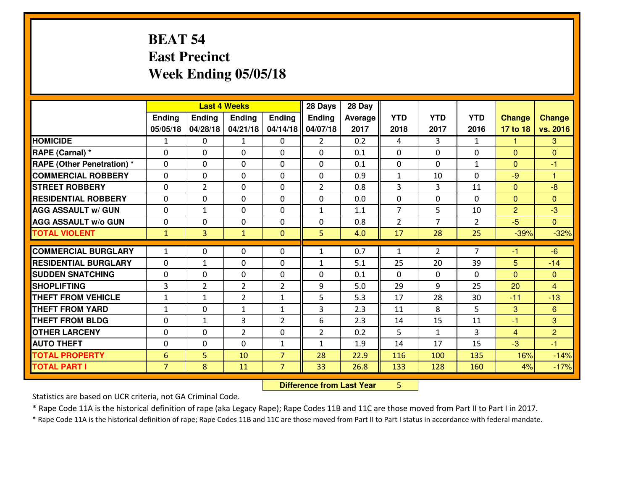## **BEAT 54 East PrecinctWeek Ending 05/05/18**

|                                                  | <b>Last 4 Weeks</b>          |                   |                                |                                | 28 Days        | 28 Day     |                |              |                |                |                |
|--------------------------------------------------|------------------------------|-------------------|--------------------------------|--------------------------------|----------------|------------|----------------|--------------|----------------|----------------|----------------|
|                                                  | Ending                       | <b>Ending</b>     | <b>Ending</b>                  | <b>Ending</b>                  | Ending         | Average    | <b>YTD</b>     | <b>YTD</b>   | <b>YTD</b>     | <b>Change</b>  | <b>Change</b>  |
|                                                  | 05/05/18                     | 04/28/18          | 04/21/18                       | 04/14/18                       | 04/07/18       | 2017       | 2018           | 2017         | 2016           | 17 to 18       | vs. 2016       |
| <b>HOMICIDE</b>                                  | 1                            | 0                 | $\mathbf{1}$                   | $\Omega$                       | $\overline{2}$ | 0.2        | 4              | 3            | $\mathbf{1}$   | -1             | 3              |
| RAPE (Carnal) *                                  | $\mathbf{0}$                 | 0                 | $\mathbf{0}$                   | 0                              | $\Omega$       | 0.1        | $\mathbf{0}$   | 0            | 0              | $\Omega$       | $\mathbf{0}$   |
| <b>RAPE (Other Penetration)*</b>                 | $\Omega$                     | 0                 | $\mathbf{0}$                   | $\Omega$                       | $\Omega$       | 0.1        | $\mathbf{0}$   | 0            | $\mathbf{1}$   | $\Omega$       | $-1$           |
| <b>COMMERCIAL ROBBERY</b>                        | $\mathbf{0}$                 | 0                 | $\mathbf 0$                    | 0                              | $\Omega$       | 0.9        | 1              | 10           | $\Omega$       | $-9$           | $\overline{1}$ |
| <b>ISTREET ROBBERY</b>                           | 0                            | $\overline{2}$    | $\mathbf 0$                    | 0                              | $\overline{2}$ | 0.8        | 3              | 3            | 11             | $\mathbf{0}$   | $-8$           |
| <b>RESIDENTIAL ROBBERY</b>                       | $\Omega$                     | 0                 | $\mathbf 0$                    | 0                              | 0              | 0.0        | 0              | $\mathbf{0}$ | 0              | $\mathbf{0}$   | $\mathbf{0}$   |
| <b>AGG ASSAULT W/ GUN</b>                        | 0                            | $\mathbf{1}$      | $\mathbf 0$                    | 0                              | $\mathbf{1}$   | 1.1        | $\overline{7}$ | 5            | 10             | $\overline{2}$ | $-3$           |
| <b>AGG ASSAULT W/o GUN</b>                       | 0                            | 0                 | $\mathbf 0$                    | 0                              | 0              | 0.8        | 2              | 7            | $\overline{2}$ | $-5$           | $\overline{0}$ |
| <b>TOTAL VIOLENT</b>                             | $\mathbf{1}$                 | $\overline{3}$    | $\mathbf{1}$                   | $\mathbf{0}$                   | 5              | 4.0        | 17             | 28           | 25             | $-39%$         | $-32%$         |
|                                                  |                              |                   |                                |                                |                |            |                |              |                |                |                |
|                                                  |                              |                   |                                |                                |                |            |                |              |                |                |                |
| <b>COMMERCIAL BURGLARY</b>                       | $\mathbf{1}$                 | 0                 | 0                              | 0                              | $\mathbf{1}$   | 0.7        | $\mathbf{1}$   | 2            | $\overline{7}$ | -1             | $-6$           |
| <b>RESIDENTIAL BURGLARY</b>                      | $\mathbf{0}$                 | 1                 | $\mathbf{0}$                   | 0                              | 1              | 5.1        | 25             | 20           | 39             | 5              | $-14$          |
| <b>ISUDDEN SNATCHING</b>                         | $\mathbf{0}$                 | 0                 | $\mathbf{0}$                   | 0                              | $\Omega$       | 0.1        | $\mathbf{0}$   | $\mathbf{0}$ | 0              | $\Omega$       | $\mathbf{0}$   |
| <b>SHOPLIFTING</b>                               | 3                            | $\overline{2}$    | $\overline{2}$                 | $\overline{2}$<br>$\mathbf{1}$ | 9              | 5.0        | 29             | 9            | 25             | 20             | 4              |
| <b>THEFT FROM VEHICLE</b>                        | $\mathbf{1}$<br>$\mathbf{1}$ | $\mathbf{1}$      | $\overline{2}$<br>$\mathbf{1}$ | $\mathbf{1}$                   | 5              | 5.3        | 17             | 28           | 30             | $-11$          | $-13$          |
| <b>THEFT FROM YARD</b><br><b>THEFT FROM BLDG</b> | $\mathbf{0}$                 | 0<br>$\mathbf{1}$ | 3                              | 2                              | 3<br>6         | 2.3<br>2.3 | 11<br>14       | 8<br>15      | 5<br>11        | 3<br>$-1$      | 6<br>3         |
| <b>OTHER LARCENY</b>                             | 0                            | 0                 | $\overline{2}$                 | 0                              | $\overline{2}$ | 0.2        | 5              | $\mathbf{1}$ | 3              | $\overline{4}$ | $\overline{2}$ |
| <b>AUTO THEFT</b>                                | $\mathbf{0}$                 | 0                 | $\mathbf{0}$                   | $\mathbf{1}$                   | $\mathbf{1}$   | 1.9        | 14             | 17           | 15             | $-3$           | $-1$           |
| <b>TOTAL PROPERTY</b>                            | $6\phantom{1}6$              | 5                 | 10                             | $\overline{7}$                 | 28             | 22.9       | 116            | 100          | 135            | 16%            | $-14%$         |
| <b>TOTAL PART I</b>                              | $\overline{7}$               | 8                 | 11                             | $\overline{7}$                 | 33             | 26.8       | 133            | 128          | 160            | 4%             | $-17%$         |

 **Difference from Last Year**<sup>5</sup>

Statistics are based on UCR criteria, not GA Criminal Code.

\* Rape Code 11A is the historical definition of rape (aka Legacy Rape); Rape Codes 11B and 11C are those moved from Part II to Part I in 2017.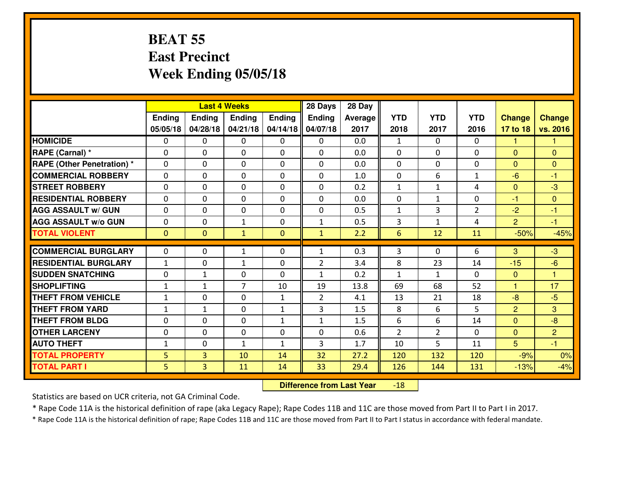#### **BEAT 55 East PrecinctWeek Ending 05/05/18**

|                             | <b>Last 4 Weeks</b> |                |                |              | 28 Days        | 28 Day  |                |                |                |                |                      |
|-----------------------------|---------------------|----------------|----------------|--------------|----------------|---------|----------------|----------------|----------------|----------------|----------------------|
|                             | Ending              | <b>Ending</b>  | <b>Ending</b>  | Ending       | Ending         | Average | <b>YTD</b>     | <b>YTD</b>     | <b>YTD</b>     | <b>Change</b>  | <b>Change</b>        |
|                             | 05/05/18            | 04/28/18       | 04/21/18       | 04/14/18     | 04/07/18       | 2017    | 2018           | 2017           | 2016           | 17 to 18       | vs. 2016             |
| <b>HOMICIDE</b>             | $\Omega$            | 0              | 0              | $\Omega$     | $\Omega$       | 0.0     | $\mathbf{1}$   | $\Omega$       | 0              | 1              | 1                    |
| RAPE (Carnal) *             | $\mathbf{0}$        | 0              | $\mathbf{0}$   | 0            | $\Omega$       | 0.0     | $\mathbf{0}$   | 0              | 0              | $\Omega$       | $\mathbf{0}$         |
| RAPE (Other Penetration) *  | $\Omega$            | 0              | $\mathbf{0}$   | $\Omega$     | $\Omega$       | 0.0     | $\Omega$       | 0              | 0              | $\Omega$       | $\mathbf{0}$         |
| <b>COMMERCIAL ROBBERY</b>   | $\mathbf{0}$        | 0              | $\mathbf 0$    | 0            | $\Omega$       | 1.0     | $\mathbf{0}$   | 6              | $\mathbf{1}$   | $-6$           | $-1$                 |
| <b>STREET ROBBERY</b>       | 0                   | 0              | $\mathbf 0$    | 0            | 0              | 0.2     | $\mathbf{1}$   | $\mathbf{1}$   | 4              | $\mathbf{0}$   | $-3$                 |
| <b>RESIDENTIAL ROBBERY</b>  | $\Omega$            | $\Omega$       | $\mathbf 0$    | $\Omega$     | 0              | 0.0     | 0              | $\mathbf{1}$   | 0              | $-1$           | $\Omega$             |
| <b>AGG ASSAULT w/ GUN</b>   | 0                   | 0              | $\mathbf 0$    | 0            | 0              | 0.5     | $\mathbf 1$    | 3              | $\overline{2}$ | $-2$           | $-1$                 |
| <b>AGG ASSAULT W/o GUN</b>  | 0                   | 0              | 1              | $\mathbf 0$  | $\mathbf{1}$   | 0.5     | 3              | $\mathbf{1}$   | 4              | $\overline{2}$ | $-1$                 |
| <b>TOTAL VIOLENT</b>        | $\mathbf{0}$        | $\overline{0}$ | $\mathbf{1}$   | $\mathbf{0}$ | $\mathbf{1}$   | 2.2     | $6\phantom{1}$ | 12             | 11             | $-50%$         | $-45%$               |
| <b>COMMERCIAL BURGLARY</b>  | $\Omega$            | 0              | 1              | $\Omega$     | $\mathbf{1}$   | 0.3     | 3              | $\Omega$       | 6              | 3              | $-3$                 |
| <b>RESIDENTIAL BURGLARY</b> | $\mathbf{1}$        | 0              | $\mathbf{1}$   | 0            | $\overline{2}$ | 3.4     | 8              | 23             | 14             | $-15$          | $-6$                 |
| <b>SUDDEN SNATCHING</b>     | 0                   | $\mathbf{1}$   | $\mathbf 0$    | $\Omega$     | $\mathbf{1}$   | 0.2     | $\mathbf{1}$   | $\mathbf{1}$   | 0              | $\mathbf{0}$   | $\blacktriangleleft$ |
| <b>SHOPLIFTING</b>          | $\mathbf{1}$        | 1              | $\overline{7}$ | 10           | 19             | 13.8    | 69             | 68             | 52             | 1              | 17                   |
| <b>THEFT FROM VEHICLE</b>   | $\mathbf{1}$        | 0              | $\mathbf 0$    | $\mathbf{1}$ | $\overline{2}$ | 4.1     | 13             | 21             | 18             | $-8$           | $-5$                 |
| <b>THEFT FROM YARD</b>      | $1\,$               | $\mathbf{1}$   | $\mathbf 0$    | $\mathbf{1}$ | 3              | 1.5     | 8              | 6              | 5              | $\overline{2}$ | 3                    |
| <b>THEFT FROM BLDG</b>      | 0                   | 0              | $\mathbf 0$    | $\mathbf{1}$ | $\mathbf{1}$   | 1.5     | 6              | 6              | 14             | $\overline{0}$ | $-8$                 |
| <b>OTHER LARCENY</b>        | 0                   | 0              | $\mathbf 0$    | 0            | 0              | 0.6     | $\overline{2}$ | $\overline{2}$ | 0              | $\overline{0}$ | $\overline{2}$       |
| <b>AUTO THEFT</b>           | $\mathbf{1}$        | 0              | $\mathbf{1}$   | $\mathbf{1}$ | 3              | 1.7     | 10             | 5              | 11             | 5 <sup>5</sup> | $-1$                 |
| <b>TOTAL PROPERTY</b>       | 5                   | 3              | 10             | 14           | 32             | 27.2    | 120            | 132            | 120            | $-9%$          | 0%                   |
| <b>TOTAL PART I</b>         | 5                   | $\overline{3}$ | 11             | 14           | 33             | 29.4    | 126            | 144            | 131            | $-13%$         | $-4%$                |

 **Difference from Last Year**-18

Statistics are based on UCR criteria, not GA Criminal Code.

\* Rape Code 11A is the historical definition of rape (aka Legacy Rape); Rape Codes 11B and 11C are those moved from Part II to Part I in 2017.